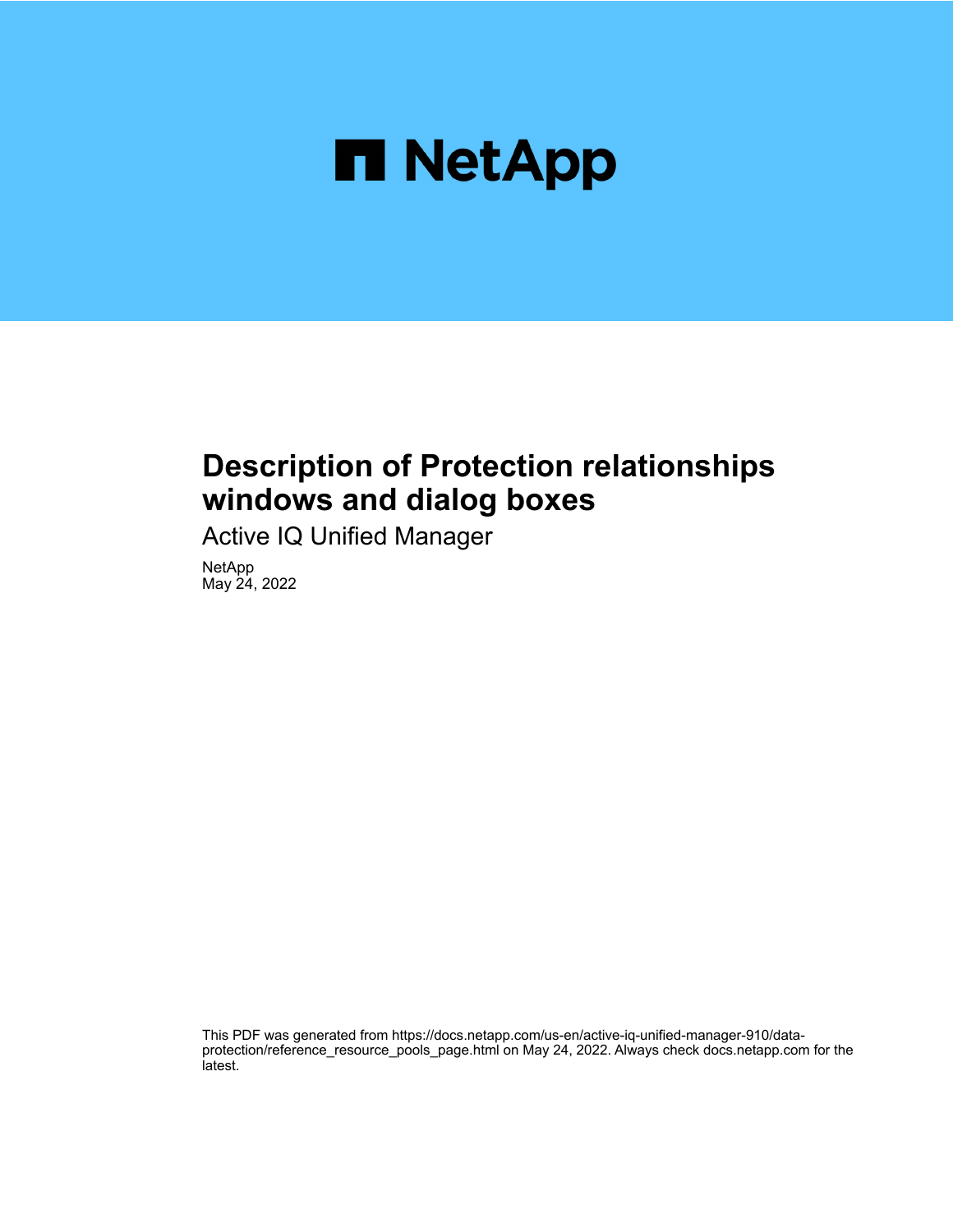

# **Description of Protection relationships windows and dialog boxes**

Active IQ Unified Manager

NetApp May 24, 2022

This PDF was generated from https://docs.netapp.com/us-en/active-iq-unified-manager-910/dataprotection/reference\_resource\_pools\_page.html on May 24, 2022. Always check docs.netapp.com for the latest.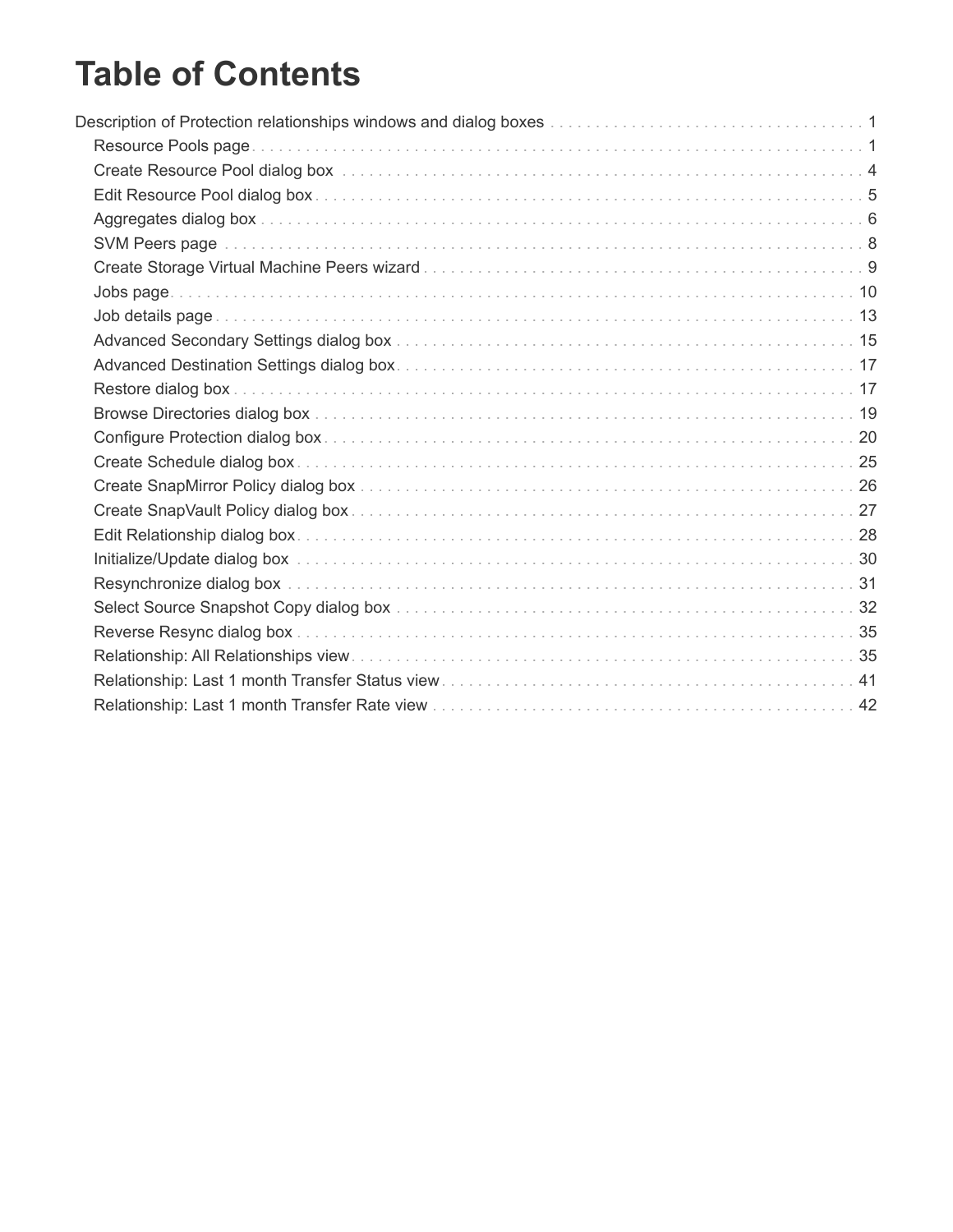# **Table of Contents**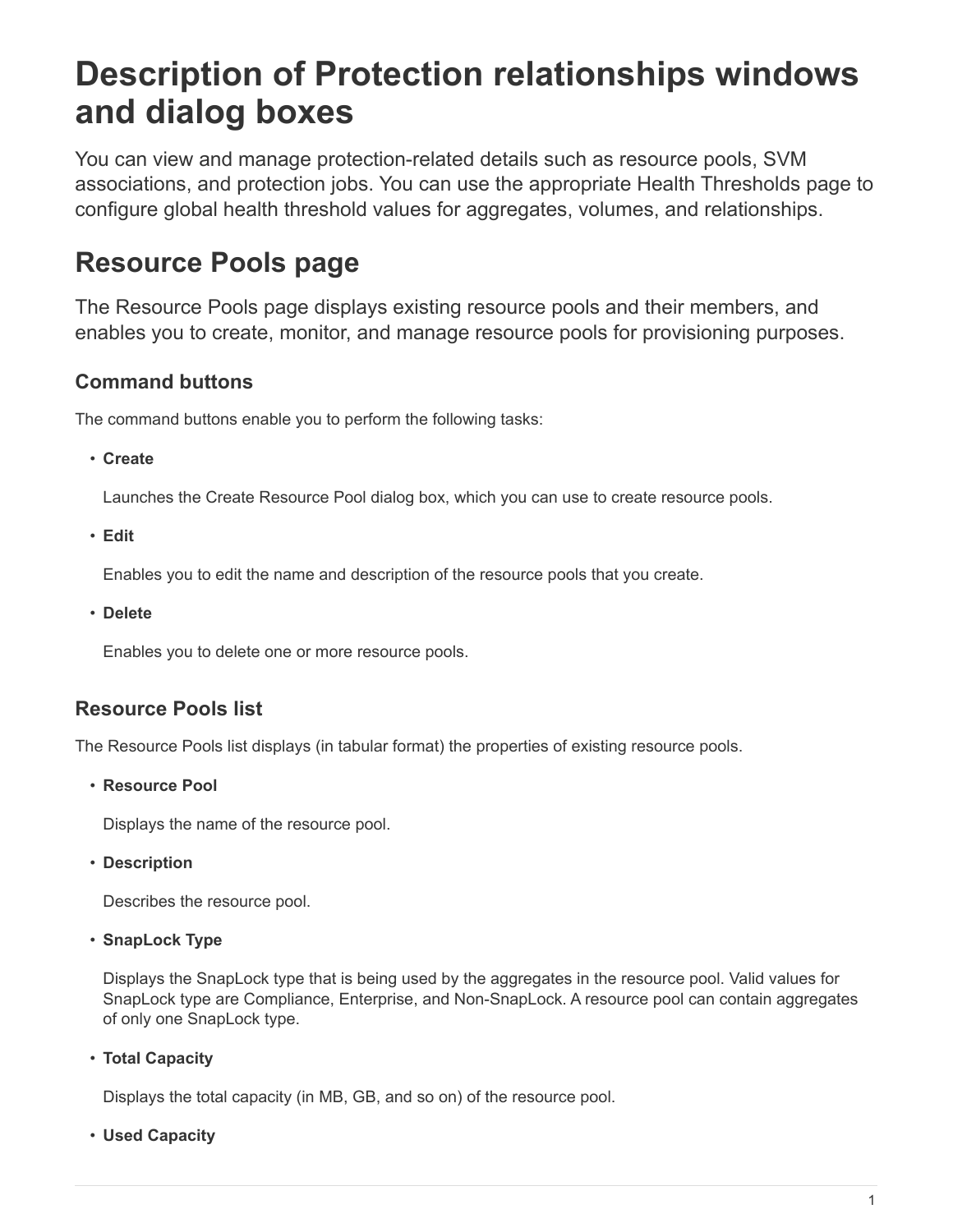# <span id="page-2-0"></span>**Description of Protection relationships windows and dialog boxes**

You can view and manage protection-related details such as resource pools, SVM associations, and protection jobs. You can use the appropriate Health Thresholds page to configure global health threshold values for aggregates, volumes, and relationships.

# <span id="page-2-1"></span>**Resource Pools page**

The Resource Pools page displays existing resource pools and their members, and enables you to create, monitor, and manage resource pools for provisioning purposes.

# **Command buttons**

The command buttons enable you to perform the following tasks:

• **Create**

Launches the Create Resource Pool dialog box, which you can use to create resource pools.

• **Edit**

Enables you to edit the name and description of the resource pools that you create.

• **Delete**

Enables you to delete one or more resource pools.

# **Resource Pools list**

The Resource Pools list displays (in tabular format) the properties of existing resource pools.

• **Resource Pool**

Displays the name of the resource pool.

• **Description**

Describes the resource pool.

• **SnapLock Type**

Displays the SnapLock type that is being used by the aggregates in the resource pool. Valid values for SnapLock type are Compliance, Enterprise, and Non-SnapLock. A resource pool can contain aggregates of only one SnapLock type.

• **Total Capacity**

Displays the total capacity (in MB, GB, and so on) of the resource pool.

• **Used Capacity**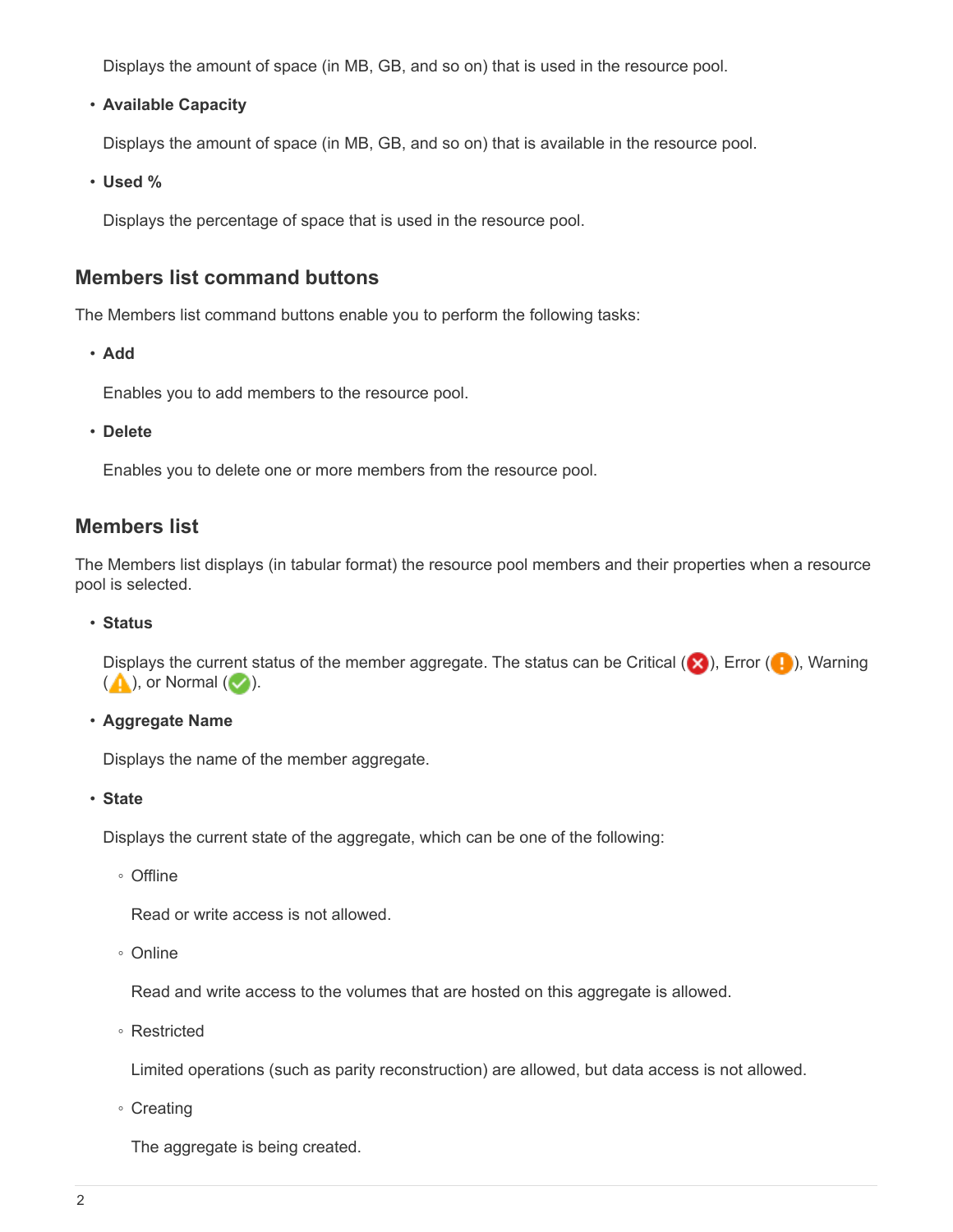Displays the amount of space (in MB, GB, and so on) that is used in the resource pool.

• **Available Capacity**

Displays the amount of space (in MB, GB, and so on) that is available in the resource pool.

• **Used %**

Displays the percentage of space that is used in the resource pool.

## **Members list command buttons**

The Members list command buttons enable you to perform the following tasks:

• **Add**

Enables you to add members to the resource pool.

• **Delete**

Enables you to delete one or more members from the resource pool.

## **Members list**

The Members list displays (in tabular format) the resource pool members and their properties when a resource pool is selected.

#### • **Status**

Displays the current status of the member aggregate. The status can be Critical ( $\blacktriangleright$ ), Error ( $\blacktriangleright$ ), Warning  $($  ), or Normal  $($   $\vee$  ).

• **Aggregate Name**

Displays the name of the member aggregate.

• **State**

Displays the current state of the aggregate, which can be one of the following:

◦ Offline

Read or write access is not allowed.

◦ Online

Read and write access to the volumes that are hosted on this aggregate is allowed.

◦ Restricted

Limited operations (such as parity reconstruction) are allowed, but data access is not allowed.

◦ Creating

The aggregate is being created.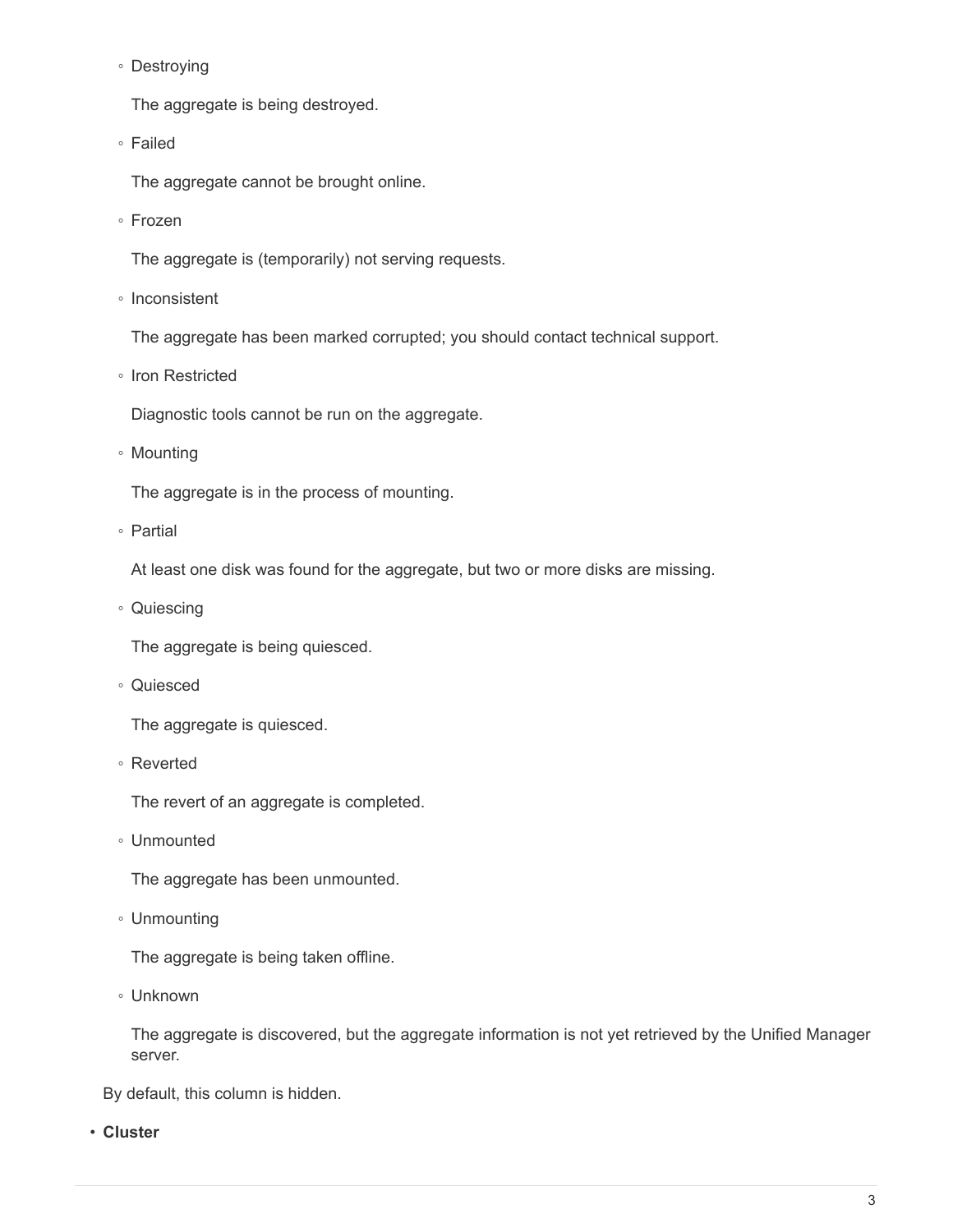◦ Destroying

The aggregate is being destroyed.

◦ Failed

The aggregate cannot be brought online.

◦ Frozen

The aggregate is (temporarily) not serving requests.

◦ Inconsistent

The aggregate has been marked corrupted; you should contact technical support.

◦ Iron Restricted

Diagnostic tools cannot be run on the aggregate.

◦ Mounting

The aggregate is in the process of mounting.

◦ Partial

At least one disk was found for the aggregate, but two or more disks are missing.

◦ Quiescing

The aggregate is being quiesced.

◦ Quiesced

The aggregate is quiesced.

◦ Reverted

The revert of an aggregate is completed.

◦ Unmounted

The aggregate has been unmounted.

◦ Unmounting

The aggregate is being taken offline.

◦ Unknown

The aggregate is discovered, but the aggregate information is not yet retrieved by the Unified Manager server.

By default, this column is hidden.

• **Cluster**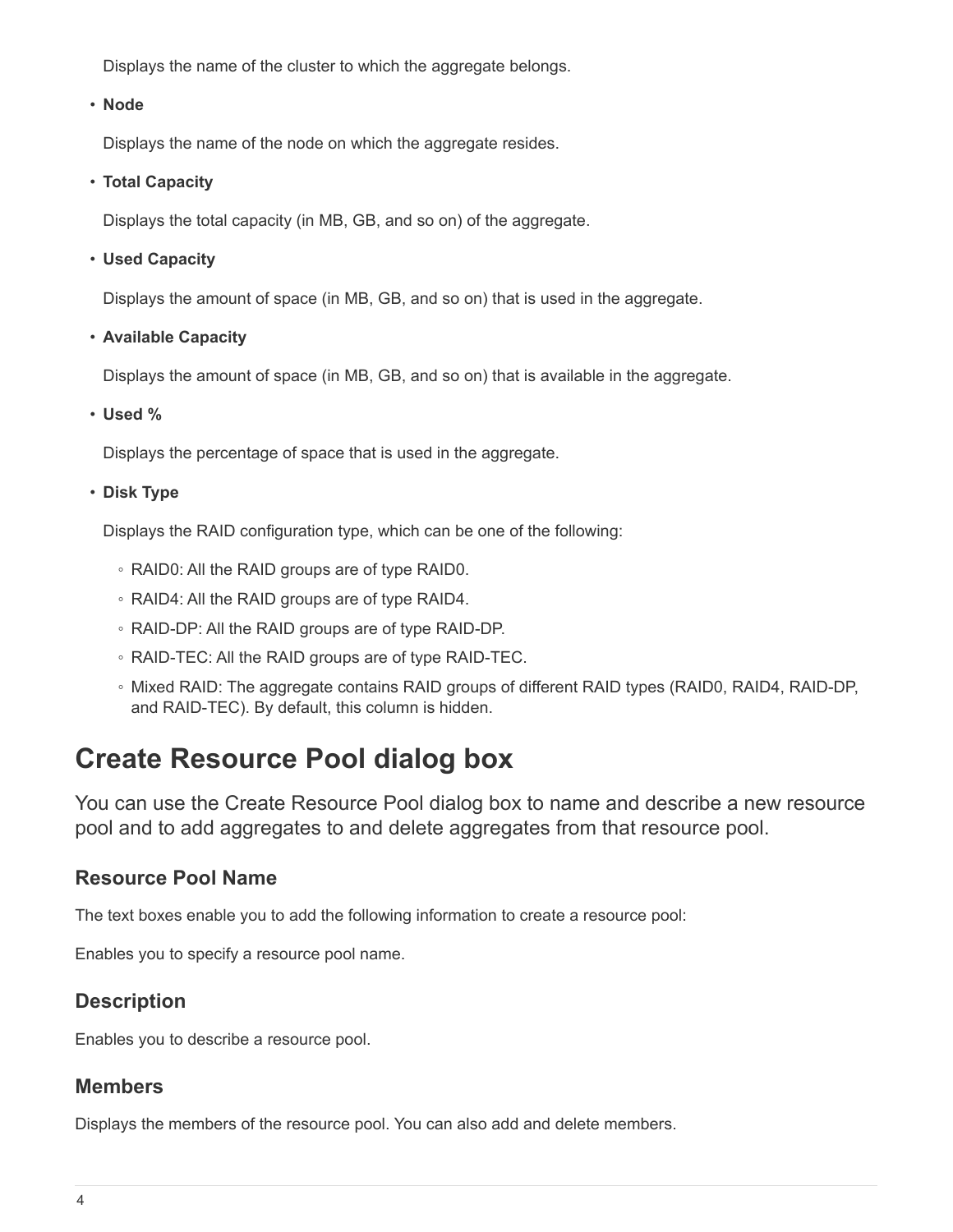Displays the name of the cluster to which the aggregate belongs.

## • **Node**

Displays the name of the node on which the aggregate resides.

## • **Total Capacity**

Displays the total capacity (in MB, GB, and so on) of the aggregate.

## • **Used Capacity**

Displays the amount of space (in MB, GB, and so on) that is used in the aggregate.

• **Available Capacity**

Displays the amount of space (in MB, GB, and so on) that is available in the aggregate.

## • **Used %**

Displays the percentage of space that is used in the aggregate.

## • **Disk Type**

Displays the RAID configuration type, which can be one of the following:

- RAID0: All the RAID groups are of type RAID0.
- RAID4: All the RAID groups are of type RAID4.
- RAID-DP: All the RAID groups are of type RAID-DP.
- RAID-TEC: All the RAID groups are of type RAID-TEC.
- Mixed RAID: The aggregate contains RAID groups of different RAID types (RAID0, RAID4, RAID-DP, and RAID-TEC). By default, this column is hidden.

# <span id="page-5-0"></span>**Create Resource Pool dialog box**

You can use the Create Resource Pool dialog box to name and describe a new resource pool and to add aggregates to and delete aggregates from that resource pool.

## **Resource Pool Name**

The text boxes enable you to add the following information to create a resource pool:

Enables you to specify a resource pool name.

## **Description**

Enables you to describe a resource pool.

## **Members**

Displays the members of the resource pool. You can also add and delete members.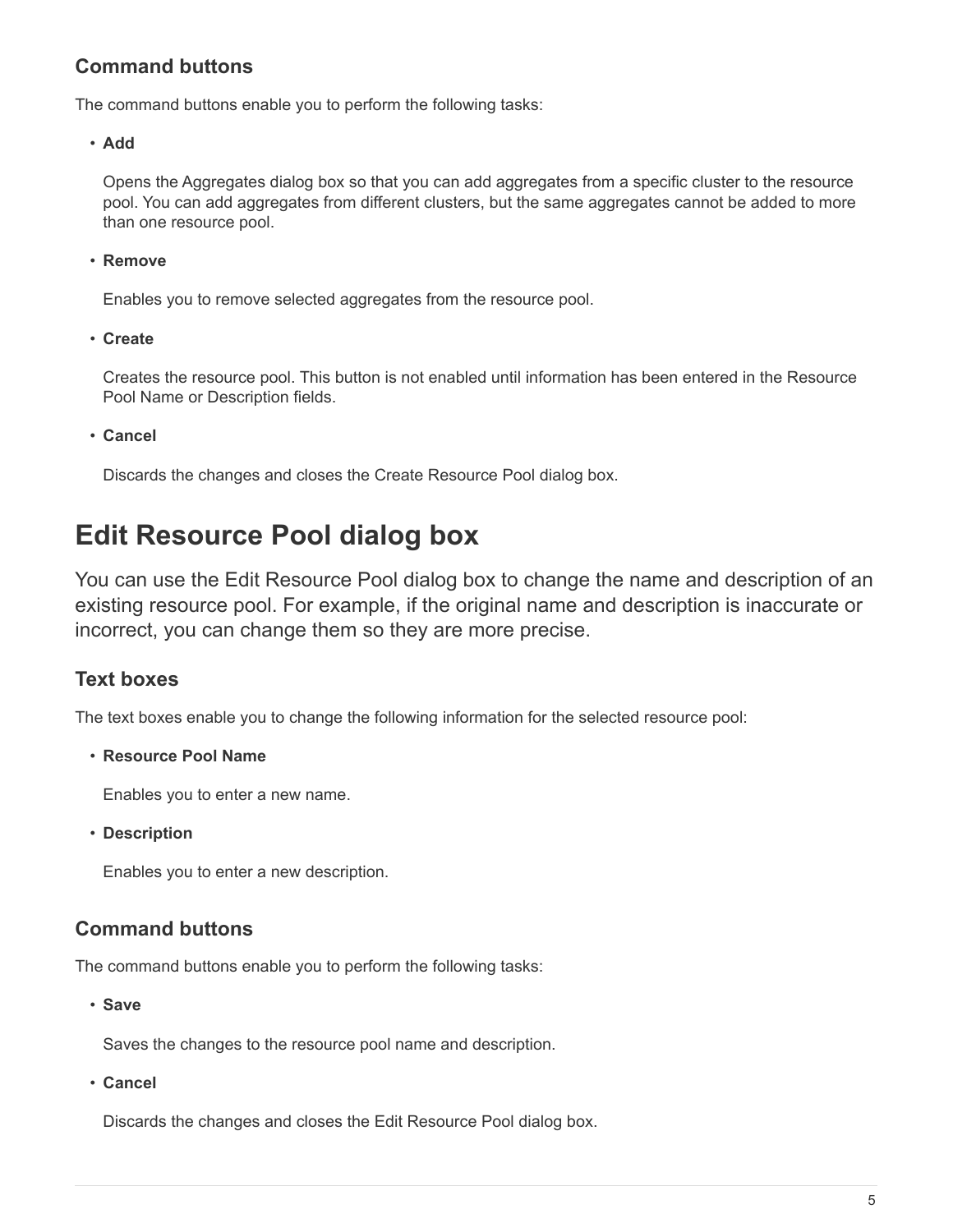# **Command buttons**

The command buttons enable you to perform the following tasks:

• **Add**

Opens the Aggregates dialog box so that you can add aggregates from a specific cluster to the resource pool. You can add aggregates from different clusters, but the same aggregates cannot be added to more than one resource pool.

• **Remove**

Enables you to remove selected aggregates from the resource pool.

• **Create**

Creates the resource pool. This button is not enabled until information has been entered in the Resource Pool Name or Description fields.

• **Cancel**

Discards the changes and closes the Create Resource Pool dialog box.

# <span id="page-6-0"></span>**Edit Resource Pool dialog box**

You can use the Edit Resource Pool dialog box to change the name and description of an existing resource pool. For example, if the original name and description is inaccurate or incorrect, you can change them so they are more precise.

## **Text boxes**

The text boxes enable you to change the following information for the selected resource pool:

• **Resource Pool Name**

Enables you to enter a new name.

• **Description**

Enables you to enter a new description.

## **Command buttons**

The command buttons enable you to perform the following tasks:

• **Save**

Saves the changes to the resource pool name and description.

• **Cancel**

Discards the changes and closes the Edit Resource Pool dialog box.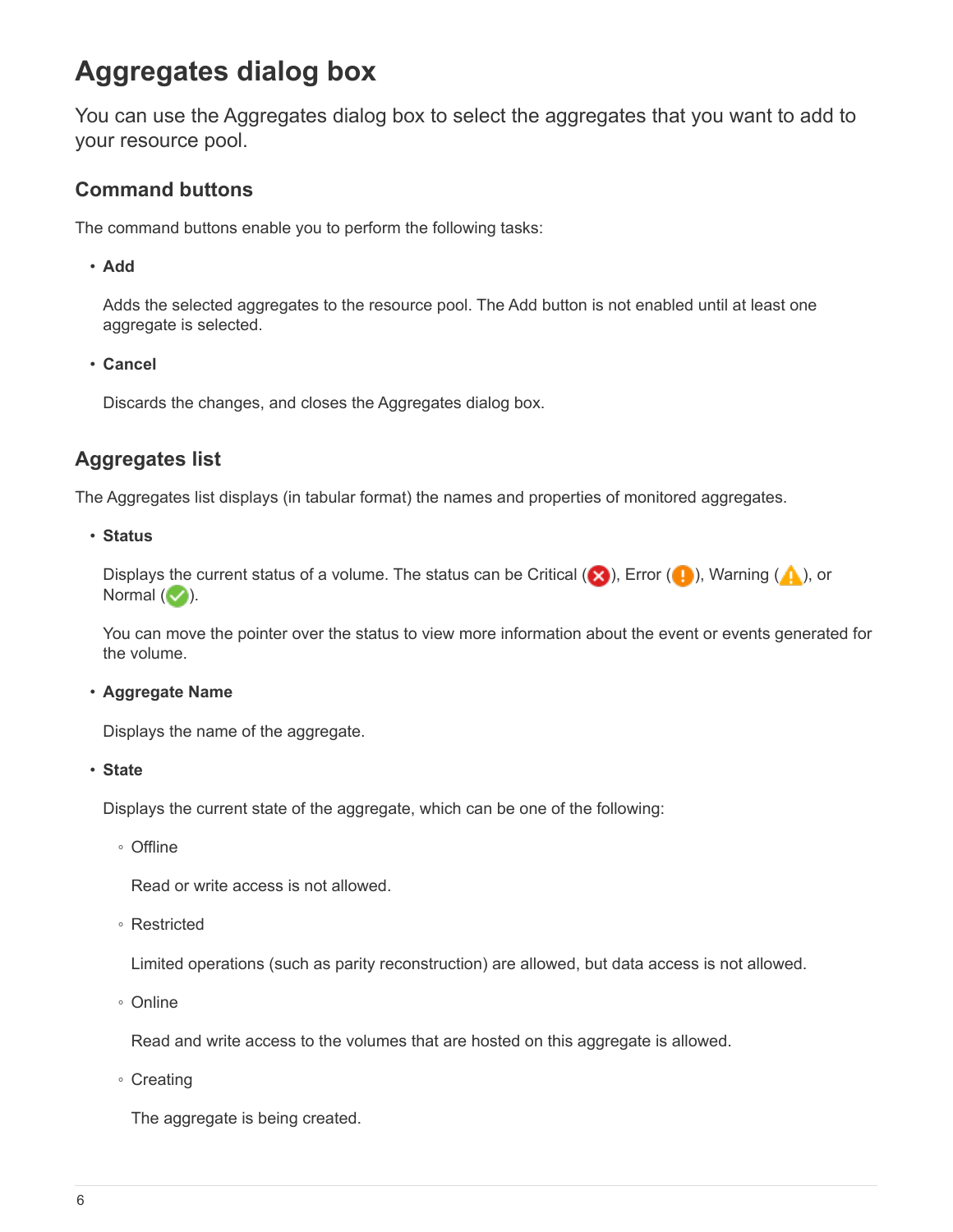# <span id="page-7-0"></span>**Aggregates dialog box**

You can use the Aggregates dialog box to select the aggregates that you want to add to your resource pool.

## **Command buttons**

The command buttons enable you to perform the following tasks:

• **Add**

Adds the selected aggregates to the resource pool. The Add button is not enabled until at least one aggregate is selected.

• **Cancel**

Discards the changes, and closes the Aggregates dialog box.

# **Aggregates list**

The Aggregates list displays (in tabular format) the names and properties of monitored aggregates.

#### • **Status**

Displays the current status of a volume. The status can be Critical ( $\otimes$ ), Error ( $\bullet$ ), Warning ( $\bullet$ ), or Normal  $(\vee)$ .

You can move the pointer over the status to view more information about the event or events generated for the volume.

## • **Aggregate Name**

Displays the name of the aggregate.

• **State**

Displays the current state of the aggregate, which can be one of the following:

◦ Offline

Read or write access is not allowed.

◦ Restricted

Limited operations (such as parity reconstruction) are allowed, but data access is not allowed.

◦ Online

Read and write access to the volumes that are hosted on this aggregate is allowed.

◦ Creating

The aggregate is being created.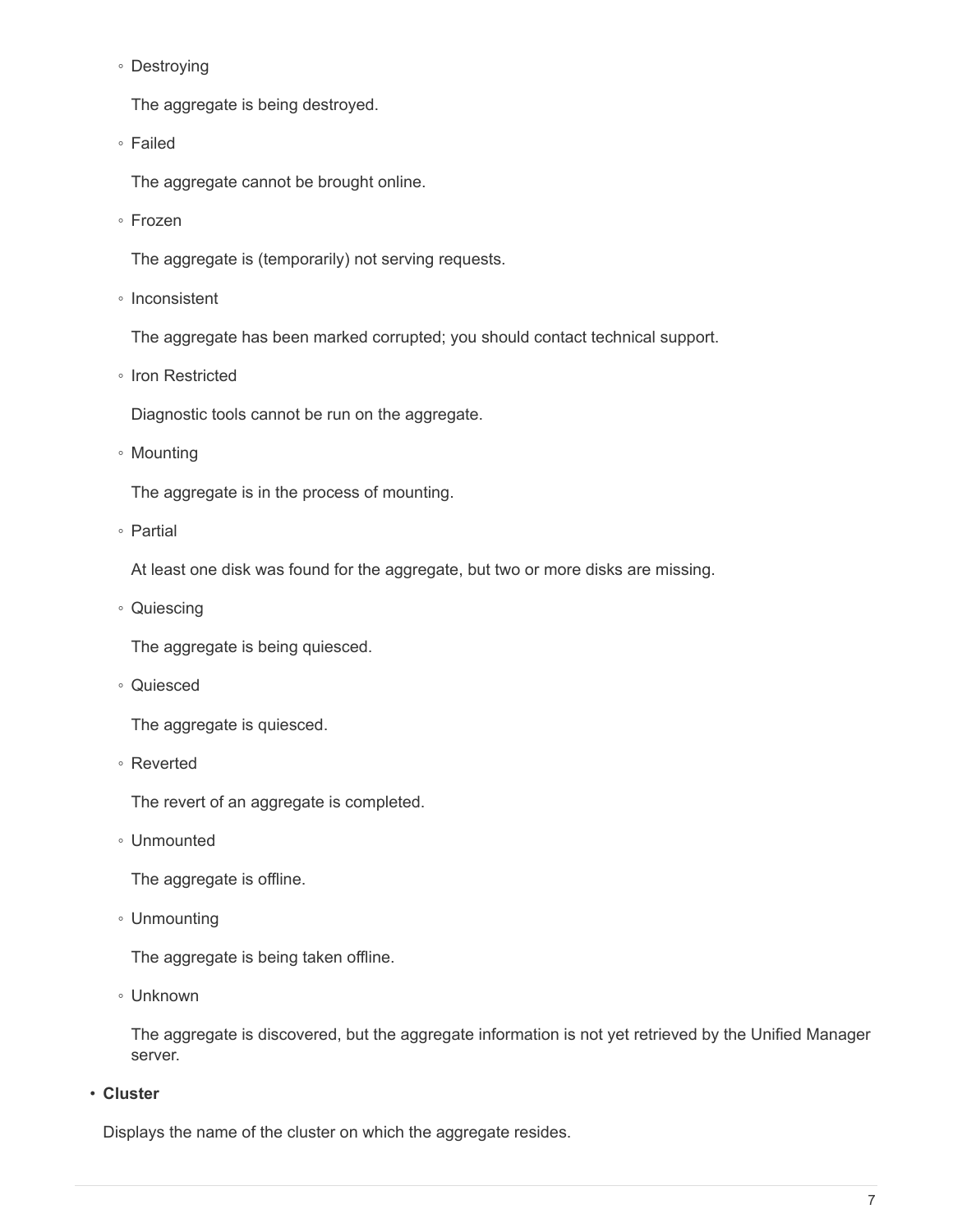◦ Destroying

The aggregate is being destroyed.

◦ Failed

The aggregate cannot be brought online.

◦ Frozen

The aggregate is (temporarily) not serving requests.

◦ Inconsistent

The aggregate has been marked corrupted; you should contact technical support.

◦ Iron Restricted

Diagnostic tools cannot be run on the aggregate.

◦ Mounting

The aggregate is in the process of mounting.

◦ Partial

At least one disk was found for the aggregate, but two or more disks are missing.

◦ Quiescing

The aggregate is being quiesced.

◦ Quiesced

The aggregate is quiesced.

◦ Reverted

The revert of an aggregate is completed.

◦ Unmounted

The aggregate is offline.

◦ Unmounting

The aggregate is being taken offline.

◦ Unknown

The aggregate is discovered, but the aggregate information is not yet retrieved by the Unified Manager server.

• **Cluster**

Displays the name of the cluster on which the aggregate resides.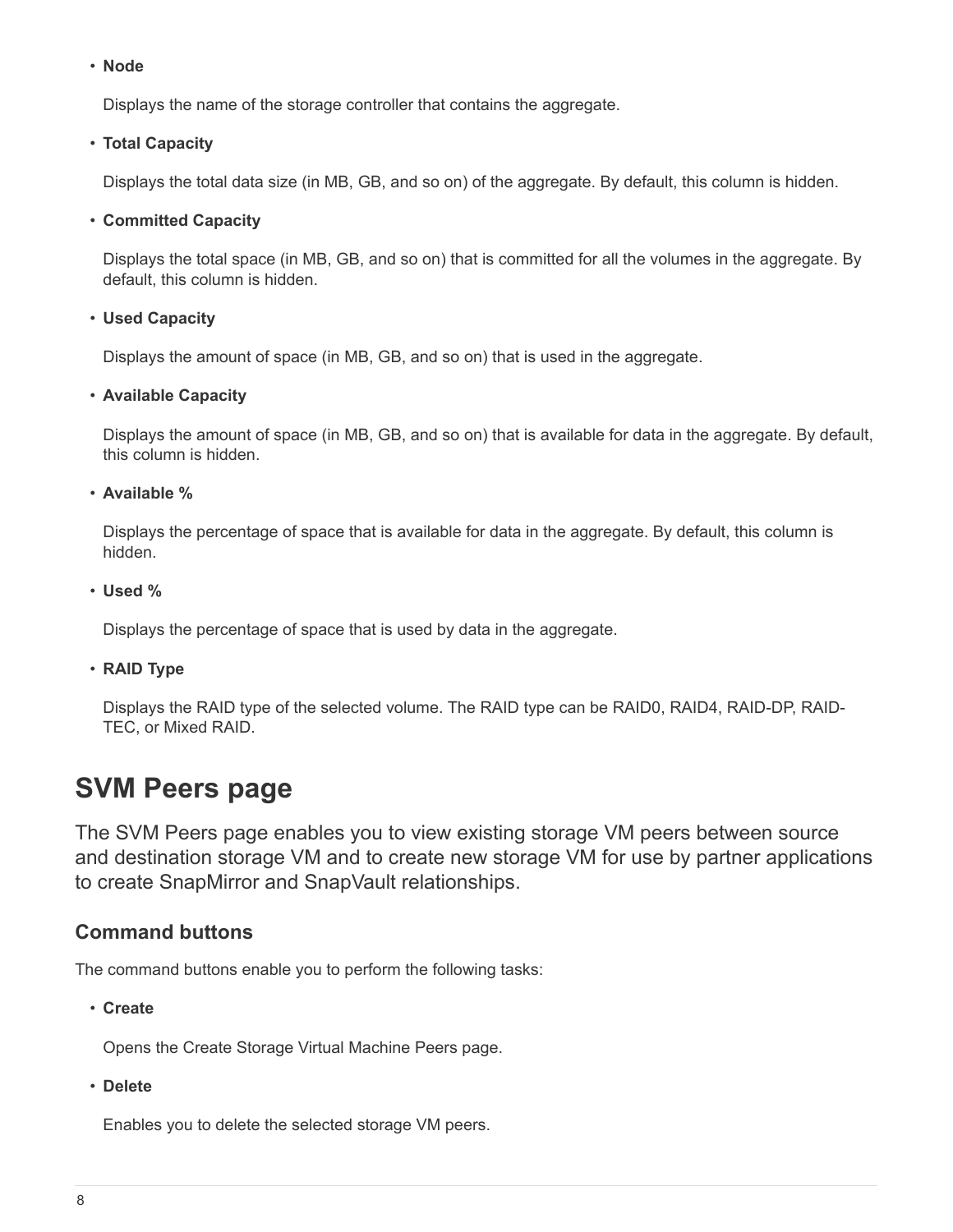#### • **Node**

Displays the name of the storage controller that contains the aggregate.

## • **Total Capacity**

Displays the total data size (in MB, GB, and so on) of the aggregate. By default, this column is hidden.

## • **Committed Capacity**

Displays the total space (in MB, GB, and so on) that is committed for all the volumes in the aggregate. By default, this column is hidden.

## • **Used Capacity**

Displays the amount of space (in MB, GB, and so on) that is used in the aggregate.

## • **Available Capacity**

Displays the amount of space (in MB, GB, and so on) that is available for data in the aggregate. By default, this column is hidden.

• **Available %**

Displays the percentage of space that is available for data in the aggregate. By default, this column is hidden.

• **Used %**

Displays the percentage of space that is used by data in the aggregate.

## • **RAID Type**

Displays the RAID type of the selected volume. The RAID type can be RAID0, RAID4, RAID-DP, RAID-TEC, or Mixed RAID.

# <span id="page-9-0"></span>**SVM Peers page**

The SVM Peers page enables you to view existing storage VM peers between source and destination storage VM and to create new storage VM for use by partner applications to create SnapMirror and SnapVault relationships.

## **Command buttons**

The command buttons enable you to perform the following tasks:

• **Create**

Opens the Create Storage Virtual Machine Peers page.

• **Delete**

Enables you to delete the selected storage VM peers.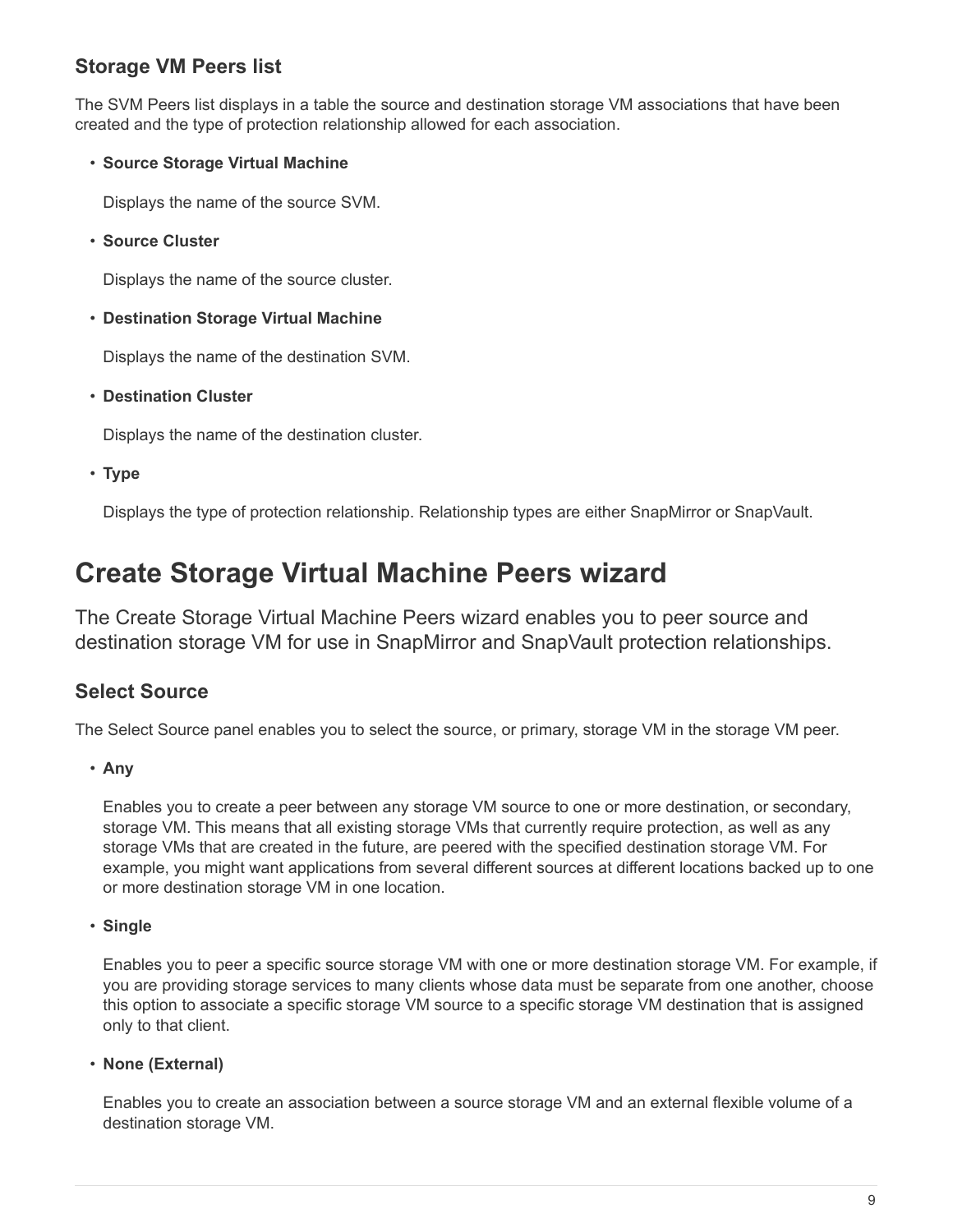# **Storage VM Peers list**

The SVM Peers list displays in a table the source and destination storage VM associations that have been created and the type of protection relationship allowed for each association.

## • **Source Storage Virtual Machine**

Displays the name of the source SVM.

• **Source Cluster**

Displays the name of the source cluster.

• **Destination Storage Virtual Machine**

Displays the name of the destination SVM.

• **Destination Cluster**

Displays the name of the destination cluster.

• **Type**

Displays the type of protection relationship. Relationship types are either SnapMirror or SnapVault.

# <span id="page-10-0"></span>**Create Storage Virtual Machine Peers wizard**

The Create Storage Virtual Machine Peers wizard enables you to peer source and destination storage VM for use in SnapMirror and SnapVault protection relationships.

# **Select Source**

The Select Source panel enables you to select the source, or primary, storage VM in the storage VM peer.

• **Any**

Enables you to create a peer between any storage VM source to one or more destination, or secondary, storage VM. This means that all existing storage VMs that currently require protection, as well as any storage VMs that are created in the future, are peered with the specified destination storage VM. For example, you might want applications from several different sources at different locations backed up to one or more destination storage VM in one location.

• **Single**

Enables you to peer a specific source storage VM with one or more destination storage VM. For example, if you are providing storage services to many clients whose data must be separate from one another, choose this option to associate a specific storage VM source to a specific storage VM destination that is assigned only to that client.

• **None (External)**

Enables you to create an association between a source storage VM and an external flexible volume of a destination storage VM.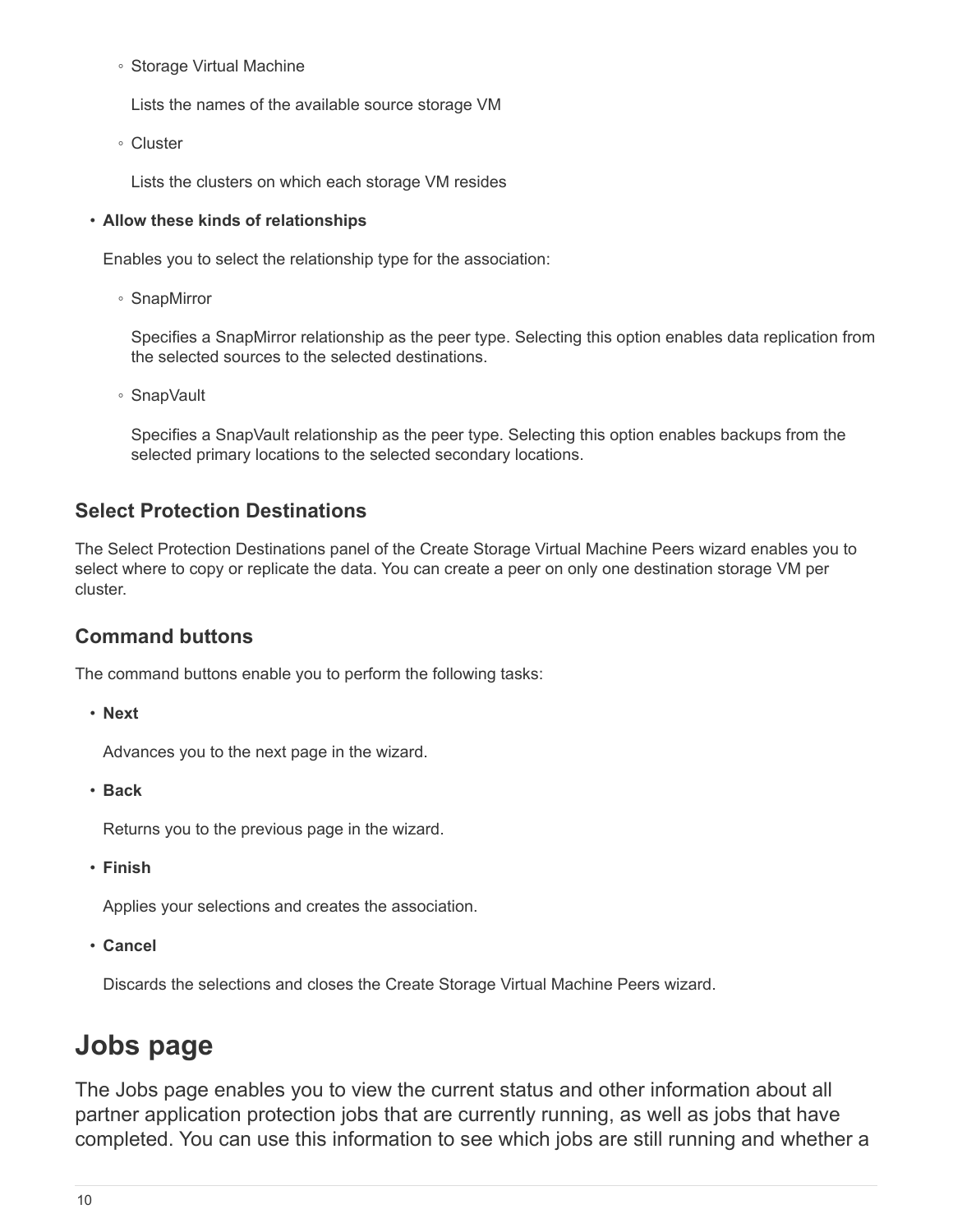◦ Storage Virtual Machine

Lists the names of the available source storage VM

◦ Cluster

Lists the clusters on which each storage VM resides

#### • **Allow these kinds of relationships**

Enables you to select the relationship type for the association:

◦ SnapMirror

Specifies a SnapMirror relationship as the peer type. Selecting this option enables data replication from the selected sources to the selected destinations.

◦ SnapVault

Specifies a SnapVault relationship as the peer type. Selecting this option enables backups from the selected primary locations to the selected secondary locations.

## **Select Protection Destinations**

The Select Protection Destinations panel of the Create Storage Virtual Machine Peers wizard enables you to select where to copy or replicate the data. You can create a peer on only one destination storage VM per cluster.

## **Command buttons**

The command buttons enable you to perform the following tasks:

• **Next**

Advances you to the next page in the wizard.

• **Back**

Returns you to the previous page in the wizard.

• **Finish**

Applies your selections and creates the association.

• **Cancel**

Discards the selections and closes the Create Storage Virtual Machine Peers wizard.

# <span id="page-11-0"></span>**Jobs page**

The Jobs page enables you to view the current status and other information about all partner application protection jobs that are currently running, as well as jobs that have completed. You can use this information to see which jobs are still running and whether a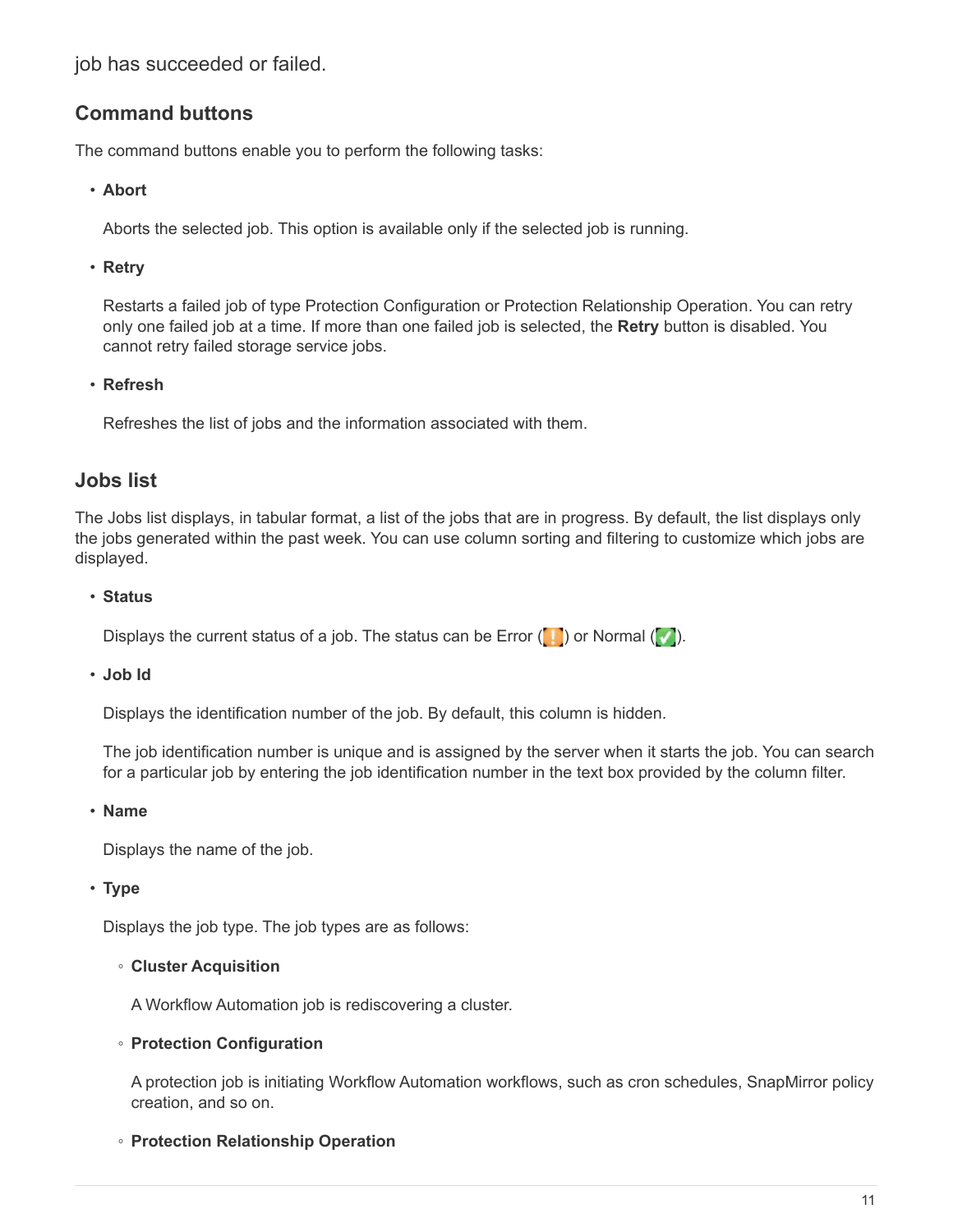job has succeeded or failed.

# **Command buttons**

The command buttons enable you to perform the following tasks:

## • **Abort**

Aborts the selected job. This option is available only if the selected job is running.

## • **Retry**

Restarts a failed job of type Protection Configuration or Protection Relationship Operation. You can retry only one failed job at a time. If more than one failed job is selected, the **Retry** button is disabled. You cannot retry failed storage service jobs.

## • **Refresh**

Refreshes the list of jobs and the information associated with them.

## **Jobs list**

The Jobs list displays, in tabular format, a list of the jobs that are in progress. By default, the list displays only the jobs generated within the past week. You can use column sorting and filtering to customize which jobs are displayed.

## • **Status**

Displays the current status of a job. The status can be Error  $(\Box)$  or Normal  $(\Box)$ .

## • **Job Id**

Displays the identification number of the job. By default, this column is hidden.

The job identification number is unique and is assigned by the server when it starts the job. You can search for a particular job by entering the job identification number in the text box provided by the column filter.

## • **Name**

Displays the name of the job.

## • **Type**

Displays the job type. The job types are as follows:

## ◦ **Cluster Acquisition**

A Workflow Automation job is rediscovering a cluster.

## ◦ **Protection Configuration**

A protection job is initiating Workflow Automation workflows, such as cron schedules, SnapMirror policy creation, and so on.

## ◦ **Protection Relationship Operation**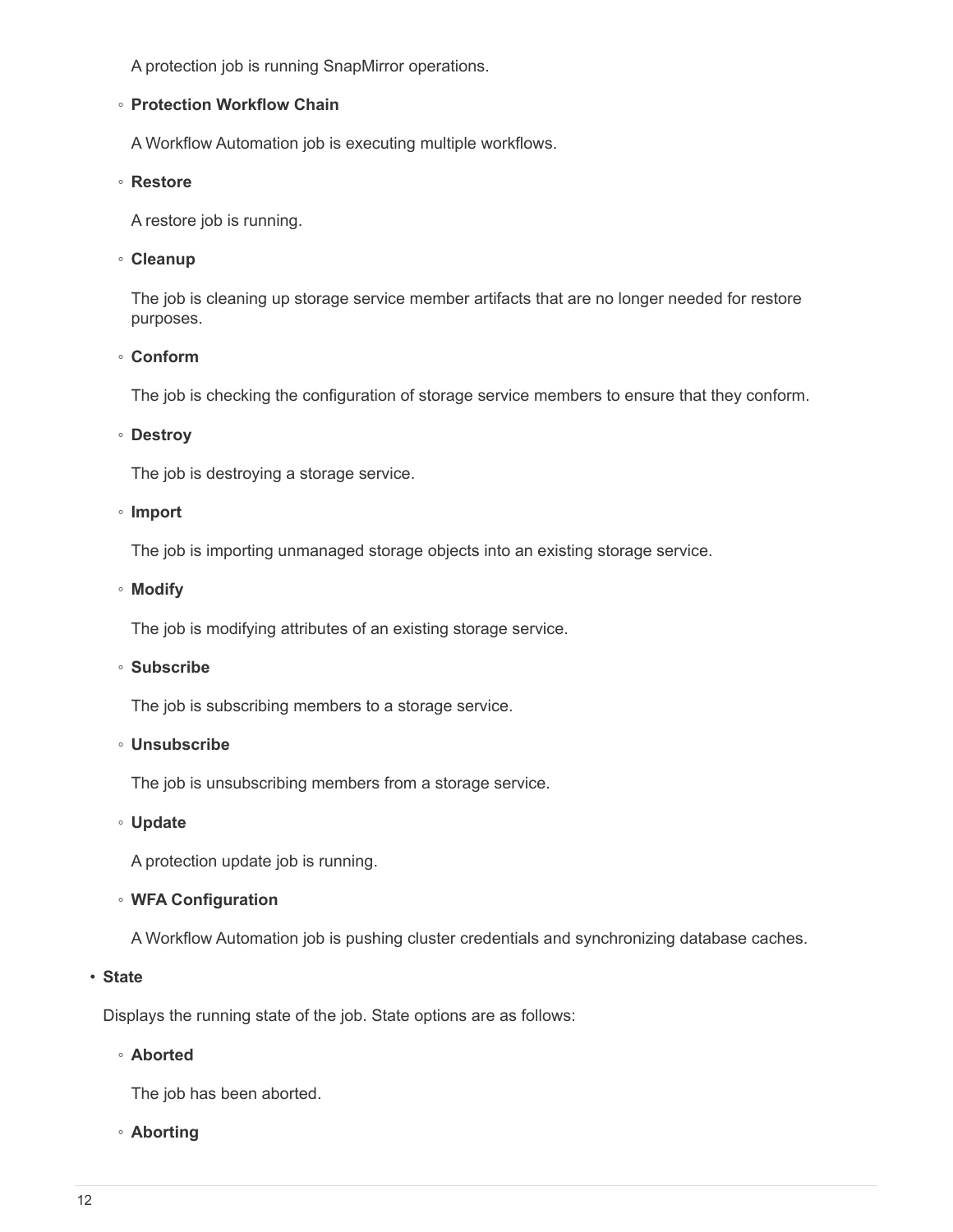A protection job is running SnapMirror operations.

#### ◦ **Protection Workflow Chain**

A Workflow Automation job is executing multiple workflows.

#### ◦ **Restore**

A restore job is running.

#### ◦ **Cleanup**

The job is cleaning up storage service member artifacts that are no longer needed for restore purposes.

#### ◦ **Conform**

The job is checking the configuration of storage service members to ensure that they conform.

#### ◦ **Destroy**

The job is destroying a storage service.

#### ◦ **Import**

The job is importing unmanaged storage objects into an existing storage service.

#### ◦ **Modify**

The job is modifying attributes of an existing storage service.

#### ◦ **Subscribe**

The job is subscribing members to a storage service.

#### ◦ **Unsubscribe**

The job is unsubscribing members from a storage service.

#### ◦ **Update**

A protection update job is running.

## ◦ **WFA Configuration**

A Workflow Automation job is pushing cluster credentials and synchronizing database caches.

#### • **State**

Displays the running state of the job. State options are as follows:

## ◦ **Aborted**

The job has been aborted.

#### ◦ **Aborting**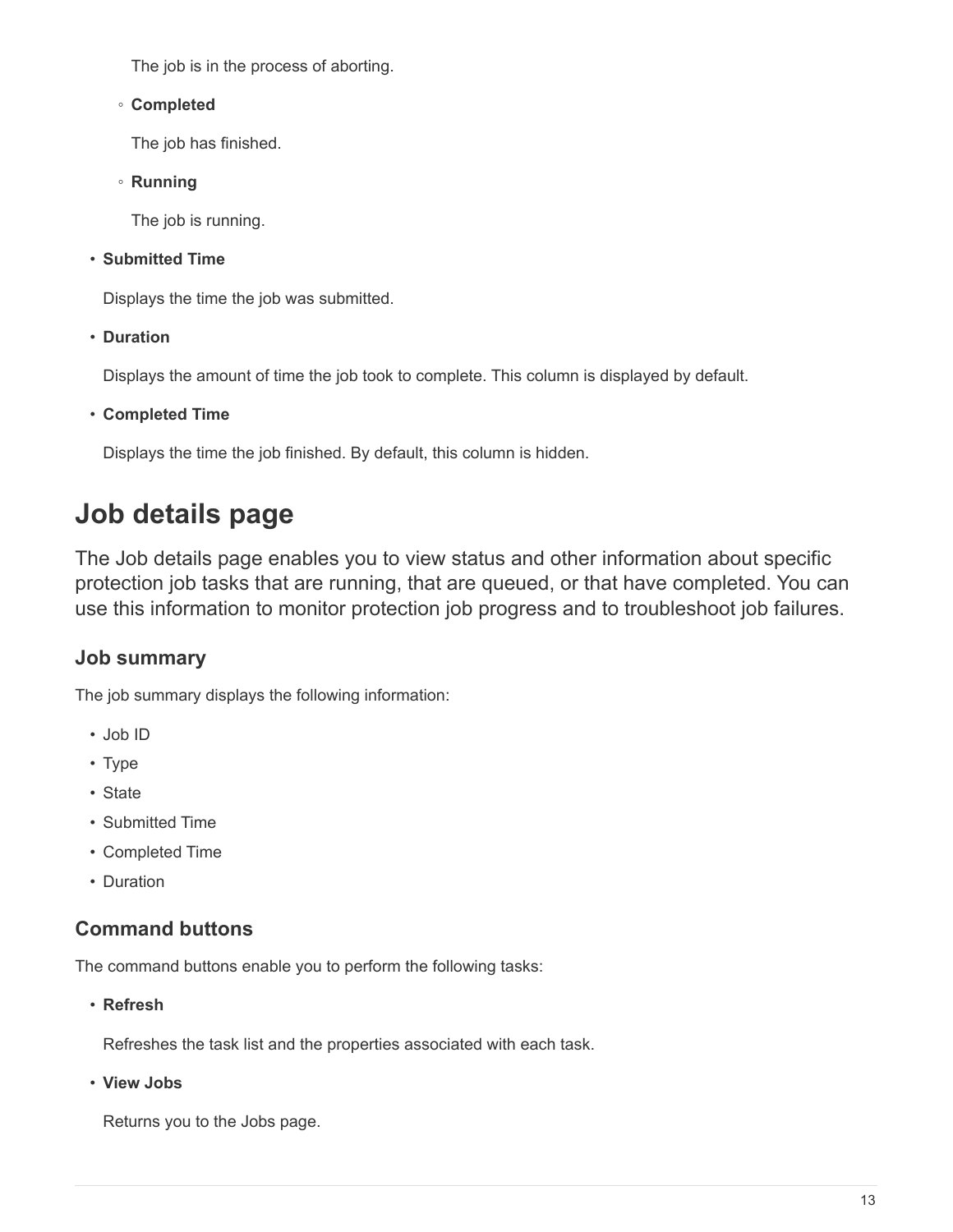The job is in the process of aborting.

## ◦ **Completed**

The job has finished.

◦ **Running**

The job is running.

• **Submitted Time**

Displays the time the job was submitted.

• **Duration**

Displays the amount of time the job took to complete. This column is displayed by default.

• **Completed Time**

Displays the time the job finished. By default, this column is hidden.

# <span id="page-14-0"></span>**Job details page**

The Job details page enables you to view status and other information about specific protection job tasks that are running, that are queued, or that have completed. You can use this information to monitor protection job progress and to troubleshoot job failures.

# **Job summary**

The job summary displays the following information:

- Job ID
- Type
- State
- Submitted Time
- Completed Time
- Duration

# **Command buttons**

The command buttons enable you to perform the following tasks:

• **Refresh**

Refreshes the task list and the properties associated with each task.

• **View Jobs**

Returns you to the Jobs page.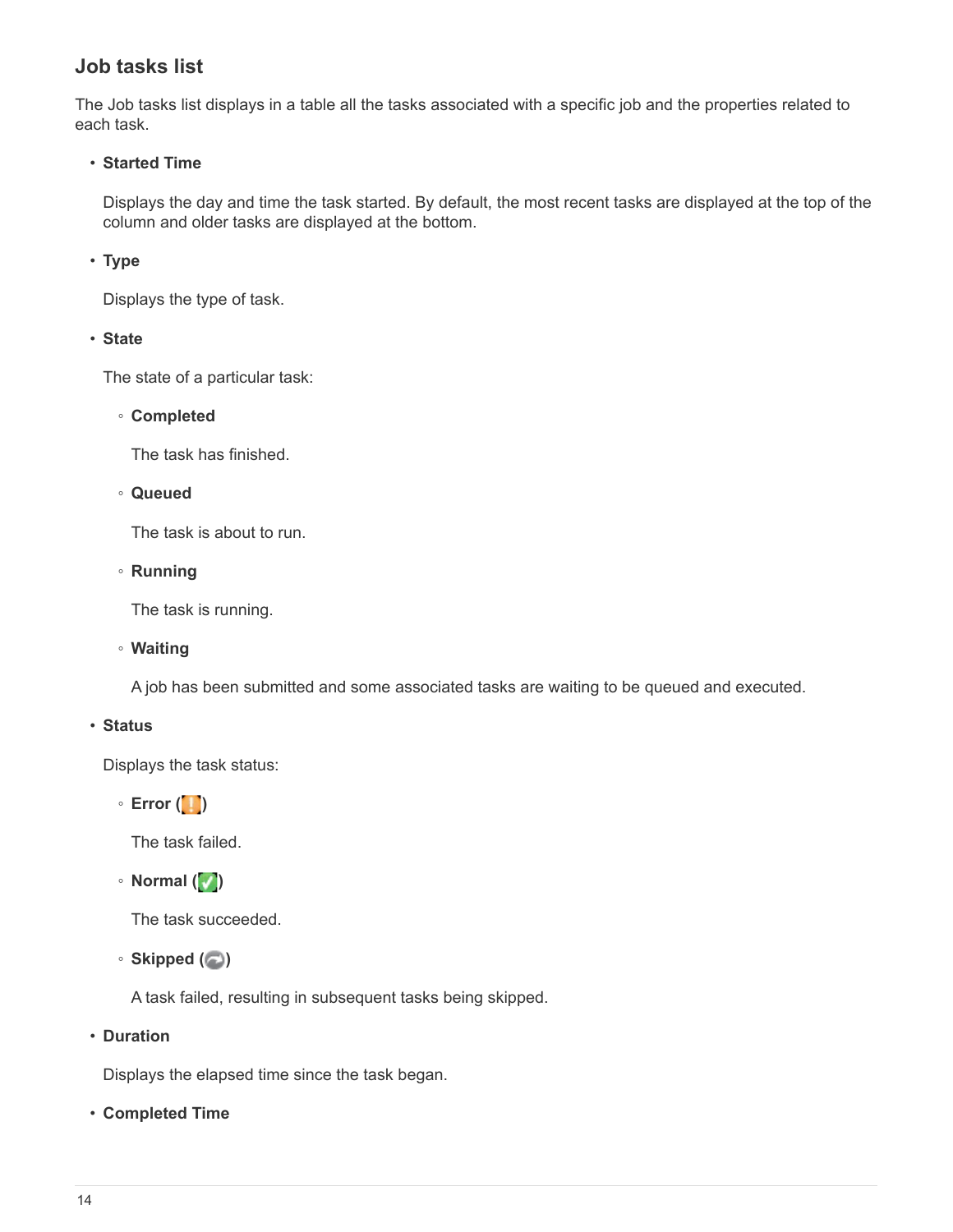# **Job tasks list**

The Job tasks list displays in a table all the tasks associated with a specific job and the properties related to each task.

## • **Started Time**

Displays the day and time the task started. By default, the most recent tasks are displayed at the top of the column and older tasks are displayed at the bottom.

#### • **Type**

Displays the type of task.

• **State**

The state of a particular task:

◦ **Completed**

The task has finished.

◦ **Queued**

The task is about to run.

◦ **Running**

The task is running.

◦ **Waiting**

A job has been submitted and some associated tasks are waiting to be queued and executed.

#### • **Status**

Displays the task status:

◦ **Error ( )**

The task failed.

◦ **Normal ( )**

The task succeeded.

◦ **Skipped ( )**

A task failed, resulting in subsequent tasks being skipped.

• **Duration**

Displays the elapsed time since the task began.

• **Completed Time**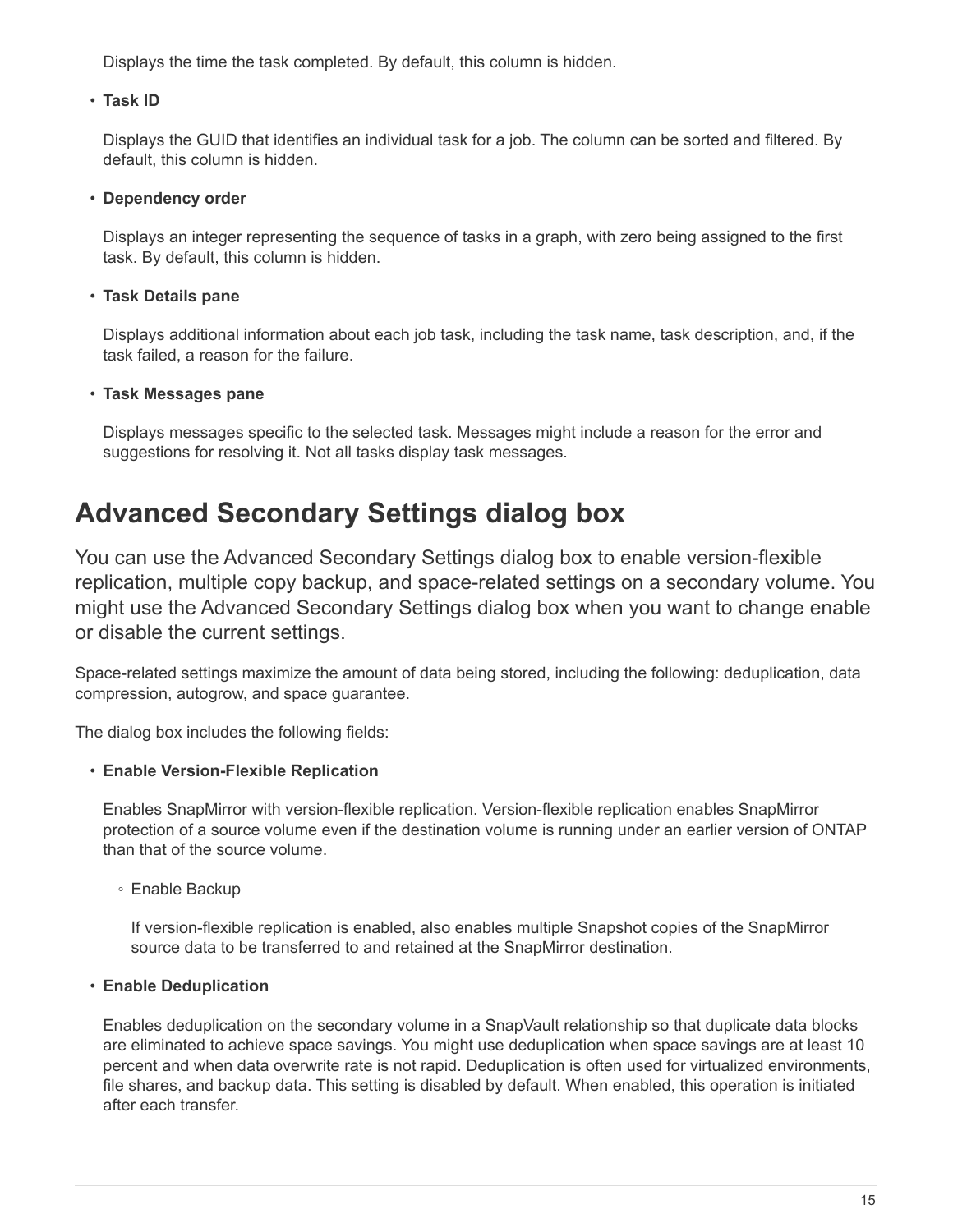Displays the time the task completed. By default, this column is hidden.

#### • **Task ID**

Displays the GUID that identifies an individual task for a job. The column can be sorted and filtered. By default, this column is hidden.

#### • **Dependency order**

Displays an integer representing the sequence of tasks in a graph, with zero being assigned to the first task. By default, this column is hidden.

## • **Task Details pane**

Displays additional information about each job task, including the task name, task description, and, if the task failed, a reason for the failure.

#### • **Task Messages pane**

Displays messages specific to the selected task. Messages might include a reason for the error and suggestions for resolving it. Not all tasks display task messages.

# <span id="page-16-0"></span>**Advanced Secondary Settings dialog box**

You can use the Advanced Secondary Settings dialog box to enable version-flexible replication, multiple copy backup, and space-related settings on a secondary volume. You might use the Advanced Secondary Settings dialog box when you want to change enable or disable the current settings.

Space-related settings maximize the amount of data being stored, including the following: deduplication, data compression, autogrow, and space guarantee.

The dialog box includes the following fields:

## • **Enable Version-Flexible Replication**

Enables SnapMirror with version-flexible replication. Version-flexible replication enables SnapMirror protection of a source volume even if the destination volume is running under an earlier version of ONTAP than that of the source volume.

◦ Enable Backup

If version-flexible replication is enabled, also enables multiple Snapshot copies of the SnapMirror source data to be transferred to and retained at the SnapMirror destination.

#### • **Enable Deduplication**

Enables deduplication on the secondary volume in a SnapVault relationship so that duplicate data blocks are eliminated to achieve space savings. You might use deduplication when space savings are at least 10 percent and when data overwrite rate is not rapid. Deduplication is often used for virtualized environments, file shares, and backup data. This setting is disabled by default. When enabled, this operation is initiated after each transfer.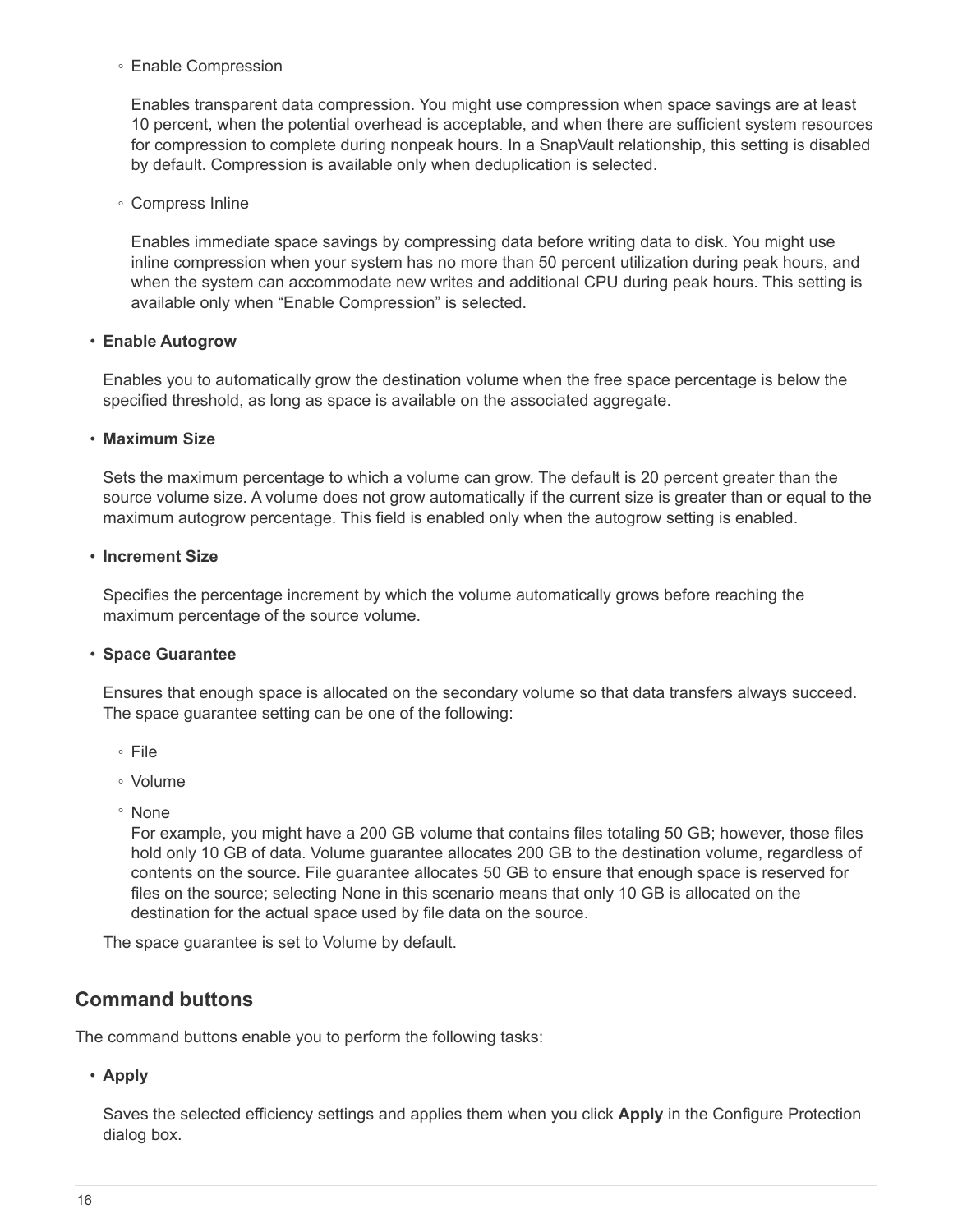◦ Enable Compression

Enables transparent data compression. You might use compression when space savings are at least 10 percent, when the potential overhead is acceptable, and when there are sufficient system resources for compression to complete during nonpeak hours. In a SnapVault relationship, this setting is disabled by default. Compression is available only when deduplication is selected.

◦ Compress Inline

Enables immediate space savings by compressing data before writing data to disk. You might use inline compression when your system has no more than 50 percent utilization during peak hours, and when the system can accommodate new writes and additional CPU during peak hours. This setting is available only when "Enable Compression" is selected.

#### • **Enable Autogrow**

Enables you to automatically grow the destination volume when the free space percentage is below the specified threshold, as long as space is available on the associated aggregate.

#### • **Maximum Size**

Sets the maximum percentage to which a volume can grow. The default is 20 percent greater than the source volume size. A volume does not grow automatically if the current size is greater than or equal to the maximum autogrow percentage. This field is enabled only when the autogrow setting is enabled.

#### • **Increment Size**

Specifies the percentage increment by which the volume automatically grows before reaching the maximum percentage of the source volume.

#### • **Space Guarantee**

Ensures that enough space is allocated on the secondary volume so that data transfers always succeed. The space guarantee setting can be one of the following:

- File
- Volume
- None

For example, you might have a 200 GB volume that contains files totaling 50 GB; however, those files hold only 10 GB of data. Volume guarantee allocates 200 GB to the destination volume, regardless of contents on the source. File guarantee allocates 50 GB to ensure that enough space is reserved for files on the source; selecting None in this scenario means that only 10 GB is allocated on the destination for the actual space used by file data on the source.

The space guarantee is set to Volume by default.

## **Command buttons**

The command buttons enable you to perform the following tasks:

#### • **Apply**

Saves the selected efficiency settings and applies them when you click **Apply** in the Configure Protection dialog box.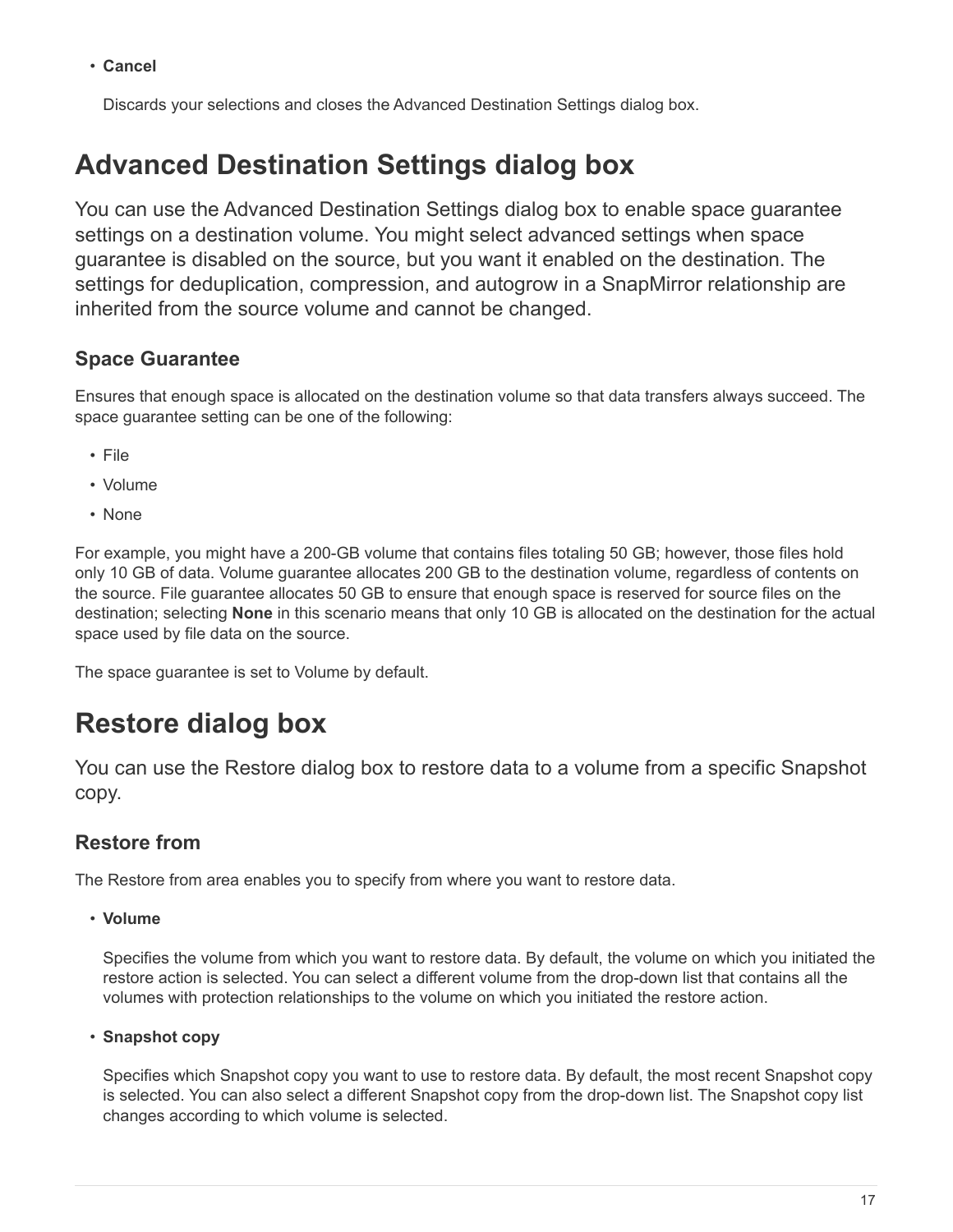• **Cancel**

Discards your selections and closes the Advanced Destination Settings dialog box.

# <span id="page-18-0"></span>**Advanced Destination Settings dialog box**

You can use the Advanced Destination Settings dialog box to enable space guarantee settings on a destination volume. You might select advanced settings when space guarantee is disabled on the source, but you want it enabled on the destination. The settings for deduplication, compression, and autogrow in a SnapMirror relationship are inherited from the source volume and cannot be changed.

# **Space Guarantee**

Ensures that enough space is allocated on the destination volume so that data transfers always succeed. The space guarantee setting can be one of the following:

- File
- Volume
- None

For example, you might have a 200-GB volume that contains files totaling 50 GB; however, those files hold only 10 GB of data. Volume guarantee allocates 200 GB to the destination volume, regardless of contents on the source. File guarantee allocates 50 GB to ensure that enough space is reserved for source files on the destination; selecting **None** in this scenario means that only 10 GB is allocated on the destination for the actual space used by file data on the source.

The space guarantee is set to Volume by default.

# <span id="page-18-1"></span>**Restore dialog box**

You can use the Restore dialog box to restore data to a volume from a specific Snapshot copy.

# **Restore from**

The Restore from area enables you to specify from where you want to restore data.

• **Volume**

Specifies the volume from which you want to restore data. By default, the volume on which you initiated the restore action is selected. You can select a different volume from the drop-down list that contains all the volumes with protection relationships to the volume on which you initiated the restore action.

• **Snapshot copy**

Specifies which Snapshot copy you want to use to restore data. By default, the most recent Snapshot copy is selected. You can also select a different Snapshot copy from the drop-down list. The Snapshot copy list changes according to which volume is selected.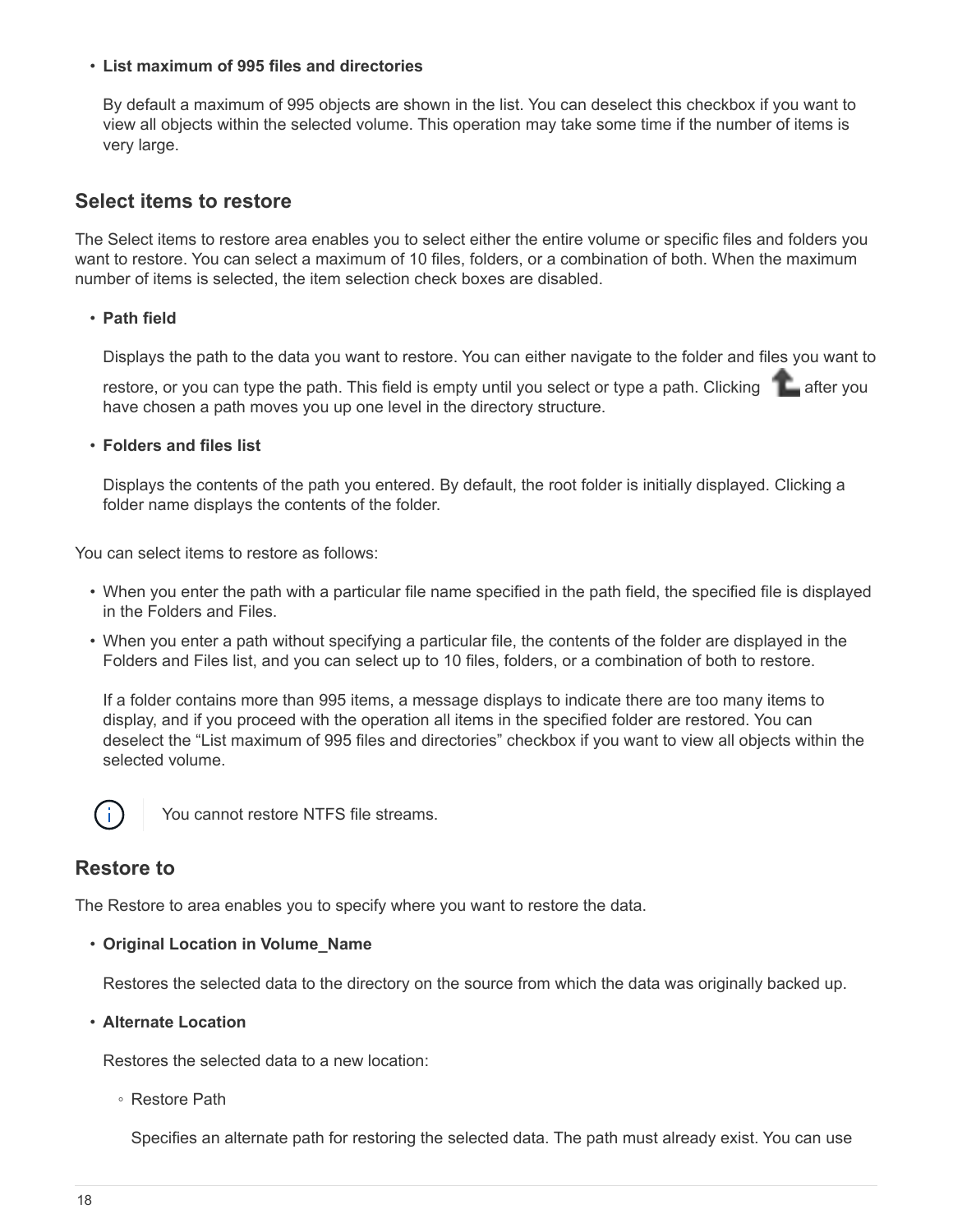#### • **List maximum of 995 files and directories**

By default a maximum of 995 objects are shown in the list. You can deselect this checkbox if you want to view all objects within the selected volume. This operation may take some time if the number of items is very large.

## **Select items to restore**

The Select items to restore area enables you to select either the entire volume or specific files and folders you want to restore. You can select a maximum of 10 files, folders, or a combination of both. When the maximum number of items is selected, the item selection check boxes are disabled.

#### • **Path field**

Displays the path to the data you want to restore. You can either navigate to the folder and files you want to

restore, or you can type the path. This field is empty until you select or type a path. Clicking after you have chosen a path moves you up one level in the directory structure.

#### • **Folders and files list**

Displays the contents of the path you entered. By default, the root folder is initially displayed. Clicking a folder name displays the contents of the folder.

You can select items to restore as follows:

- When you enter the path with a particular file name specified in the path field, the specified file is displayed in the Folders and Files.
- When you enter a path without specifying a particular file, the contents of the folder are displayed in the Folders and Files list, and you can select up to 10 files, folders, or a combination of both to restore.

If a folder contains more than 995 items, a message displays to indicate there are too many items to display, and if you proceed with the operation all items in the specified folder are restored. You can deselect the "List maximum of 995 files and directories" checkbox if you want to view all objects within the selected volume.



You cannot restore NTFS file streams.

## **Restore to**

The Restore to area enables you to specify where you want to restore the data.

#### • **Original Location in Volume\_Name**

Restores the selected data to the directory on the source from which the data was originally backed up.

#### • **Alternate Location**

Restores the selected data to a new location:

◦ Restore Path

Specifies an alternate path for restoring the selected data. The path must already exist. You can use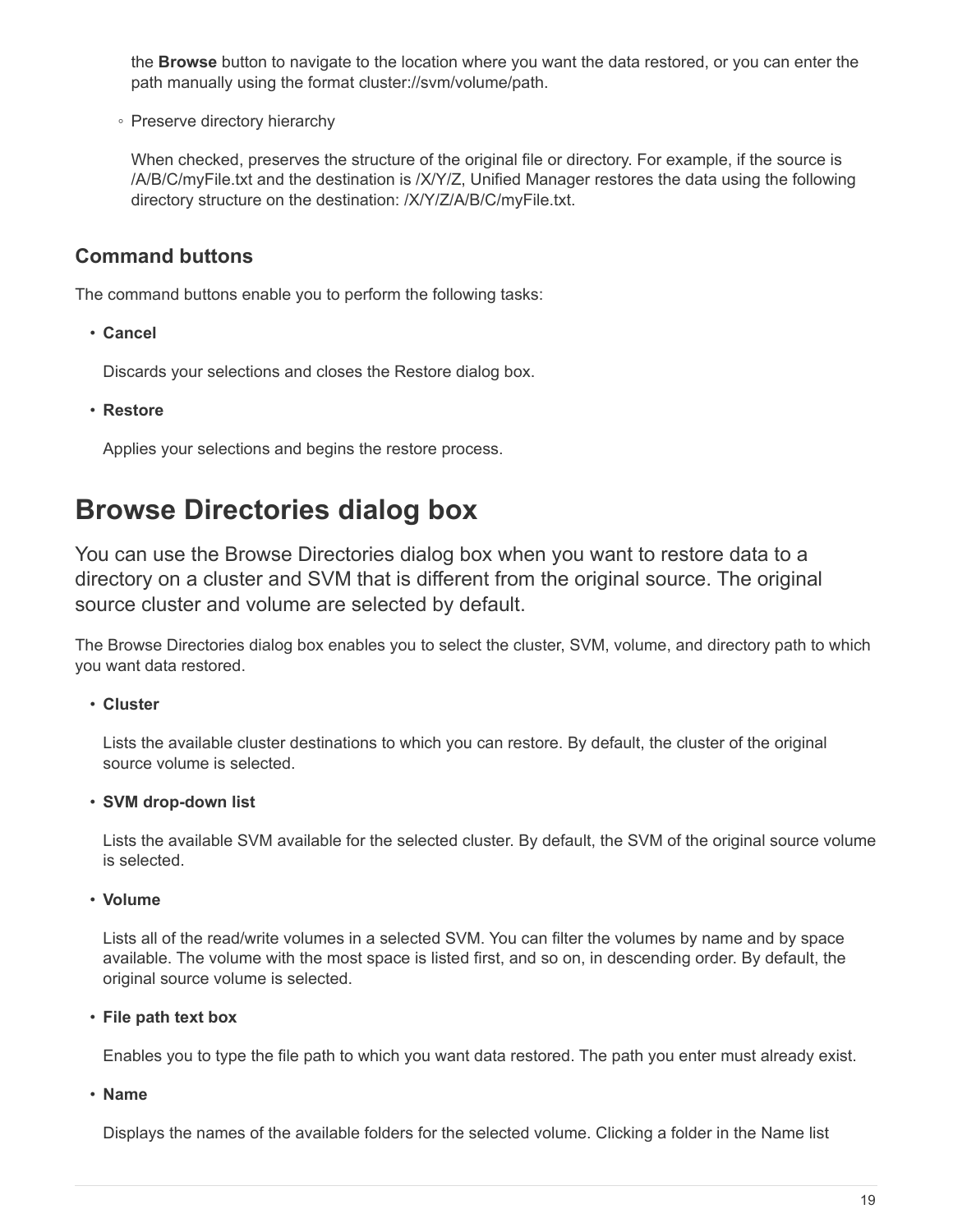the **Browse** button to navigate to the location where you want the data restored, or you can enter the path manually using the format cluster://svm/volume/path.

◦ Preserve directory hierarchy

When checked, preserves the structure of the original file or directory. For example, if the source is /A/B/C/myFile.txt and the destination is /X/Y/Z, Unified Manager restores the data using the following directory structure on the destination: /X/Y/Z/A/B/C/myFile.txt.

# **Command buttons**

The command buttons enable you to perform the following tasks:

• **Cancel**

Discards your selections and closes the Restore dialog box.

• **Restore**

Applies your selections and begins the restore process.

# <span id="page-20-0"></span>**Browse Directories dialog box**

You can use the Browse Directories dialog box when you want to restore data to a directory on a cluster and SVM that is different from the original source. The original source cluster and volume are selected by default.

The Browse Directories dialog box enables you to select the cluster, SVM, volume, and directory path to which you want data restored.

## • **Cluster**

Lists the available cluster destinations to which you can restore. By default, the cluster of the original source volume is selected.

## • **SVM drop-down list**

Lists the available SVM available for the selected cluster. By default, the SVM of the original source volume is selected.

• **Volume**

Lists all of the read/write volumes in a selected SVM. You can filter the volumes by name and by space available. The volume with the most space is listed first, and so on, in descending order. By default, the original source volume is selected.

• **File path text box**

Enables you to type the file path to which you want data restored. The path you enter must already exist.

• **Name**

Displays the names of the available folders for the selected volume. Clicking a folder in the Name list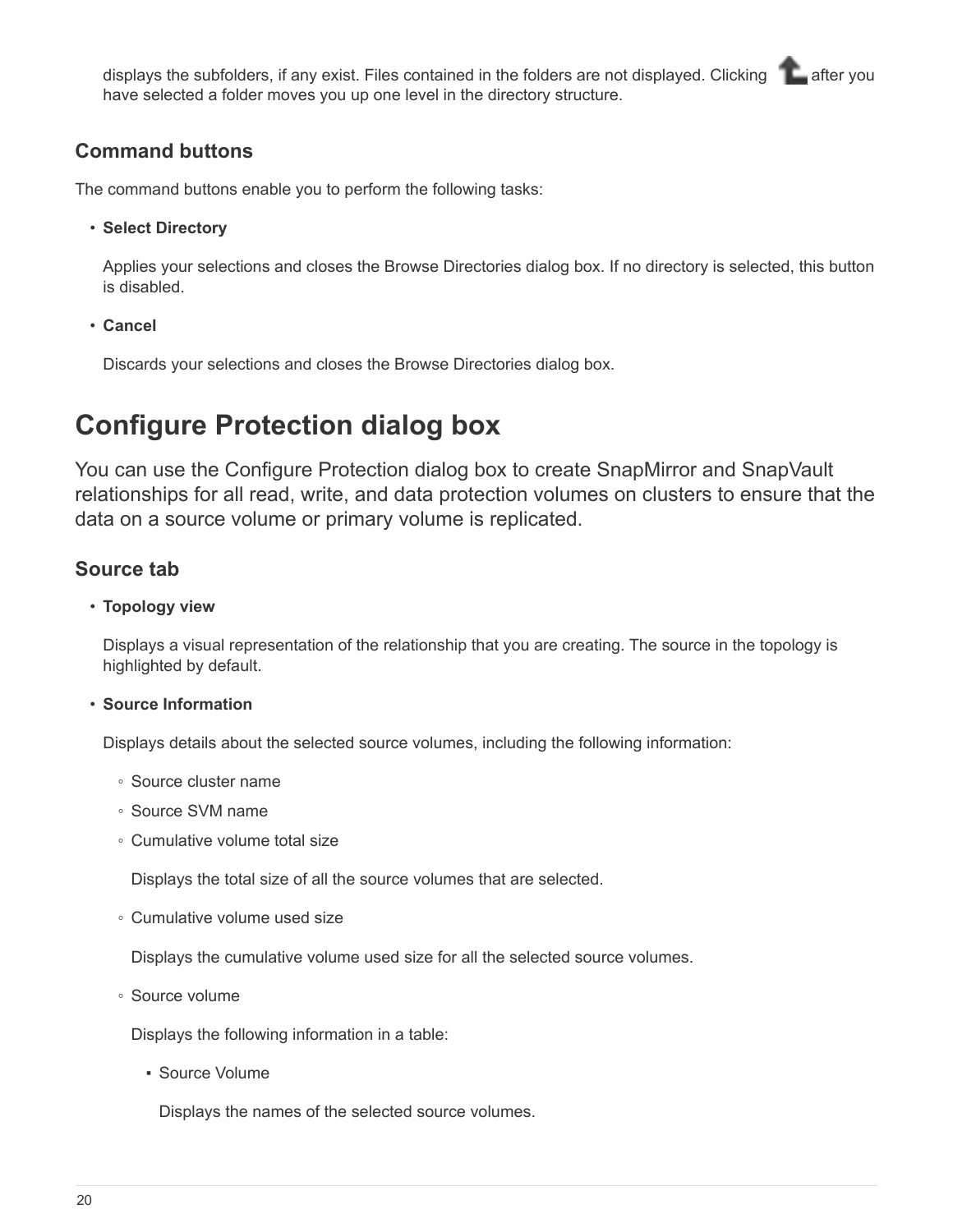displays the subfolders, if any exist. Files contained in the folders are not displayed. Clicking after you have selected a folder moves you up one level in the directory structure.

## **Command buttons**

The command buttons enable you to perform the following tasks:

• **Select Directory**

Applies your selections and closes the Browse Directories dialog box. If no directory is selected, this button is disabled.

• **Cancel**

Discards your selections and closes the Browse Directories dialog box.

# <span id="page-21-0"></span>**Configure Protection dialog box**

You can use the Configure Protection dialog box to create SnapMirror and SnapVault relationships for all read, write, and data protection volumes on clusters to ensure that the data on a source volume or primary volume is replicated.

## **Source tab**

## • **Topology view**

Displays a visual representation of the relationship that you are creating. The source in the topology is highlighted by default.

## • **Source Information**

Displays details about the selected source volumes, including the following information:

- Source cluster name
- Source SVM name
- Cumulative volume total size

Displays the total size of all the source volumes that are selected.

◦ Cumulative volume used size

Displays the cumulative volume used size for all the selected source volumes.

◦ Source volume

Displays the following information in a table:

▪ Source Volume

Displays the names of the selected source volumes.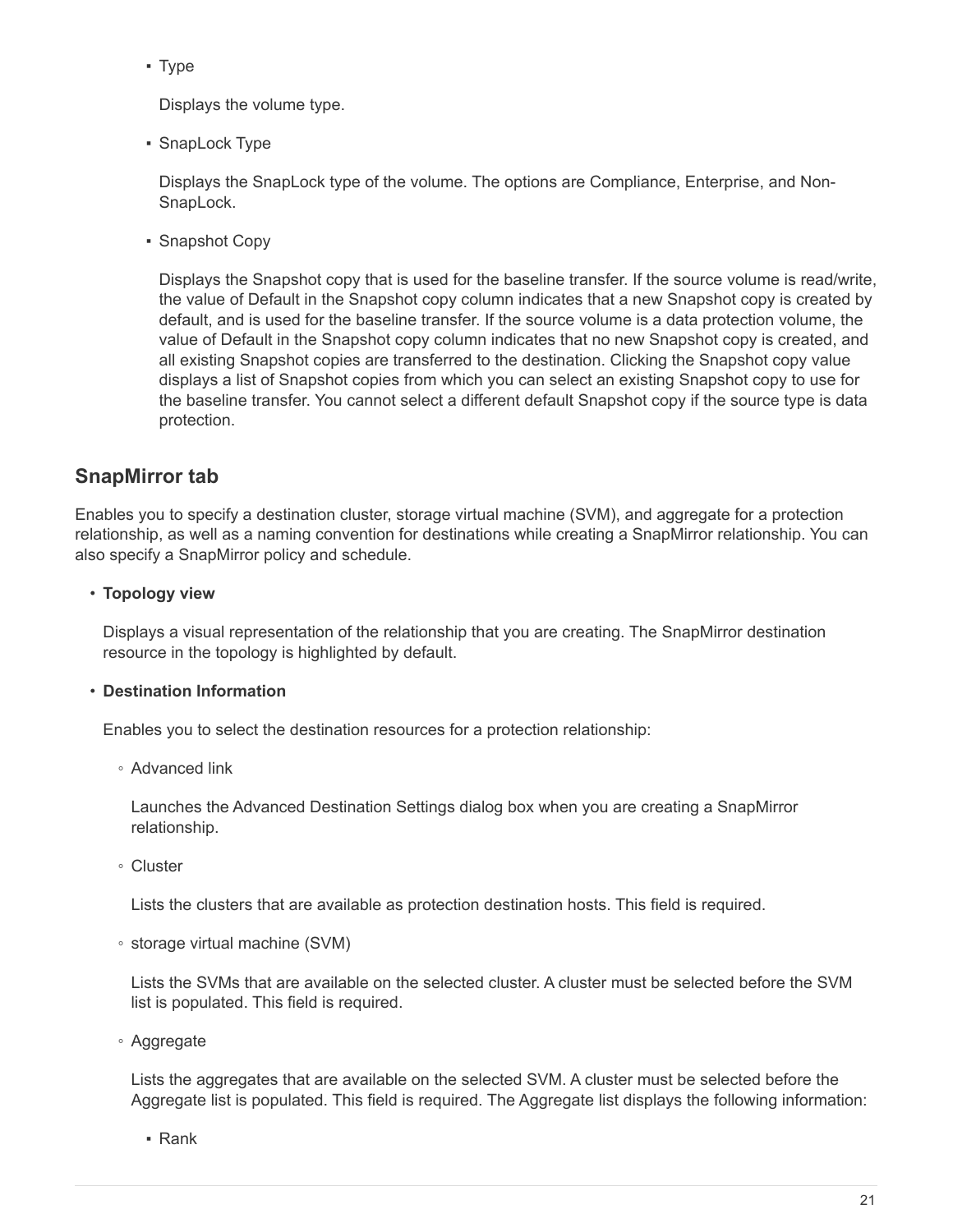▪ Type

Displays the volume type.

• SnapLock Type

Displays the SnapLock type of the volume. The options are Compliance, Enterprise, and Non-SnapLock.

▪ Snapshot Copy

Displays the Snapshot copy that is used for the baseline transfer. If the source volume is read/write, the value of Default in the Snapshot copy column indicates that a new Snapshot copy is created by default, and is used for the baseline transfer. If the source volume is a data protection volume, the value of Default in the Snapshot copy column indicates that no new Snapshot copy is created, and all existing Snapshot copies are transferred to the destination. Clicking the Snapshot copy value displays a list of Snapshot copies from which you can select an existing Snapshot copy to use for the baseline transfer. You cannot select a different default Snapshot copy if the source type is data protection.

## **SnapMirror tab**

Enables you to specify a destination cluster, storage virtual machine (SVM), and aggregate for a protection relationship, as well as a naming convention for destinations while creating a SnapMirror relationship. You can also specify a SnapMirror policy and schedule.

## • **Topology view**

Displays a visual representation of the relationship that you are creating. The SnapMirror destination resource in the topology is highlighted by default.

## • **Destination Information**

Enables you to select the destination resources for a protection relationship:

◦ Advanced link

Launches the Advanced Destination Settings dialog box when you are creating a SnapMirror relationship.

◦ Cluster

Lists the clusters that are available as protection destination hosts. This field is required.

◦ storage virtual machine (SVM)

Lists the SVMs that are available on the selected cluster. A cluster must be selected before the SVM list is populated. This field is required.

◦ Aggregate

Lists the aggregates that are available on the selected SVM. A cluster must be selected before the Aggregate list is populated. This field is required. The Aggregate list displays the following information:

▪ Rank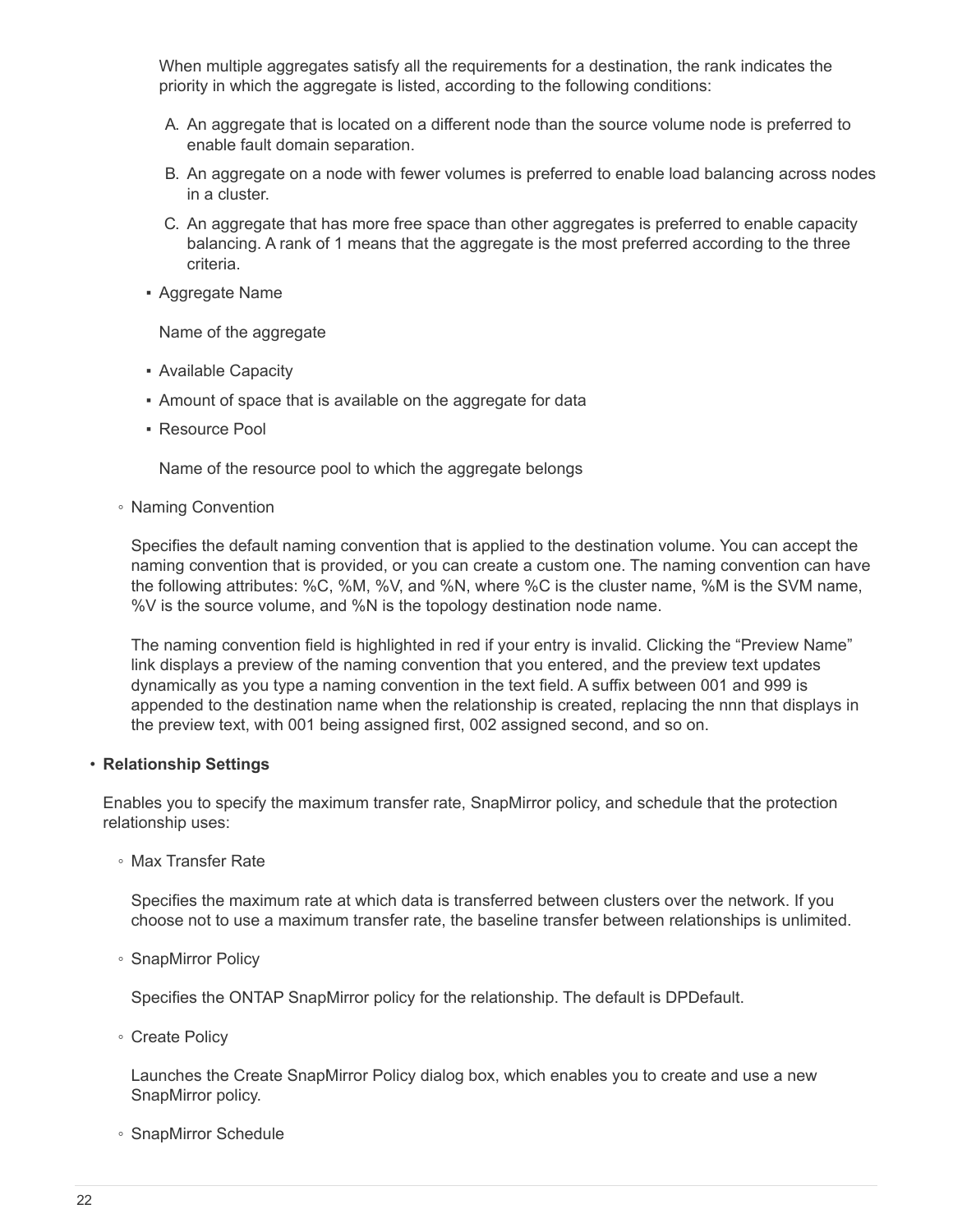When multiple aggregates satisfy all the requirements for a destination, the rank indicates the priority in which the aggregate is listed, according to the following conditions:

- A. An aggregate that is located on a different node than the source volume node is preferred to enable fault domain separation.
- B. An aggregate on a node with fewer volumes is preferred to enable load balancing across nodes in a cluster.
- C. An aggregate that has more free space than other aggregates is preferred to enable capacity balancing. A rank of 1 means that the aggregate is the most preferred according to the three criteria.
- Aggregate Name

Name of the aggregate

- Available Capacity
- **Amount of space that is available on the aggregate for data**
- Resource Pool

Name of the resource pool to which the aggregate belongs

◦ Naming Convention

Specifies the default naming convention that is applied to the destination volume. You can accept the naming convention that is provided, or you can create a custom one. The naming convention can have the following attributes: %C, %M, %V, and %N, where %C is the cluster name, %M is the SVM name, %V is the source volume, and %N is the topology destination node name.

The naming convention field is highlighted in red if your entry is invalid. Clicking the "Preview Name" link displays a preview of the naming convention that you entered, and the preview text updates dynamically as you type a naming convention in the text field. A suffix between 001 and 999 is appended to the destination name when the relationship is created, replacing the nnn that displays in the preview text, with 001 being assigned first, 002 assigned second, and so on.

#### • **Relationship Settings**

Enables you to specify the maximum transfer rate, SnapMirror policy, and schedule that the protection relationship uses:

◦ Max Transfer Rate

Specifies the maximum rate at which data is transferred between clusters over the network. If you choose not to use a maximum transfer rate, the baseline transfer between relationships is unlimited.

◦ SnapMirror Policy

Specifies the ONTAP SnapMirror policy for the relationship. The default is DPDefault.

◦ Create Policy

Launches the Create SnapMirror Policy dialog box, which enables you to create and use a new SnapMirror policy.

◦ SnapMirror Schedule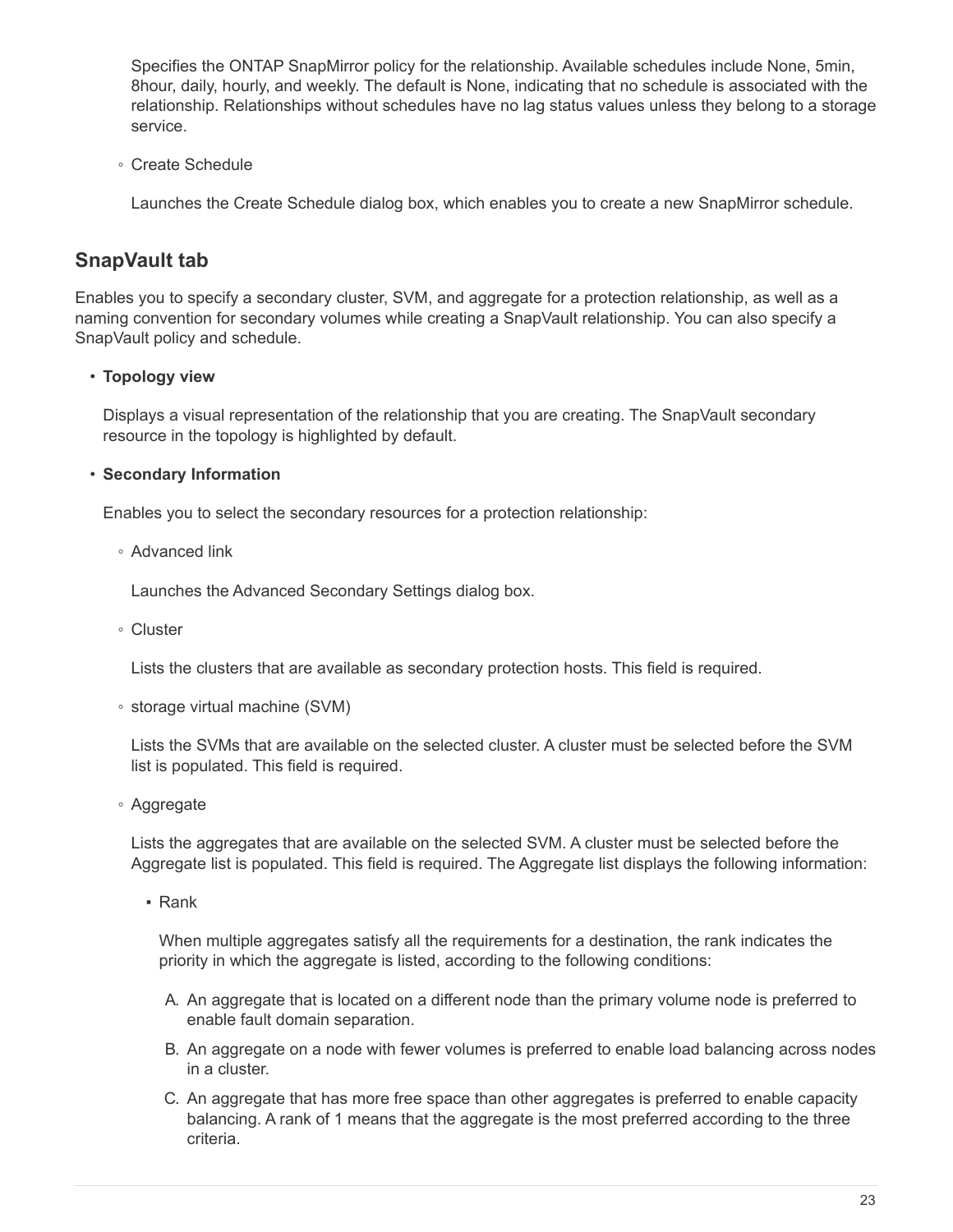Specifies the ONTAP SnapMirror policy for the relationship. Available schedules include None, 5min, 8hour, daily, hourly, and weekly. The default is None, indicating that no schedule is associated with the relationship. Relationships without schedules have no lag status values unless they belong to a storage service.

◦ Create Schedule

Launches the Create Schedule dialog box, which enables you to create a new SnapMirror schedule.

# **SnapVault tab**

Enables you to specify a secondary cluster, SVM, and aggregate for a protection relationship, as well as a naming convention for secondary volumes while creating a SnapVault relationship. You can also specify a SnapVault policy and schedule.

## • **Topology view**

Displays a visual representation of the relationship that you are creating. The SnapVault secondary resource in the topology is highlighted by default.

## • **Secondary Information**

Enables you to select the secondary resources for a protection relationship:

◦ Advanced link

Launches the Advanced Secondary Settings dialog box.

◦ Cluster

Lists the clusters that are available as secondary protection hosts. This field is required.

◦ storage virtual machine (SVM)

Lists the SVMs that are available on the selected cluster. A cluster must be selected before the SVM list is populated. This field is required.

◦ Aggregate

Lists the aggregates that are available on the selected SVM. A cluster must be selected before the Aggregate list is populated. This field is required. The Aggregate list displays the following information:

▪ Rank

When multiple aggregates satisfy all the requirements for a destination, the rank indicates the priority in which the aggregate is listed, according to the following conditions:

- A. An aggregate that is located on a different node than the primary volume node is preferred to enable fault domain separation.
- B. An aggregate on a node with fewer volumes is preferred to enable load balancing across nodes in a cluster.
- C. An aggregate that has more free space than other aggregates is preferred to enable capacity balancing. A rank of 1 means that the aggregate is the most preferred according to the three criteria.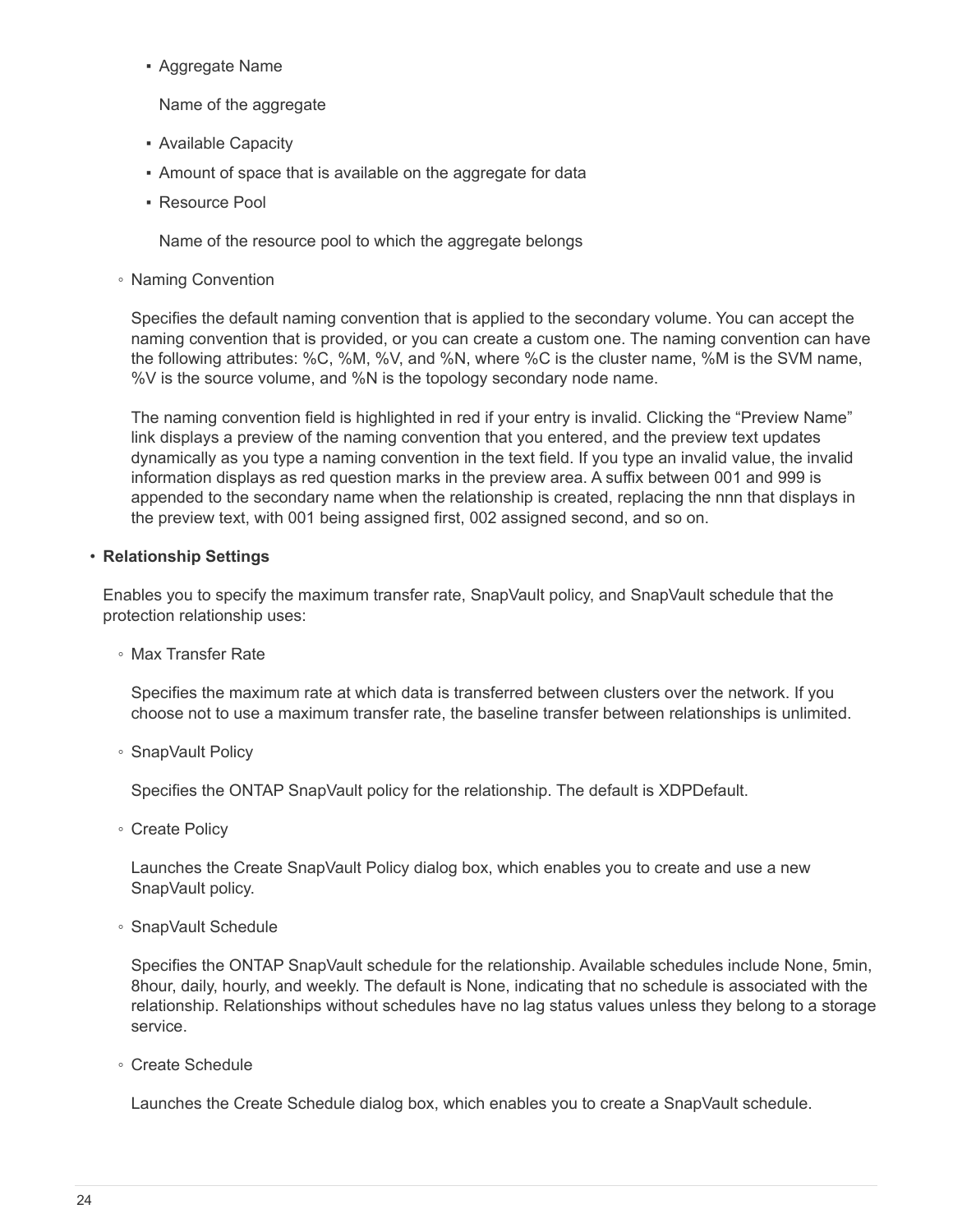▪ Aggregate Name

Name of the aggregate

- Available Capacity
- Amount of space that is available on the aggregate for data
- Resource Pool

Name of the resource pool to which the aggregate belongs

◦ Naming Convention

Specifies the default naming convention that is applied to the secondary volume. You can accept the naming convention that is provided, or you can create a custom one. The naming convention can have the following attributes: %C, %M, %V, and %N, where %C is the cluster name, %M is the SVM name, %V is the source volume, and %N is the topology secondary node name.

The naming convention field is highlighted in red if your entry is invalid. Clicking the "Preview Name" link displays a preview of the naming convention that you entered, and the preview text updates dynamically as you type a naming convention in the text field. If you type an invalid value, the invalid information displays as red question marks in the preview area. A suffix between 001 and 999 is appended to the secondary name when the relationship is created, replacing the nnn that displays in the preview text, with 001 being assigned first, 002 assigned second, and so on.

#### • **Relationship Settings**

Enables you to specify the maximum transfer rate, SnapVault policy, and SnapVault schedule that the protection relationship uses:

◦ Max Transfer Rate

Specifies the maximum rate at which data is transferred between clusters over the network. If you choose not to use a maximum transfer rate, the baseline transfer between relationships is unlimited.

◦ SnapVault Policy

Specifies the ONTAP SnapVault policy for the relationship. The default is XDPDefault.

◦ Create Policy

Launches the Create SnapVault Policy dialog box, which enables you to create and use a new SnapVault policy.

◦ SnapVault Schedule

Specifies the ONTAP SnapVault schedule for the relationship. Available schedules include None, 5min, 8hour, daily, hourly, and weekly. The default is None, indicating that no schedule is associated with the relationship. Relationships without schedules have no lag status values unless they belong to a storage service.

◦ Create Schedule

Launches the Create Schedule dialog box, which enables you to create a SnapVault schedule.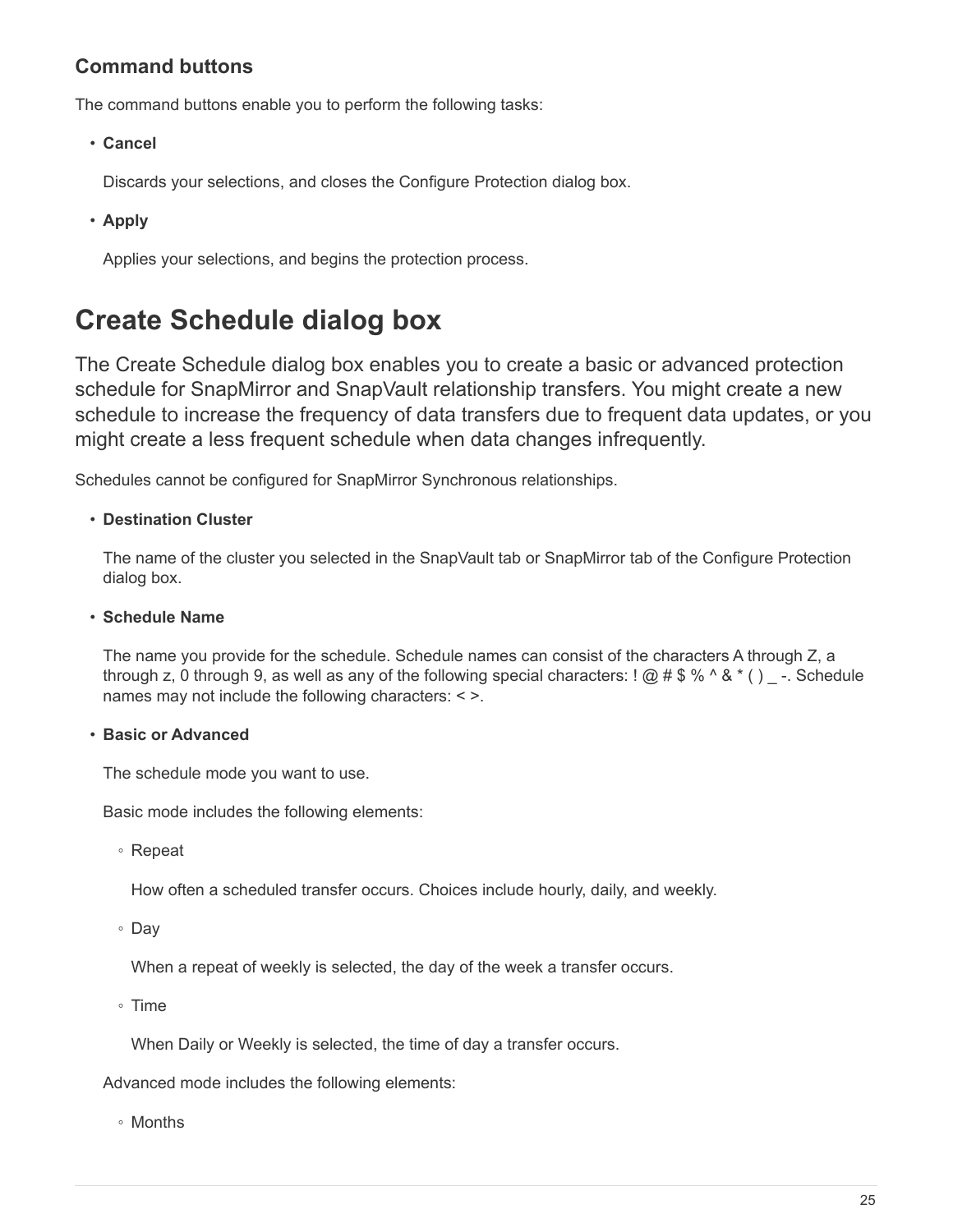# **Command buttons**

The command buttons enable you to perform the following tasks:

• **Cancel**

Discards your selections, and closes the Configure Protection dialog box.

• **Apply**

Applies your selections, and begins the protection process.

# <span id="page-26-0"></span>**Create Schedule dialog box**

The Create Schedule dialog box enables you to create a basic or advanced protection schedule for SnapMirror and SnapVault relationship transfers. You might create a new schedule to increase the frequency of data transfers due to frequent data updates, or you might create a less frequent schedule when data changes infrequently.

Schedules cannot be configured for SnapMirror Synchronous relationships.

#### • **Destination Cluster**

The name of the cluster you selected in the SnapVault tab or SnapMirror tab of the Configure Protection dialog box.

#### • **Schedule Name**

The name you provide for the schedule. Schedule names can consist of the characters A through Z, a through z, 0 through 9, as well as any of the following special characters: ! @ # \$ % ^ & \* ( ) -. Schedule names may not include the following characters: < >.

#### • **Basic or Advanced**

The schedule mode you want to use.

Basic mode includes the following elements:

◦ Repeat

How often a scheduled transfer occurs. Choices include hourly, daily, and weekly.

◦ Day

When a repeat of weekly is selected, the day of the week a transfer occurs.

◦ Time

When Daily or Weekly is selected, the time of day a transfer occurs.

Advanced mode includes the following elements:

◦ Months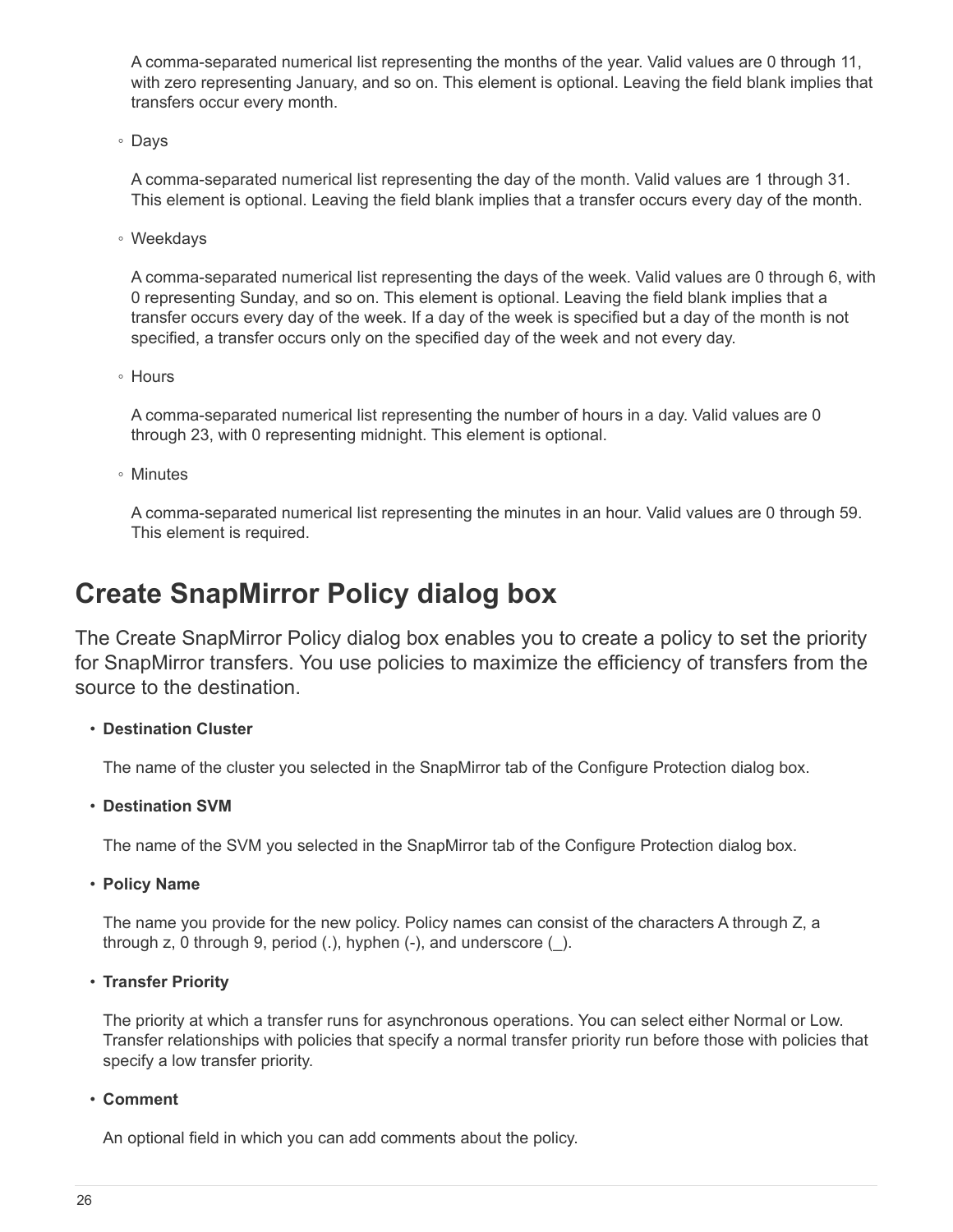A comma-separated numerical list representing the months of the year. Valid values are 0 through 11, with zero representing January, and so on. This element is optional. Leaving the field blank implies that transfers occur every month.

◦ Days

A comma-separated numerical list representing the day of the month. Valid values are 1 through 31. This element is optional. Leaving the field blank implies that a transfer occurs every day of the month.

◦ Weekdays

A comma-separated numerical list representing the days of the week. Valid values are 0 through 6, with 0 representing Sunday, and so on. This element is optional. Leaving the field blank implies that a transfer occurs every day of the week. If a day of the week is specified but a day of the month is not specified, a transfer occurs only on the specified day of the week and not every day.

◦ Hours

A comma-separated numerical list representing the number of hours in a day. Valid values are 0 through 23, with 0 representing midnight. This element is optional.

◦ Minutes

A comma-separated numerical list representing the minutes in an hour. Valid values are 0 through 59. This element is required.

# <span id="page-27-0"></span>**Create SnapMirror Policy dialog box**

The Create SnapMirror Policy dialog box enables you to create a policy to set the priority for SnapMirror transfers. You use policies to maximize the efficiency of transfers from the source to the destination.

## • **Destination Cluster**

The name of the cluster you selected in the SnapMirror tab of the Configure Protection dialog box.

#### • **Destination SVM**

The name of the SVM you selected in the SnapMirror tab of the Configure Protection dialog box.

• **Policy Name**

The name you provide for the new policy. Policy names can consist of the characters A through Z, a through z, 0 through 9, period (.), hyphen (-), and underscore (\_).

• **Transfer Priority**

The priority at which a transfer runs for asynchronous operations. You can select either Normal or Low. Transfer relationships with policies that specify a normal transfer priority run before those with policies that specify a low transfer priority.

• **Comment**

An optional field in which you can add comments about the policy.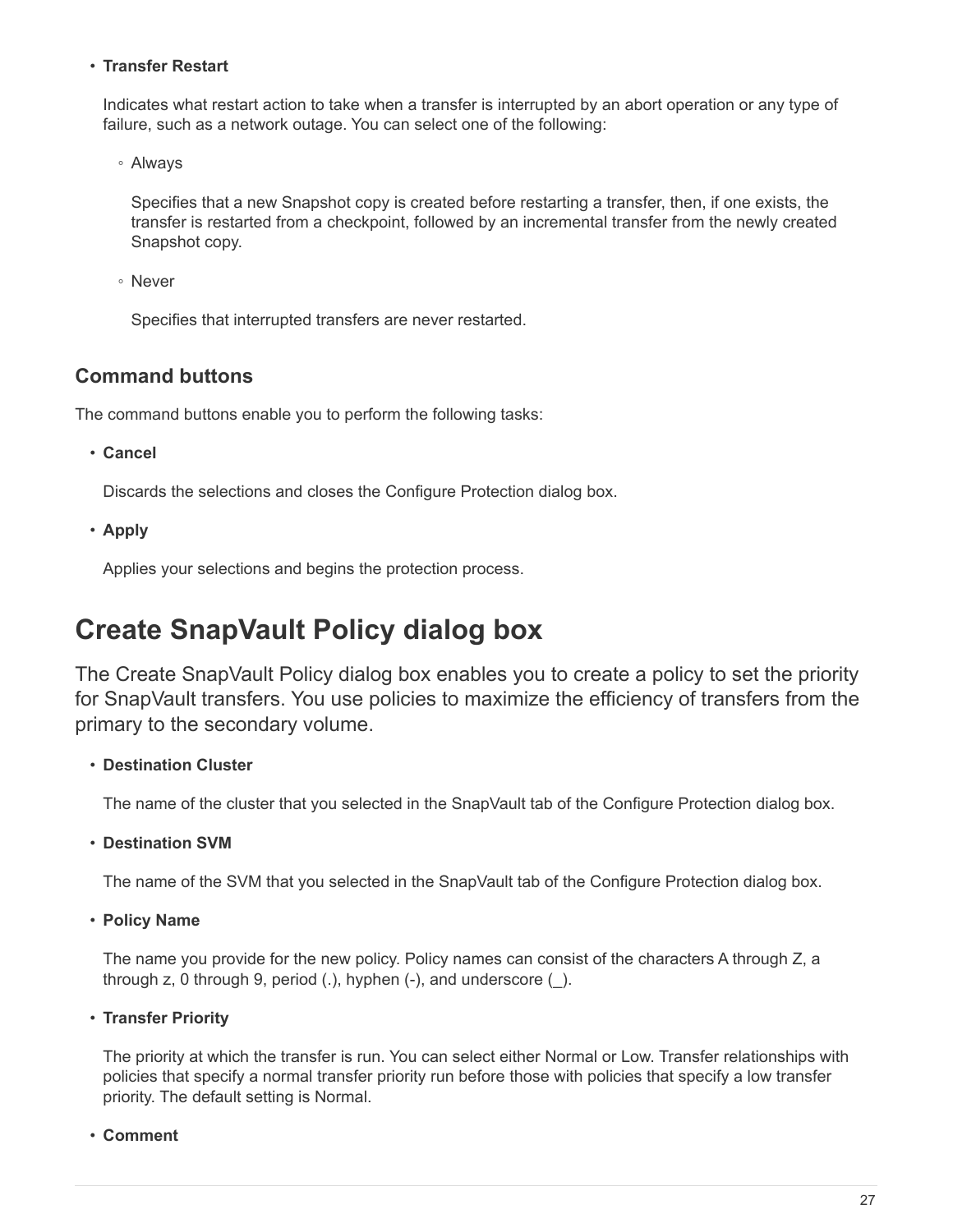## • **Transfer Restart**

Indicates what restart action to take when a transfer is interrupted by an abort operation or any type of failure, such as a network outage. You can select one of the following:

◦ Always

Specifies that a new Snapshot copy is created before restarting a transfer, then, if one exists, the transfer is restarted from a checkpoint, followed by an incremental transfer from the newly created Snapshot copy.

◦ Never

Specifies that interrupted transfers are never restarted.

## **Command buttons**

The command buttons enable you to perform the following tasks:

• **Cancel**

Discards the selections and closes the Configure Protection dialog box.

• **Apply**

Applies your selections and begins the protection process.

# <span id="page-28-0"></span>**Create SnapVault Policy dialog box**

The Create SnapVault Policy dialog box enables you to create a policy to set the priority for SnapVault transfers. You use policies to maximize the efficiency of transfers from the primary to the secondary volume.

## • **Destination Cluster**

The name of the cluster that you selected in the SnapVault tab of the Configure Protection dialog box.

• **Destination SVM**

The name of the SVM that you selected in the SnapVault tab of the Configure Protection dialog box.

• **Policy Name**

The name you provide for the new policy. Policy names can consist of the characters A through Z, a through z, 0 through 9, period (.), hyphen (-), and underscore (\_).

• **Transfer Priority**

The priority at which the transfer is run. You can select either Normal or Low. Transfer relationships with policies that specify a normal transfer priority run before those with policies that specify a low transfer priority. The default setting is Normal.

• **Comment**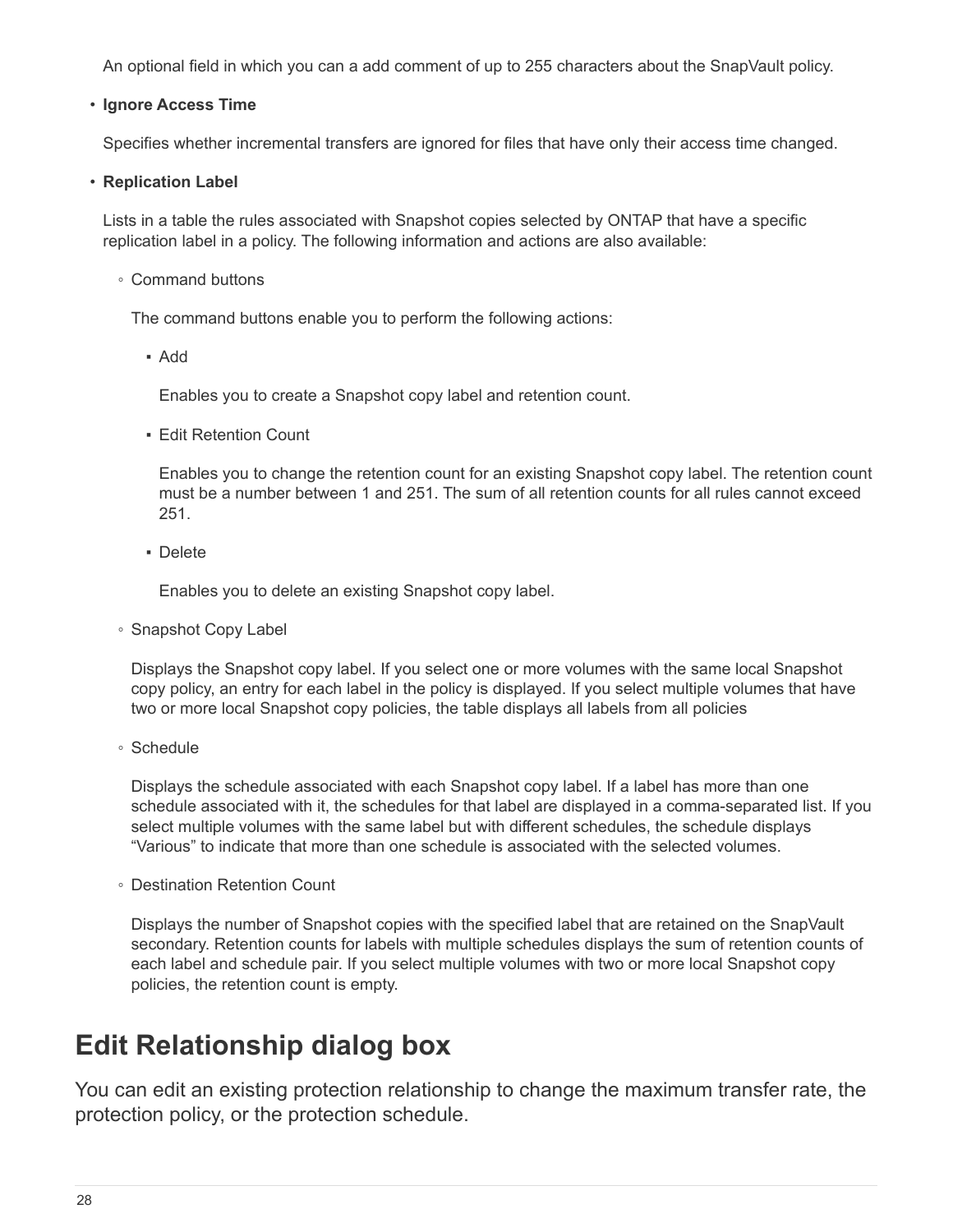An optional field in which you can a add comment of up to 255 characters about the SnapVault policy.

#### • **Ignore Access Time**

Specifies whether incremental transfers are ignored for files that have only their access time changed.

#### • **Replication Label**

Lists in a table the rules associated with Snapshot copies selected by ONTAP that have a specific replication label in a policy. The following information and actions are also available:

◦ Command buttons

The command buttons enable you to perform the following actions:

▪ Add

Enables you to create a Snapshot copy label and retention count.

**Edit Retention Count** 

Enables you to change the retention count for an existing Snapshot copy label. The retention count must be a number between 1 and 251. The sum of all retention counts for all rules cannot exceed 251.

▪ Delete

Enables you to delete an existing Snapshot copy label.

◦ Snapshot Copy Label

Displays the Snapshot copy label. If you select one or more volumes with the same local Snapshot copy policy, an entry for each label in the policy is displayed. If you select multiple volumes that have two or more local Snapshot copy policies, the table displays all labels from all policies

◦ Schedule

Displays the schedule associated with each Snapshot copy label. If a label has more than one schedule associated with it, the schedules for that label are displayed in a comma-separated list. If you select multiple volumes with the same label but with different schedules, the schedule displays "Various" to indicate that more than one schedule is associated with the selected volumes.

◦ Destination Retention Count

Displays the number of Snapshot copies with the specified label that are retained on the SnapVault secondary. Retention counts for labels with multiple schedules displays the sum of retention counts of each label and schedule pair. If you select multiple volumes with two or more local Snapshot copy policies, the retention count is empty.

# <span id="page-29-0"></span>**Edit Relationship dialog box**

You can edit an existing protection relationship to change the maximum transfer rate, the protection policy, or the protection schedule.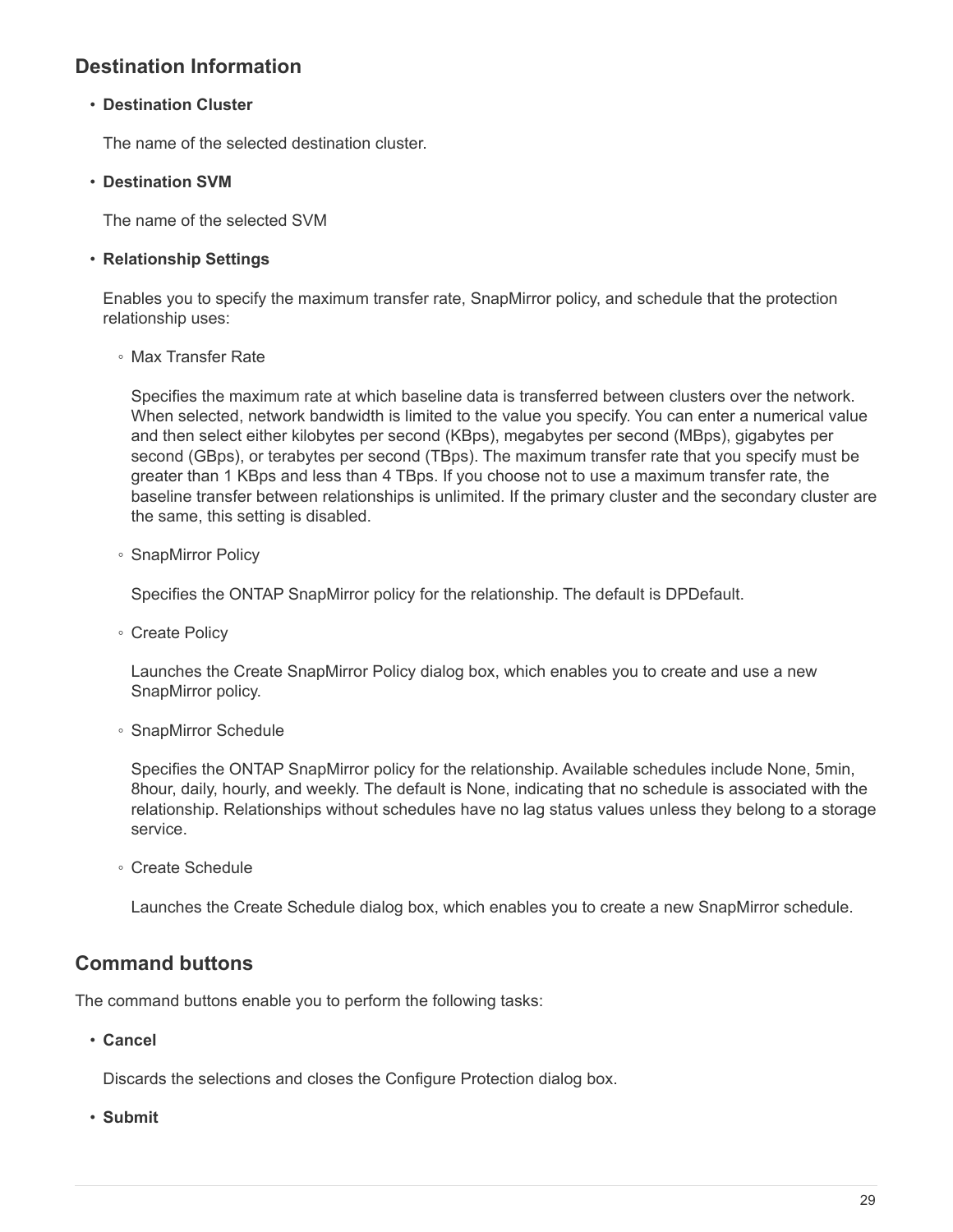# **Destination Information**

#### • **Destination Cluster**

The name of the selected destination cluster.

#### • **Destination SVM**

The name of the selected SVM

#### • **Relationship Settings**

Enables you to specify the maximum transfer rate, SnapMirror policy, and schedule that the protection relationship uses:

◦ Max Transfer Rate

Specifies the maximum rate at which baseline data is transferred between clusters over the network. When selected, network bandwidth is limited to the value you specify. You can enter a numerical value and then select either kilobytes per second (KBps), megabytes per second (MBps), gigabytes per second (GBps), or terabytes per second (TBps). The maximum transfer rate that you specify must be greater than 1 KBps and less than 4 TBps. If you choose not to use a maximum transfer rate, the baseline transfer between relationships is unlimited. If the primary cluster and the secondary cluster are the same, this setting is disabled.

◦ SnapMirror Policy

Specifies the ONTAP SnapMirror policy for the relationship. The default is DPDefault.

◦ Create Policy

Launches the Create SnapMirror Policy dialog box, which enables you to create and use a new SnapMirror policy.

◦ SnapMirror Schedule

Specifies the ONTAP SnapMirror policy for the relationship. Available schedules include None, 5min, 8hour, daily, hourly, and weekly. The default is None, indicating that no schedule is associated with the relationship. Relationships without schedules have no lag status values unless they belong to a storage service.

◦ Create Schedule

Launches the Create Schedule dialog box, which enables you to create a new SnapMirror schedule.

## **Command buttons**

The command buttons enable you to perform the following tasks:

• **Cancel**

Discards the selections and closes the Configure Protection dialog box.

• **Submit**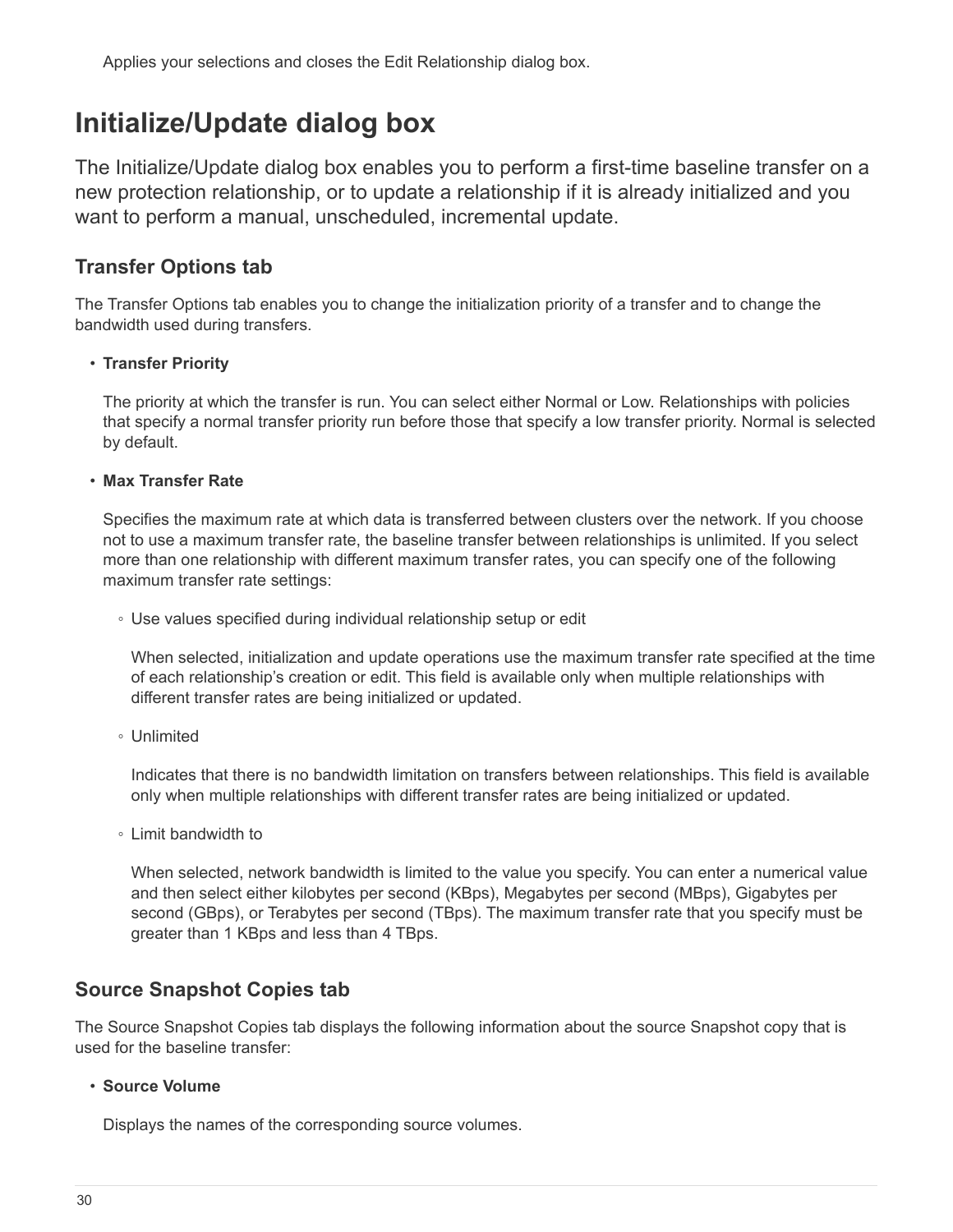Applies your selections and closes the Edit Relationship dialog box.

# <span id="page-31-0"></span>**Initialize/Update dialog box**

The Initialize/Update dialog box enables you to perform a first-time baseline transfer on a new protection relationship, or to update a relationship if it is already initialized and you want to perform a manual, unscheduled, incremental update.

## **Transfer Options tab**

The Transfer Options tab enables you to change the initialization priority of a transfer and to change the bandwidth used during transfers.

## • **Transfer Priority**

The priority at which the transfer is run. You can select either Normal or Low. Relationships with policies that specify a normal transfer priority run before those that specify a low transfer priority. Normal is selected by default.

## • **Max Transfer Rate**

Specifies the maximum rate at which data is transferred between clusters over the network. If you choose not to use a maximum transfer rate, the baseline transfer between relationships is unlimited. If you select more than one relationship with different maximum transfer rates, you can specify one of the following maximum transfer rate settings:

◦ Use values specified during individual relationship setup or edit

When selected, initialization and update operations use the maximum transfer rate specified at the time of each relationship's creation or edit. This field is available only when multiple relationships with different transfer rates are being initialized or updated.

◦ Unlimited

Indicates that there is no bandwidth limitation on transfers between relationships. This field is available only when multiple relationships with different transfer rates are being initialized or updated.

◦ Limit bandwidth to

When selected, network bandwidth is limited to the value you specify. You can enter a numerical value and then select either kilobytes per second (KBps), Megabytes per second (MBps), Gigabytes per second (GBps), or Terabytes per second (TBps). The maximum transfer rate that you specify must be greater than 1 KBps and less than 4 TBps.

## **Source Snapshot Copies tab**

The Source Snapshot Copies tab displays the following information about the source Snapshot copy that is used for the baseline transfer:

## • **Source Volume**

Displays the names of the corresponding source volumes.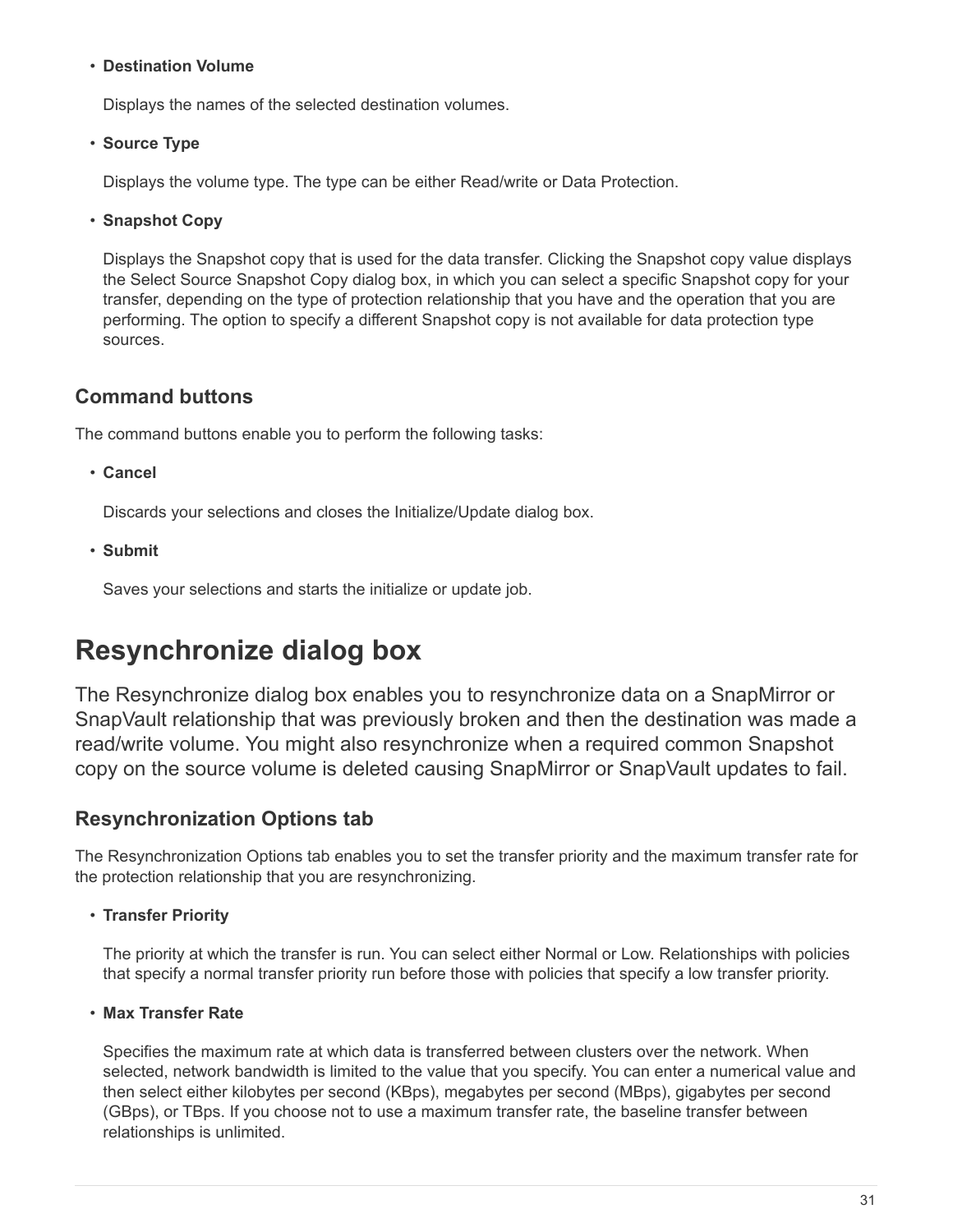#### • **Destination Volume**

Displays the names of the selected destination volumes.

#### • **Source Type**

Displays the volume type. The type can be either Read/write or Data Protection.

#### • **Snapshot Copy**

Displays the Snapshot copy that is used for the data transfer. Clicking the Snapshot copy value displays the Select Source Snapshot Copy dialog box, in which you can select a specific Snapshot copy for your transfer, depending on the type of protection relationship that you have and the operation that you are performing. The option to specify a different Snapshot copy is not available for data protection type sources.

## **Command buttons**

The command buttons enable you to perform the following tasks:

• **Cancel**

Discards your selections and closes the Initialize/Update dialog box.

• **Submit**

Saves your selections and starts the initialize or update job.

# <span id="page-32-0"></span>**Resynchronize dialog box**

The Resynchronize dialog box enables you to resynchronize data on a SnapMirror or SnapVault relationship that was previously broken and then the destination was made a read/write volume. You might also resynchronize when a required common Snapshot copy on the source volume is deleted causing SnapMirror or SnapVault updates to fail.

## **Resynchronization Options tab**

The Resynchronization Options tab enables you to set the transfer priority and the maximum transfer rate for the protection relationship that you are resynchronizing.

• **Transfer Priority**

The priority at which the transfer is run. You can select either Normal or Low. Relationships with policies that specify a normal transfer priority run before those with policies that specify a low transfer priority.

#### • **Max Transfer Rate**

Specifies the maximum rate at which data is transferred between clusters over the network. When selected, network bandwidth is limited to the value that you specify. You can enter a numerical value and then select either kilobytes per second (KBps), megabytes per second (MBps), gigabytes per second (GBps), or TBps. If you choose not to use a maximum transfer rate, the baseline transfer between relationships is unlimited.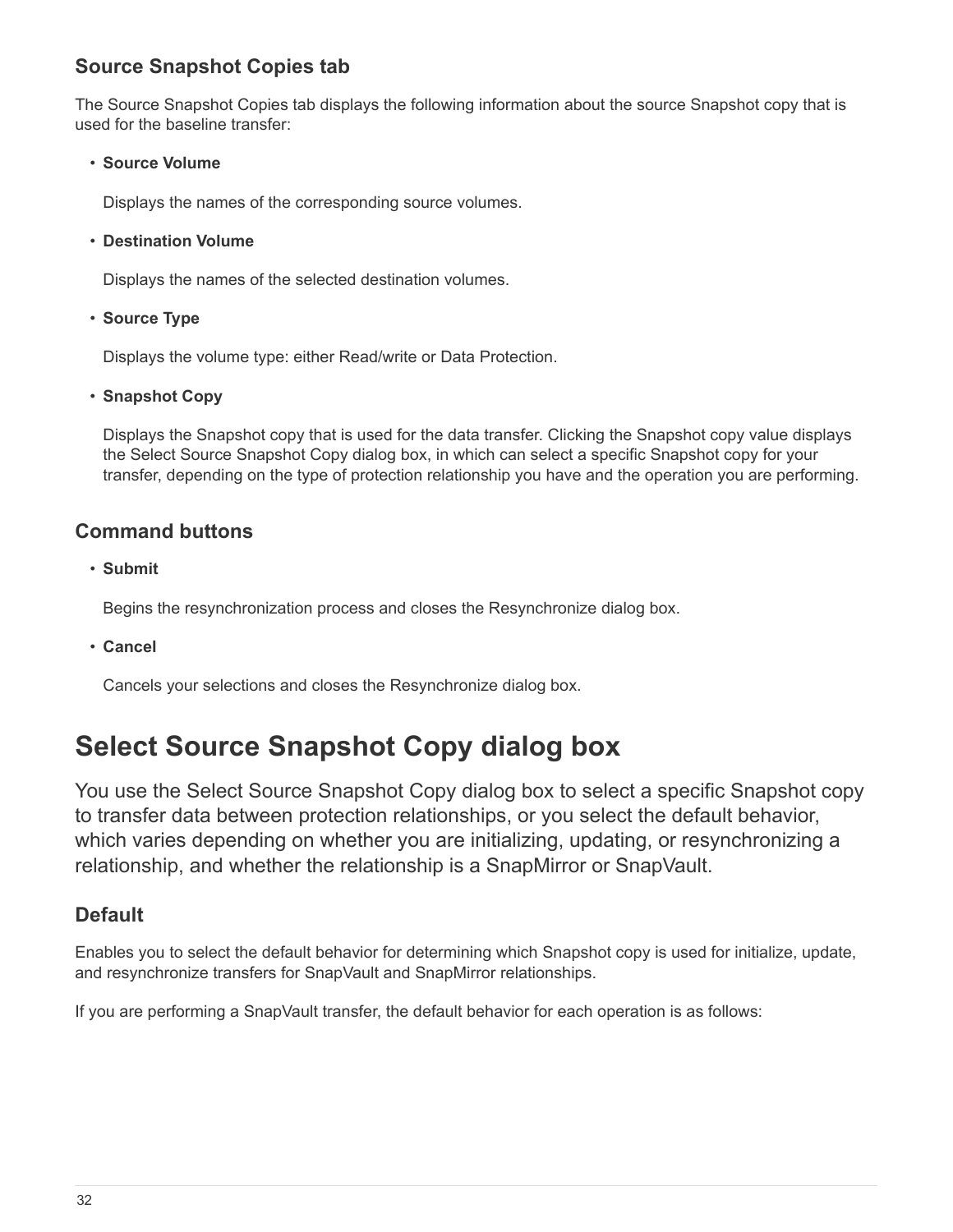# **Source Snapshot Copies tab**

The Source Snapshot Copies tab displays the following information about the source Snapshot copy that is used for the baseline transfer:

• **Source Volume**

Displays the names of the corresponding source volumes.

• **Destination Volume**

Displays the names of the selected destination volumes.

• **Source Type**

Displays the volume type: either Read/write or Data Protection.

• **Snapshot Copy**

Displays the Snapshot copy that is used for the data transfer. Clicking the Snapshot copy value displays the Select Source Snapshot Copy dialog box, in which can select a specific Snapshot copy for your transfer, depending on the type of protection relationship you have and the operation you are performing.

## **Command buttons**

• **Submit**

Begins the resynchronization process and closes the Resynchronize dialog box.

• **Cancel**

Cancels your selections and closes the Resynchronize dialog box.

# <span id="page-33-0"></span>**Select Source Snapshot Copy dialog box**

You use the Select Source Snapshot Copy dialog box to select a specific Snapshot copy to transfer data between protection relationships, or you select the default behavior, which varies depending on whether you are initializing, updating, or resynchronizing a relationship, and whether the relationship is a SnapMirror or SnapVault.

## **Default**

Enables you to select the default behavior for determining which Snapshot copy is used for initialize, update, and resynchronize transfers for SnapVault and SnapMirror relationships.

If you are performing a SnapVault transfer, the default behavior for each operation is as follows: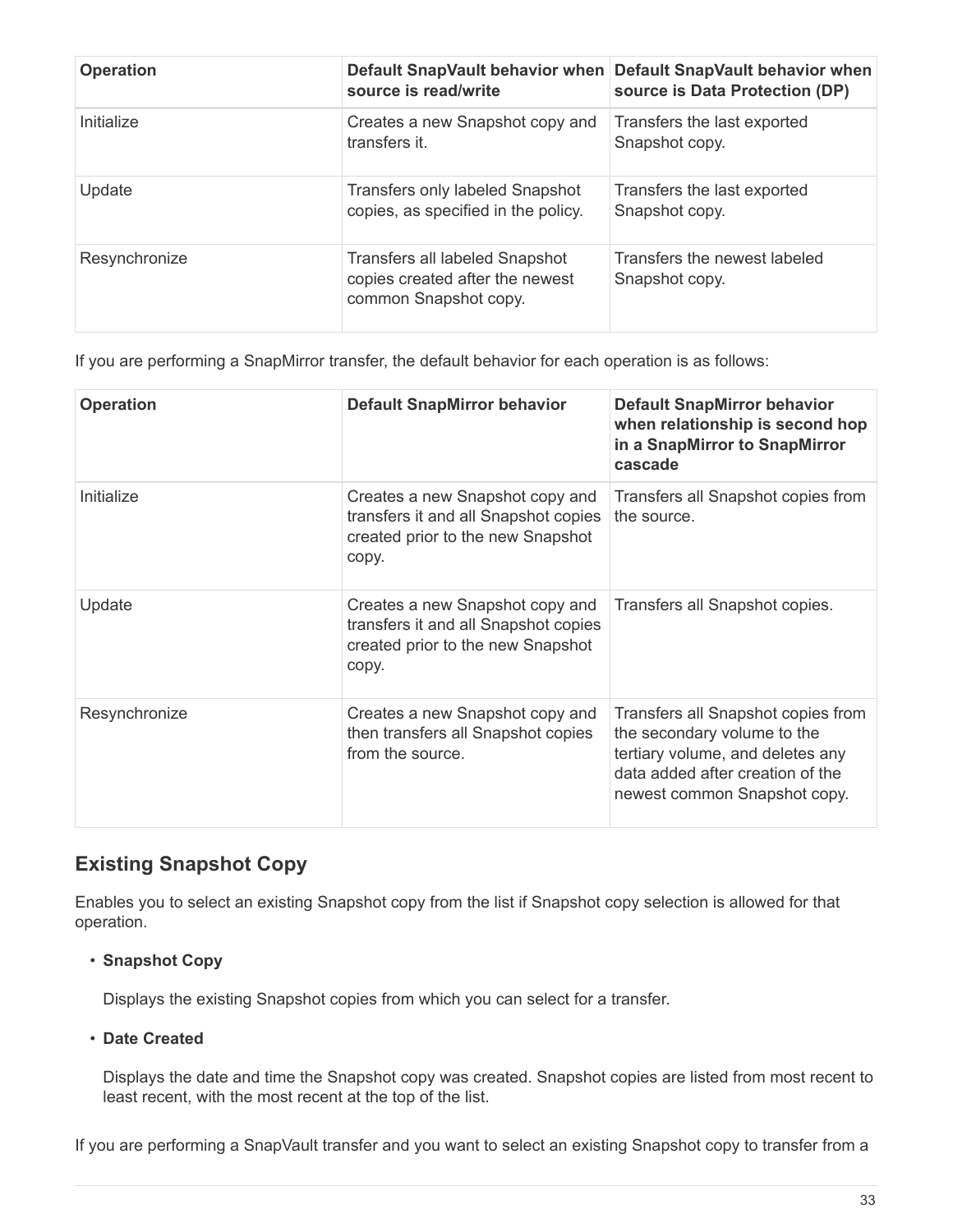| <b>Operation</b> | source is read/write                                                                       | Default SnapVault behavior when Default SnapVault behavior when<br>source is Data Protection (DP) |
|------------------|--------------------------------------------------------------------------------------------|---------------------------------------------------------------------------------------------------|
| Initialize       | Creates a new Snapshot copy and<br>transfers it.                                           | Transfers the last exported<br>Snapshot copy.                                                     |
| Update           | <b>Transfers only labeled Snapshot</b><br>copies, as specified in the policy.              | Transfers the last exported<br>Snapshot copy.                                                     |
| Resynchronize    | Transfers all labeled Snapshot<br>copies created after the newest<br>common Snapshot copy. | Transfers the newest labeled<br>Snapshot copy.                                                    |

If you are performing a SnapMirror transfer, the default behavior for each operation is as follows:

| <b>Operation</b> | <b>Default SnapMirror behavior</b>                                                                                    | <b>Default SnapMirror behavior</b><br>when relationship is second hop<br>in a SnapMirror to SnapMirror<br>cascade                                                         |
|------------------|-----------------------------------------------------------------------------------------------------------------------|---------------------------------------------------------------------------------------------------------------------------------------------------------------------------|
| Initialize       | Creates a new Snapshot copy and<br>transfers it and all Snapshot copies<br>created prior to the new Snapshot<br>copy. | Transfers all Snapshot copies from<br>the source.                                                                                                                         |
| Update           | Creates a new Snapshot copy and<br>transfers it and all Snapshot copies<br>created prior to the new Snapshot<br>copy. | Transfers all Snapshot copies.                                                                                                                                            |
| Resynchronize    | Creates a new Snapshot copy and<br>then transfers all Snapshot copies<br>from the source.                             | Transfers all Snapshot copies from<br>the secondary volume to the<br>tertiary volume, and deletes any<br>data added after creation of the<br>newest common Snapshot copy. |

# **Existing Snapshot Copy**

Enables you to select an existing Snapshot copy from the list if Snapshot copy selection is allowed for that operation.

## • **Snapshot Copy**

Displays the existing Snapshot copies from which you can select for a transfer.

## • **Date Created**

Displays the date and time the Snapshot copy was created. Snapshot copies are listed from most recent to least recent, with the most recent at the top of the list.

If you are performing a SnapVault transfer and you want to select an existing Snapshot copy to transfer from a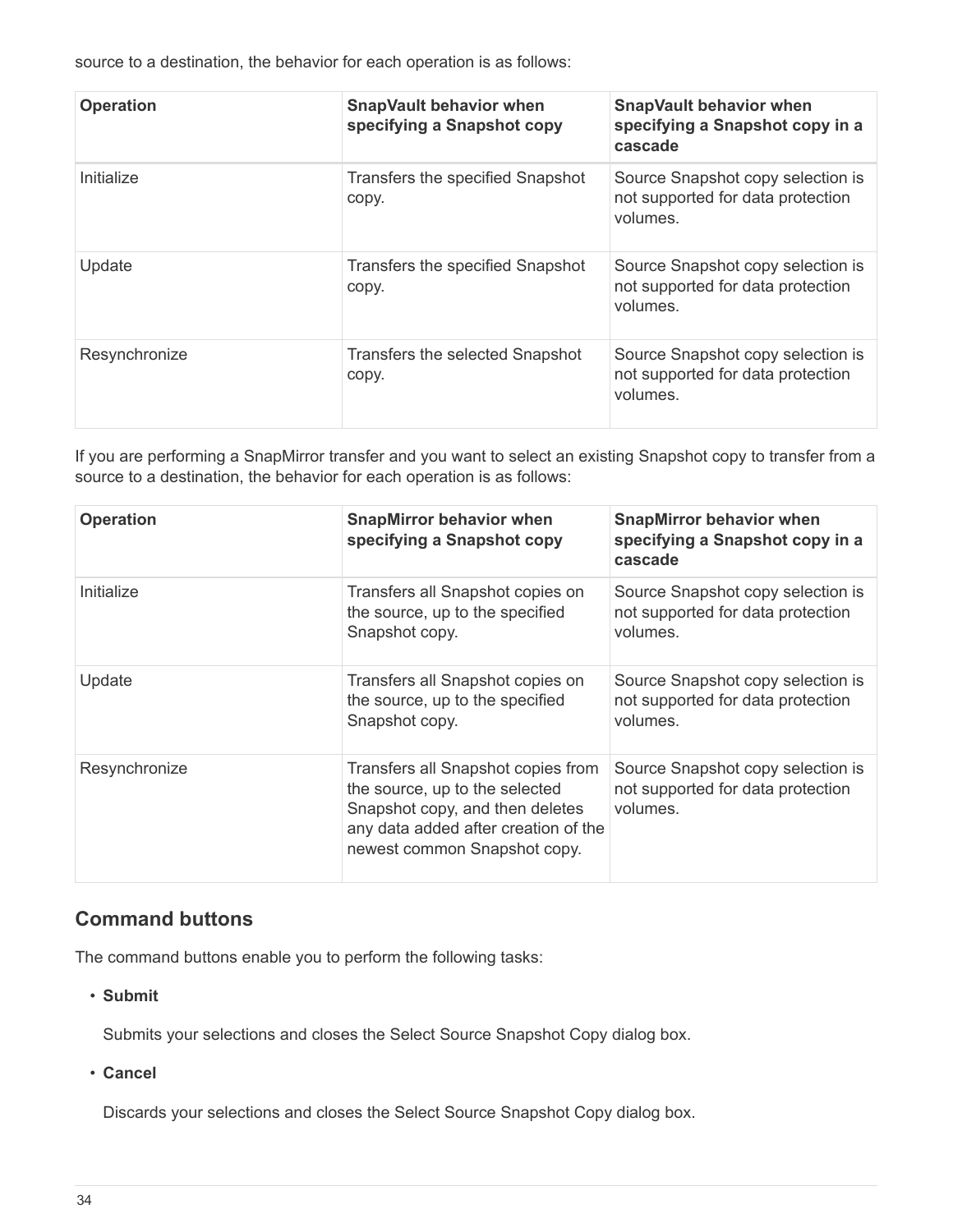source to a destination, the behavior for each operation is as follows:

| <b>Operation</b> | <b>SnapVault behavior when</b><br>specifying a Snapshot copy | <b>SnapVault behavior when</b><br>specifying a Snapshot copy in a<br>cascade       |
|------------------|--------------------------------------------------------------|------------------------------------------------------------------------------------|
| Initialize       | Transfers the specified Snapshot<br>copy.                    | Source Snapshot copy selection is<br>not supported for data protection<br>volumes. |
| Update           | Transfers the specified Snapshot<br>copy.                    | Source Snapshot copy selection is<br>not supported for data protection<br>volumes. |
| Resynchronize    | Transfers the selected Snapshot<br>copy.                     | Source Snapshot copy selection is<br>not supported for data protection<br>volumes. |

If you are performing a SnapMirror transfer and you want to select an existing Snapshot copy to transfer from a source to a destination, the behavior for each operation is as follows:

| <b>Operation</b> | <b>SnapMirror behavior when</b><br>specifying a Snapshot copy                                                                                                                   | <b>SnapMirror behavior when</b><br>specifying a Snapshot copy in a<br>cascade      |
|------------------|---------------------------------------------------------------------------------------------------------------------------------------------------------------------------------|------------------------------------------------------------------------------------|
| Initialize       | Transfers all Snapshot copies on<br>the source, up to the specified<br>Snapshot copy.                                                                                           | Source Snapshot copy selection is<br>not supported for data protection<br>volumes. |
| Update           | Transfers all Snapshot copies on<br>the source, up to the specified<br>Snapshot copy.                                                                                           | Source Snapshot copy selection is<br>not supported for data protection<br>volumes. |
| Resynchronize    | Transfers all Snapshot copies from<br>the source, up to the selected<br>Snapshot copy, and then deletes<br>any data added after creation of the<br>newest common Snapshot copy. | Source Snapshot copy selection is<br>not supported for data protection<br>volumes. |

## **Command buttons**

The command buttons enable you to perform the following tasks:

• **Submit**

Submits your selections and closes the Select Source Snapshot Copy dialog box.

• **Cancel**

Discards your selections and closes the Select Source Snapshot Copy dialog box.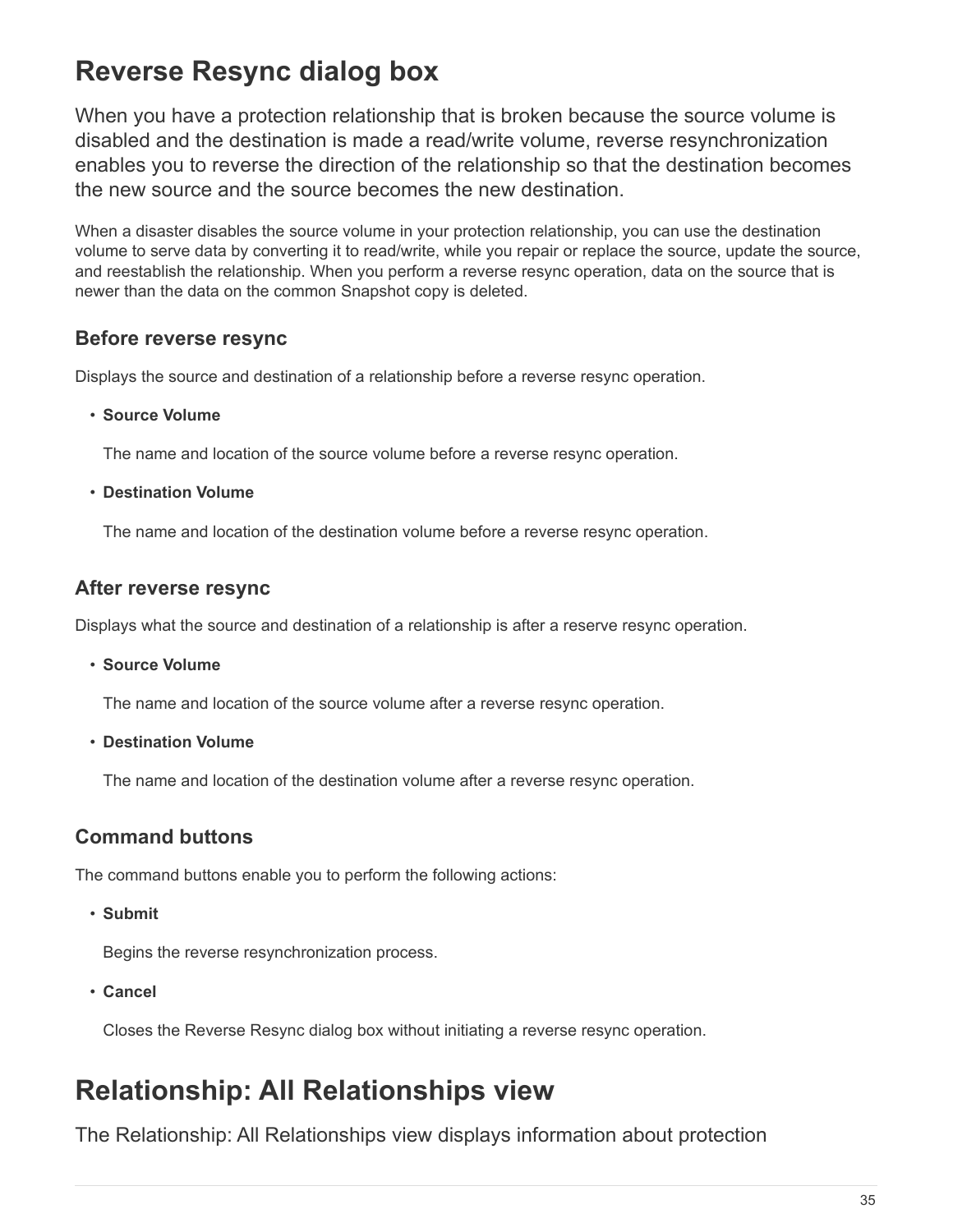# <span id="page-36-0"></span>**Reverse Resync dialog box**

When you have a protection relationship that is broken because the source volume is disabled and the destination is made a read/write volume, reverse resynchronization enables you to reverse the direction of the relationship so that the destination becomes the new source and the source becomes the new destination.

When a disaster disables the source volume in your protection relationship, you can use the destination volume to serve data by converting it to read/write, while you repair or replace the source, update the source, and reestablish the relationship. When you perform a reverse resync operation, data on the source that is newer than the data on the common Snapshot copy is deleted.

## **Before reverse resync**

Displays the source and destination of a relationship before a reverse resync operation.

• **Source Volume**

The name and location of the source volume before a reverse resync operation.

• **Destination Volume**

The name and location of the destination volume before a reverse resync operation.

## **After reverse resync**

Displays what the source and destination of a relationship is after a reserve resync operation.

• **Source Volume**

The name and location of the source volume after a reverse resync operation.

• **Destination Volume**

The name and location of the destination volume after a reverse resync operation.

## **Command buttons**

The command buttons enable you to perform the following actions:

• **Submit**

Begins the reverse resynchronization process.

• **Cancel**

Closes the Reverse Resync dialog box without initiating a reverse resync operation.

# <span id="page-36-1"></span>**Relationship: All Relationships view**

The Relationship: All Relationships view displays information about protection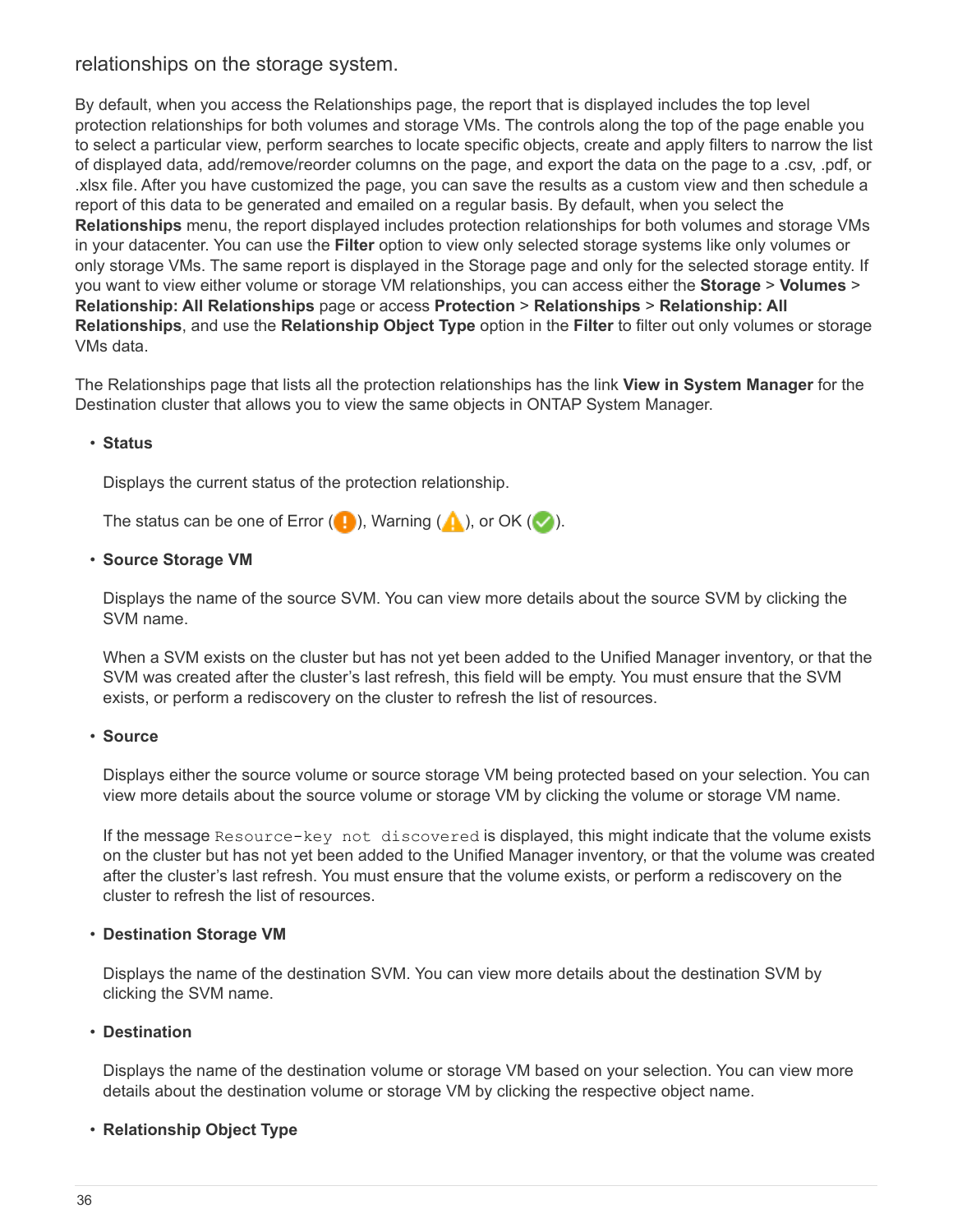## relationships on the storage system.

By default, when you access the Relationships page, the report that is displayed includes the top level protection relationships for both volumes and storage VMs. The controls along the top of the page enable you to select a particular view, perform searches to locate specific objects, create and apply filters to narrow the list of displayed data, add/remove/reorder columns on the page, and export the data on the page to a .csv, .pdf, or .xlsx file. After you have customized the page, you can save the results as a custom view and then schedule a report of this data to be generated and emailed on a regular basis. By default, when you select the **Relationships** menu, the report displayed includes protection relationships for both volumes and storage VMs in your datacenter. You can use the **Filter** option to view only selected storage systems like only volumes or only storage VMs. The same report is displayed in the Storage page and only for the selected storage entity. If you want to view either volume or storage VM relationships, you can access either the **Storage** > **Volumes** > **Relationship: All Relationships** page or access **Protection** > **Relationships** > **Relationship: All Relationships**, and use the **Relationship Object Type** option in the **Filter** to filter out only volumes or storage VMs data.

The Relationships page that lists all the protection relationships has the link **View in System Manager** for the Destination cluster that allows you to view the same objects in ONTAP System Manager.

#### • **Status**

Displays the current status of the protection relationship.

The status can be one of Error  $( \cdot )$ , Warning  $( \cdot )$ , or OK  $( \cdot )$ .

#### • **Source Storage VM**

Displays the name of the source SVM. You can view more details about the source SVM by clicking the SVM name.

When a SVM exists on the cluster but has not yet been added to the Unified Manager inventory, or that the SVM was created after the cluster's last refresh, this field will be empty. You must ensure that the SVM exists, or perform a rediscovery on the cluster to refresh the list of resources.

#### • **Source**

Displays either the source volume or source storage VM being protected based on your selection. You can view more details about the source volume or storage VM by clicking the volume or storage VM name.

If the message Resource-key not discovered is displayed, this might indicate that the volume exists on the cluster but has not yet been added to the Unified Manager inventory, or that the volume was created after the cluster's last refresh. You must ensure that the volume exists, or perform a rediscovery on the cluster to refresh the list of resources.

#### • **Destination Storage VM**

Displays the name of the destination SVM. You can view more details about the destination SVM by clicking the SVM name.

#### • **Destination**

Displays the name of the destination volume or storage VM based on your selection. You can view more details about the destination volume or storage VM by clicking the respective object name.

## • **Relationship Object Type**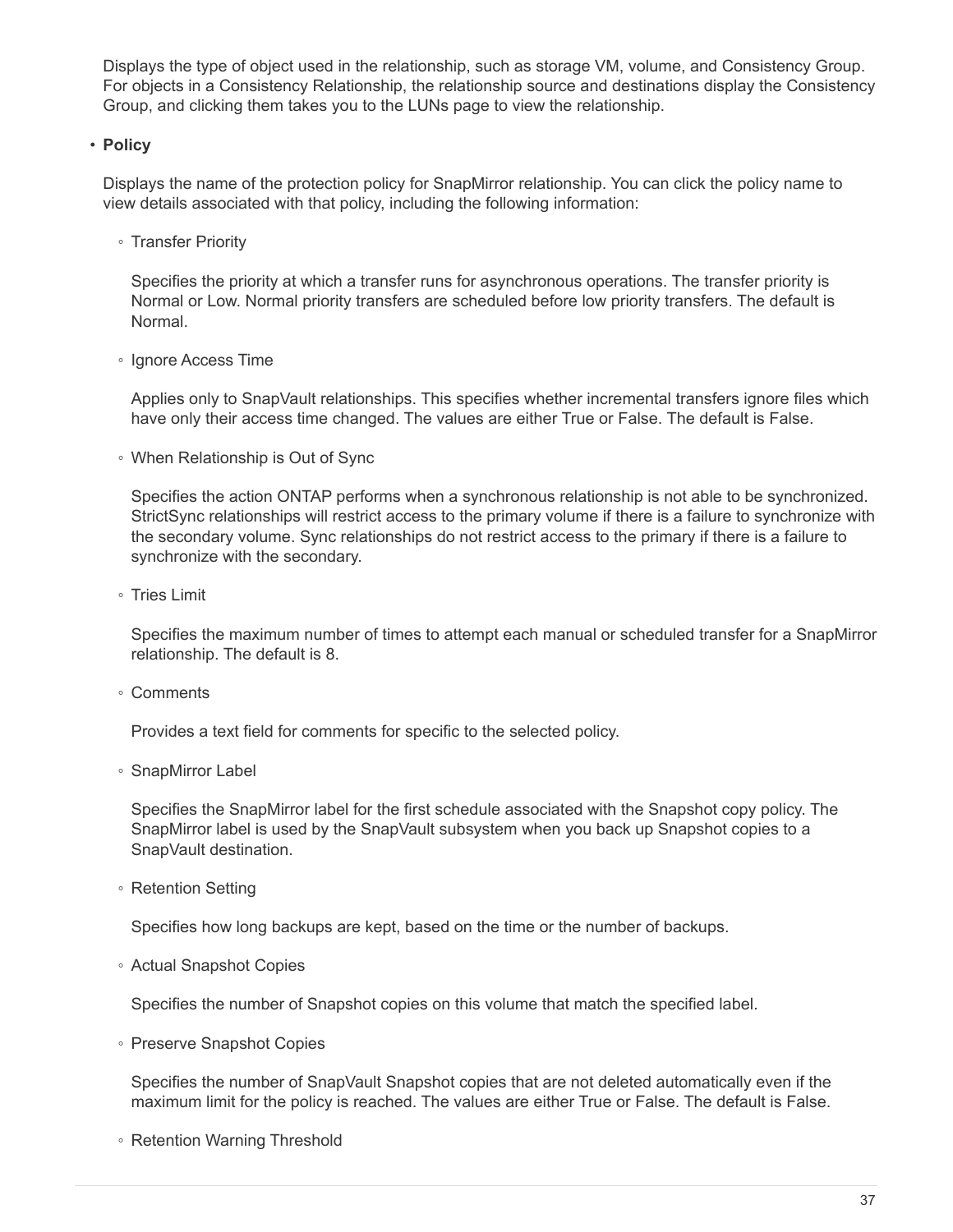Displays the type of object used in the relationship, such as storage VM, volume, and Consistency Group. For objects in a Consistency Relationship, the relationship source and destinations display the Consistency Group, and clicking them takes you to the LUNs page to view the relationship.

## • **Policy**

Displays the name of the protection policy for SnapMirror relationship. You can click the policy name to view details associated with that policy, including the following information:

◦ Transfer Priority

Specifies the priority at which a transfer runs for asynchronous operations. The transfer priority is Normal or Low. Normal priority transfers are scheduled before low priority transfers. The default is Normal.

◦ Ignore Access Time

Applies only to SnapVault relationships. This specifies whether incremental transfers ignore files which have only their access time changed. The values are either True or False. The default is False.

◦ When Relationship is Out of Sync

Specifies the action ONTAP performs when a synchronous relationship is not able to be synchronized. StrictSync relationships will restrict access to the primary volume if there is a failure to synchronize with the secondary volume. Sync relationships do not restrict access to the primary if there is a failure to synchronize with the secondary.

◦ Tries Limit

Specifies the maximum number of times to attempt each manual or scheduled transfer for a SnapMirror relationship. The default is 8.

◦ Comments

Provides a text field for comments for specific to the selected policy.

◦ SnapMirror Label

Specifies the SnapMirror label for the first schedule associated with the Snapshot copy policy. The SnapMirror label is used by the SnapVault subsystem when you back up Snapshot copies to a SnapVault destination.

◦ Retention Setting

Specifies how long backups are kept, based on the time or the number of backups.

◦ Actual Snapshot Copies

Specifies the number of Snapshot copies on this volume that match the specified label.

◦ Preserve Snapshot Copies

Specifies the number of SnapVault Snapshot copies that are not deleted automatically even if the maximum limit for the policy is reached. The values are either True or False. The default is False.

◦ Retention Warning Threshold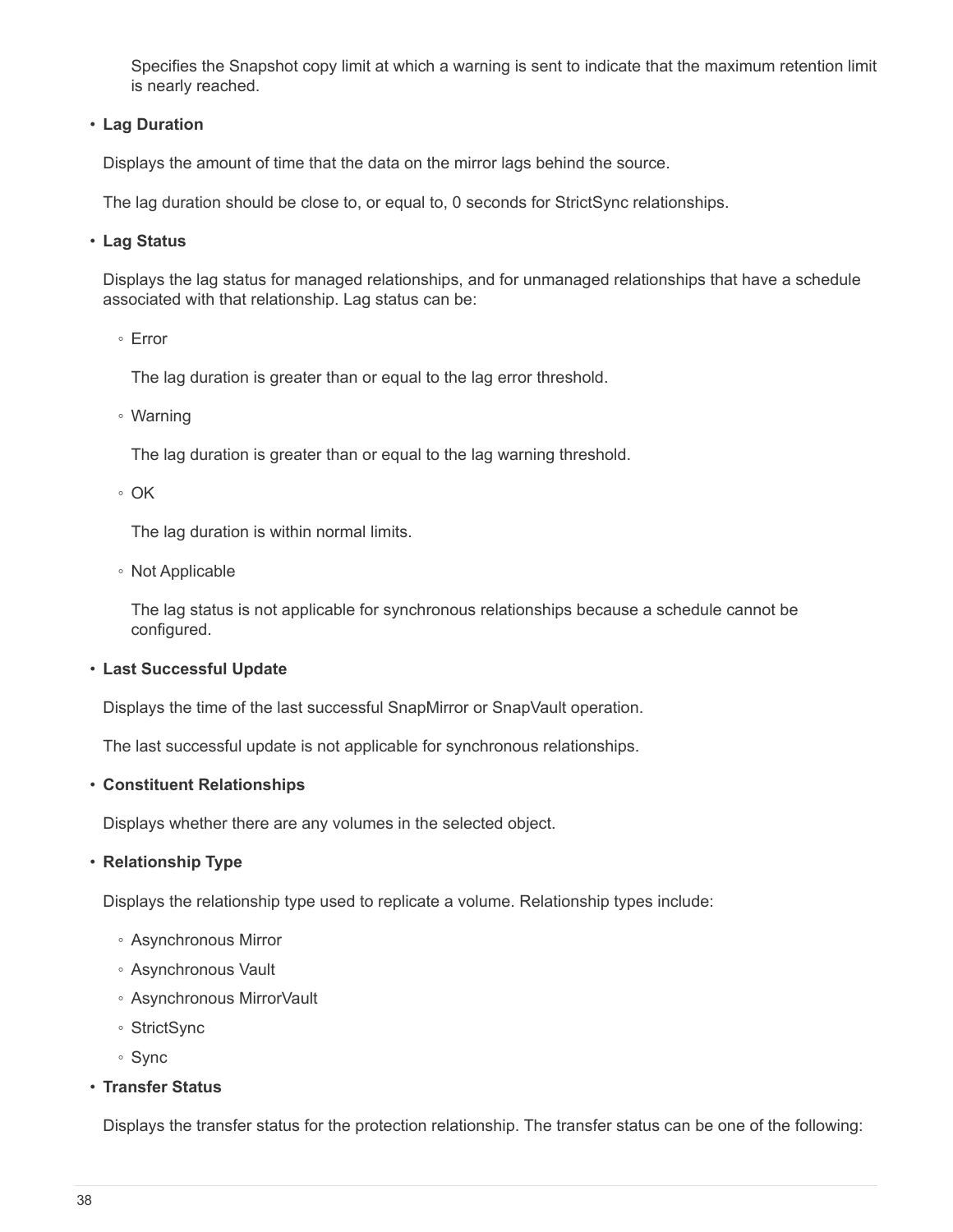Specifies the Snapshot copy limit at which a warning is sent to indicate that the maximum retention limit is nearly reached.

### • **Lag Duration**

Displays the amount of time that the data on the mirror lags behind the source.

The lag duration should be close to, or equal to, 0 seconds for StrictSync relationships.

#### • **Lag Status**

Displays the lag status for managed relationships, and for unmanaged relationships that have a schedule associated with that relationship. Lag status can be:

◦ Error

The lag duration is greater than or equal to the lag error threshold.

◦ Warning

The lag duration is greater than or equal to the lag warning threshold.

◦ OK

The lag duration is within normal limits.

◦ Not Applicable

The lag status is not applicable for synchronous relationships because a schedule cannot be configured.

#### • **Last Successful Update**

Displays the time of the last successful SnapMirror or SnapVault operation.

The last successful update is not applicable for synchronous relationships.

#### • **Constituent Relationships**

Displays whether there are any volumes in the selected object.

#### • **Relationship Type**

Displays the relationship type used to replicate a volume. Relationship types include:

- Asynchronous Mirror
- Asynchronous Vault
- Asynchronous MirrorVault
- StrictSync
- Sync
- **Transfer Status**

Displays the transfer status for the protection relationship. The transfer status can be one of the following: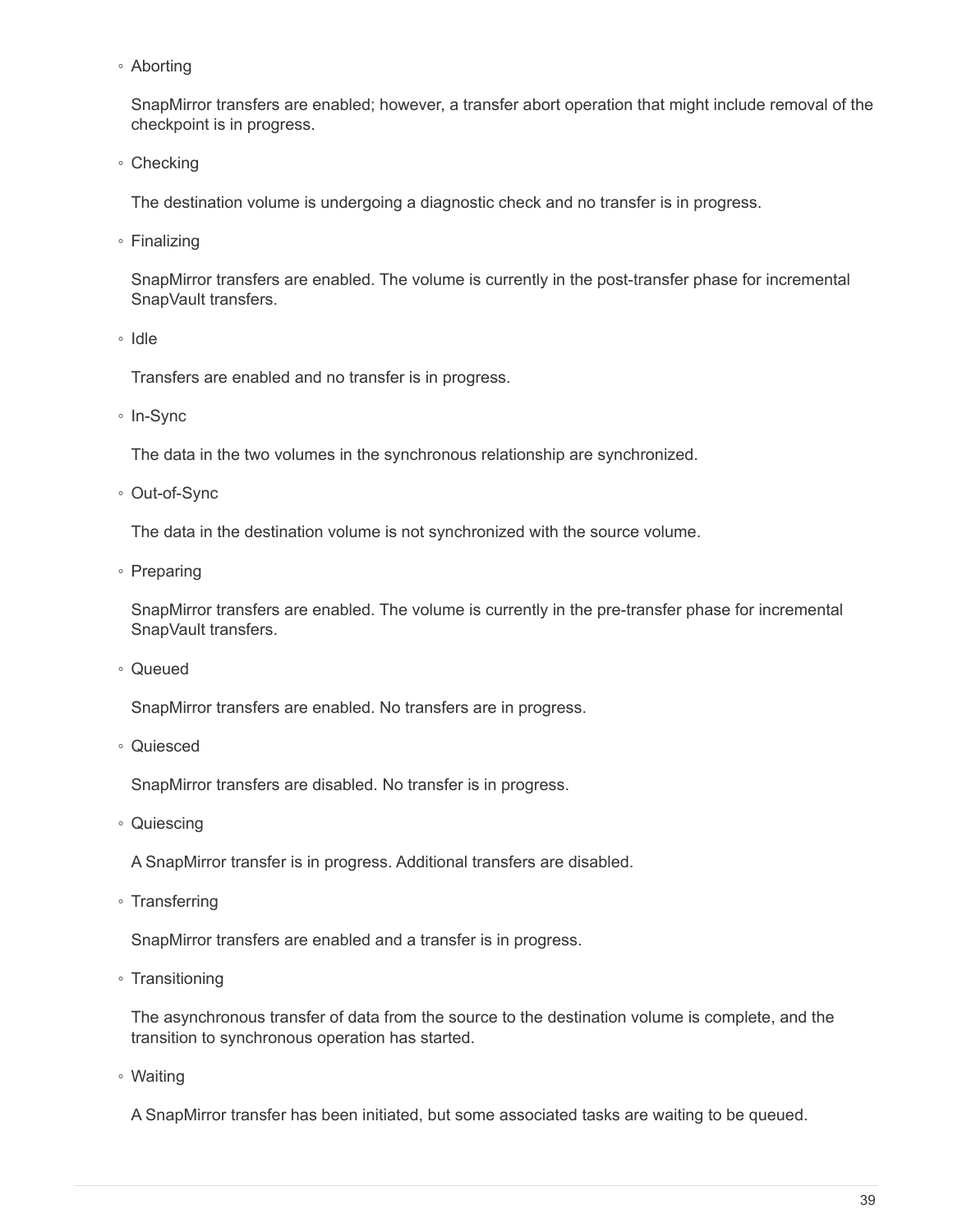◦ Aborting

SnapMirror transfers are enabled; however, a transfer abort operation that might include removal of the checkpoint is in progress.

◦ Checking

The destination volume is undergoing a diagnostic check and no transfer is in progress.

◦ Finalizing

SnapMirror transfers are enabled. The volume is currently in the post-transfer phase for incremental SnapVault transfers.

◦ Idle

Transfers are enabled and no transfer is in progress.

◦ In-Sync

The data in the two volumes in the synchronous relationship are synchronized.

◦ Out-of-Sync

The data in the destination volume is not synchronized with the source volume.

◦ Preparing

SnapMirror transfers are enabled. The volume is currently in the pre-transfer phase for incremental SnapVault transfers.

◦ Queued

SnapMirror transfers are enabled. No transfers are in progress.

◦ Quiesced

SnapMirror transfers are disabled. No transfer is in progress.

◦ Quiescing

A SnapMirror transfer is in progress. Additional transfers are disabled.

◦ Transferring

SnapMirror transfers are enabled and a transfer is in progress.

◦ Transitioning

The asynchronous transfer of data from the source to the destination volume is complete, and the transition to synchronous operation has started.

◦ Waiting

A SnapMirror transfer has been initiated, but some associated tasks are waiting to be queued.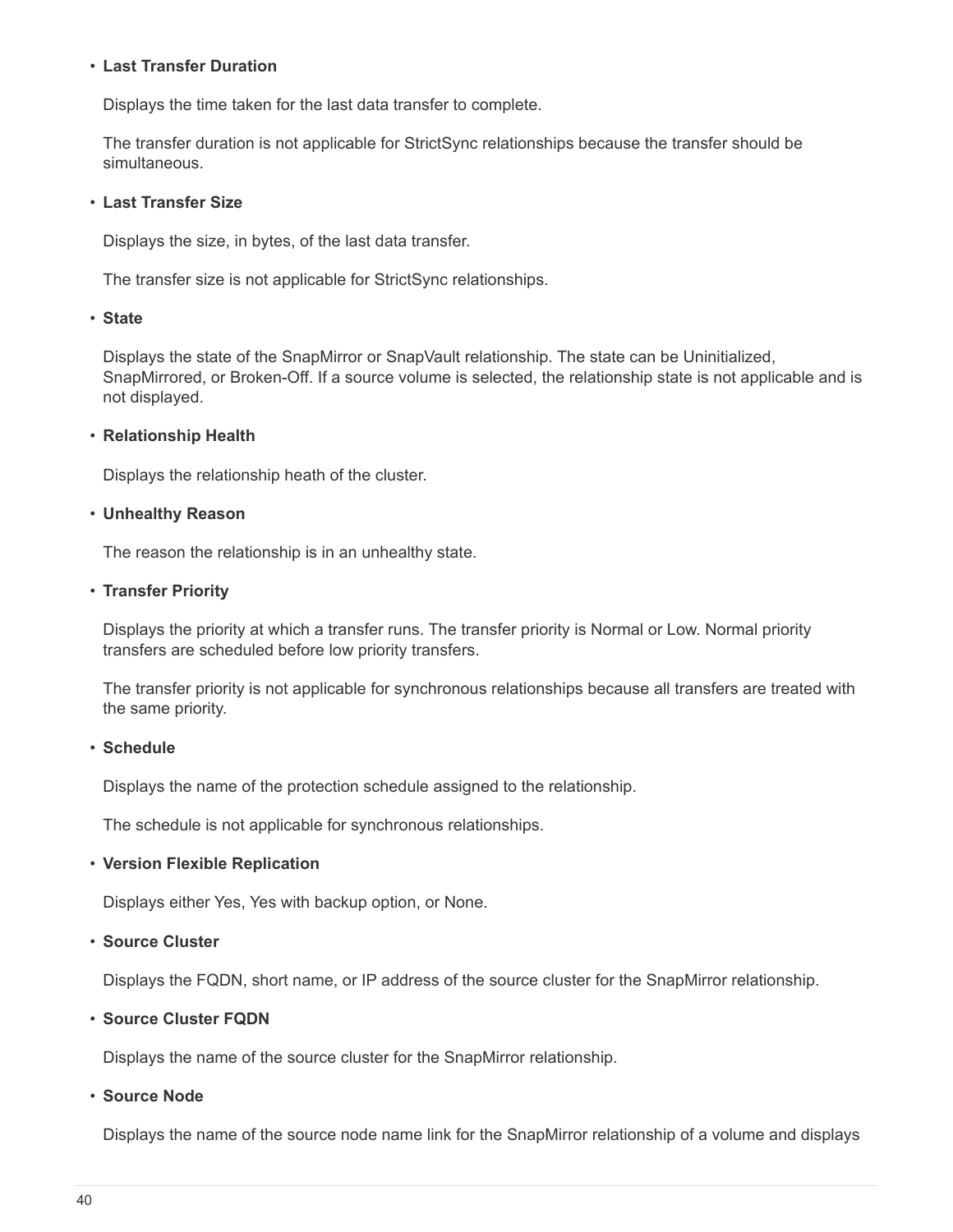#### • **Last Transfer Duration**

Displays the time taken for the last data transfer to complete.

The transfer duration is not applicable for StrictSync relationships because the transfer should be simultaneous.

#### • **Last Transfer Size**

Displays the size, in bytes, of the last data transfer.

The transfer size is not applicable for StrictSync relationships.

#### • **State**

Displays the state of the SnapMirror or SnapVault relationship. The state can be Uninitialized, SnapMirrored, or Broken-Off. If a source volume is selected, the relationship state is not applicable and is not displayed.

## • **Relationship Health**

Displays the relationship heath of the cluster.

#### • **Unhealthy Reason**

The reason the relationship is in an unhealthy state.

#### • **Transfer Priority**

Displays the priority at which a transfer runs. The transfer priority is Normal or Low. Normal priority transfers are scheduled before low priority transfers.

The transfer priority is not applicable for synchronous relationships because all transfers are treated with the same priority.

## • **Schedule**

Displays the name of the protection schedule assigned to the relationship.

The schedule is not applicable for synchronous relationships.

## • **Version Flexible Replication**

Displays either Yes, Yes with backup option, or None.

## • **Source Cluster**

Displays the FQDN, short name, or IP address of the source cluster for the SnapMirror relationship.

## • **Source Cluster FQDN**

Displays the name of the source cluster for the SnapMirror relationship.

#### • **Source Node**

Displays the name of the source node name link for the SnapMirror relationship of a volume and displays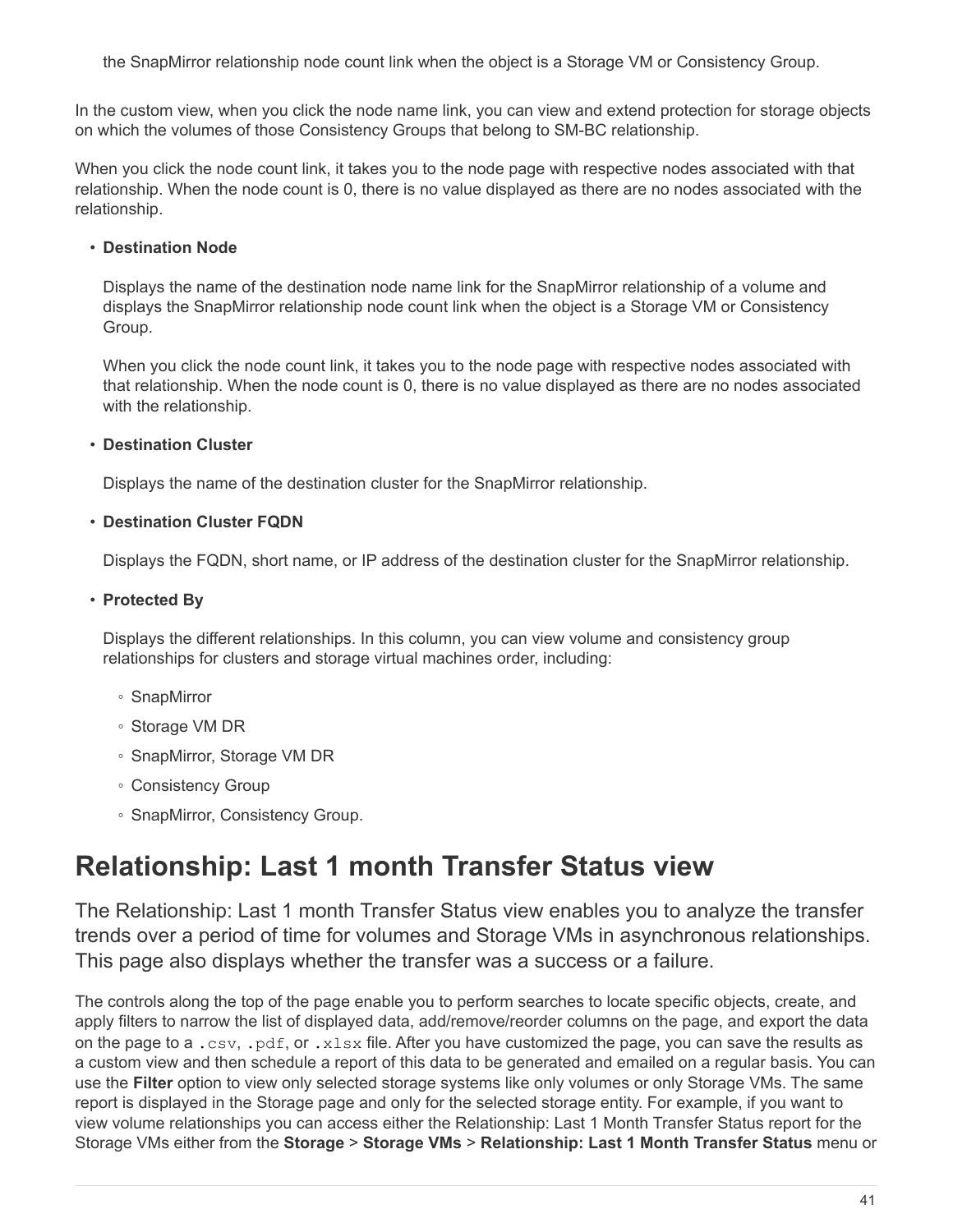the SnapMirror relationship node count link when the object is a Storage VM or Consistency Group.

In the custom view, when you click the node name link, you can view and extend protection for storage objects on which the volumes of those Consistency Groups that belong to SM-BC relationship.

When you click the node count link, it takes you to the node page with respective nodes associated with that relationship. When the node count is 0, there is no value displayed as there are no nodes associated with the relationship.

## • **Destination Node**

Displays the name of the destination node name link for the SnapMirror relationship of a volume and displays the SnapMirror relationship node count link when the object is a Storage VM or Consistency Group.

When you click the node count link, it takes you to the node page with respective nodes associated with that relationship. When the node count is 0, there is no value displayed as there are no nodes associated with the relationship.

## • **Destination Cluster**

Displays the name of the destination cluster for the SnapMirror relationship.

## • **Destination Cluster FQDN**

Displays the FQDN, short name, or IP address of the destination cluster for the SnapMirror relationship.

## • **Protected By**

Displays the different relationships. In this column, you can view volume and consistency group relationships for clusters and storage virtual machines order, including:

- SnapMirror
- Storage VM DR
- SnapMirror, Storage VM DR
- Consistency Group
- SnapMirror, Consistency Group.

# <span id="page-42-0"></span>**Relationship: Last 1 month Transfer Status view**

The Relationship: Last 1 month Transfer Status view enables you to analyze the transfer trends over a period of time for volumes and Storage VMs in asynchronous relationships. This page also displays whether the transfer was a success or a failure.

The controls along the top of the page enable you to perform searches to locate specific objects, create, and apply filters to narrow the list of displayed data, add/remove/reorder columns on the page, and export the data on the page to a .csv, .pdf, or .xlsx file. After you have customized the page, you can save the results as a custom view and then schedule a report of this data to be generated and emailed on a regular basis. You can use the **Filter** option to view only selected storage systems like only volumes or only Storage VMs. The same report is displayed in the Storage page and only for the selected storage entity. For example, if you want to view volume relationships you can access either the Relationship: Last 1 Month Transfer Status report for the Storage VMs either from the **Storage** > **Storage VMs** > **Relationship: Last 1 Month Transfer Status** menu or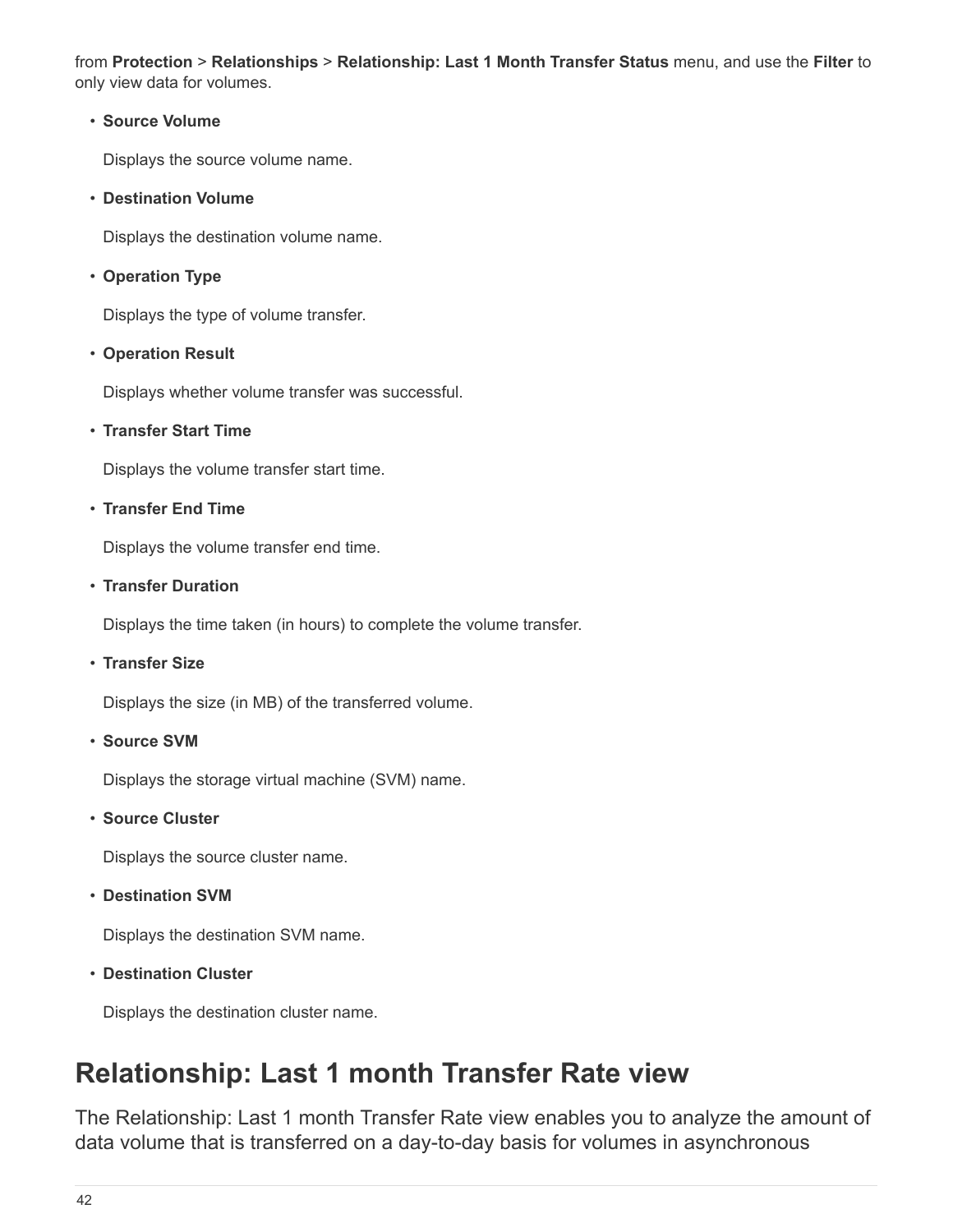from **Protection** > **Relationships** > **Relationship: Last 1 Month Transfer Status** menu, and use the **Filter** to only view data for volumes.

#### • **Source Volume**

Displays the source volume name.

• **Destination Volume**

Displays the destination volume name.

• **Operation Type**

Displays the type of volume transfer.

## • **Operation Result**

Displays whether volume transfer was successful.

## • **Transfer Start Time**

Displays the volume transfer start time.

#### • **Transfer End Time**

Displays the volume transfer end time.

#### • **Transfer Duration**

Displays the time taken (in hours) to complete the volume transfer.

• **Transfer Size**

Displays the size (in MB) of the transferred volume.

• **Source SVM**

Displays the storage virtual machine (SVM) name.

• **Source Cluster**

Displays the source cluster name.

• **Destination SVM**

Displays the destination SVM name.

• **Destination Cluster**

Displays the destination cluster name.

# <span id="page-43-0"></span>**Relationship: Last 1 month Transfer Rate view**

The Relationship: Last 1 month Transfer Rate view enables you to analyze the amount of data volume that is transferred on a day-to-day basis for volumes in asynchronous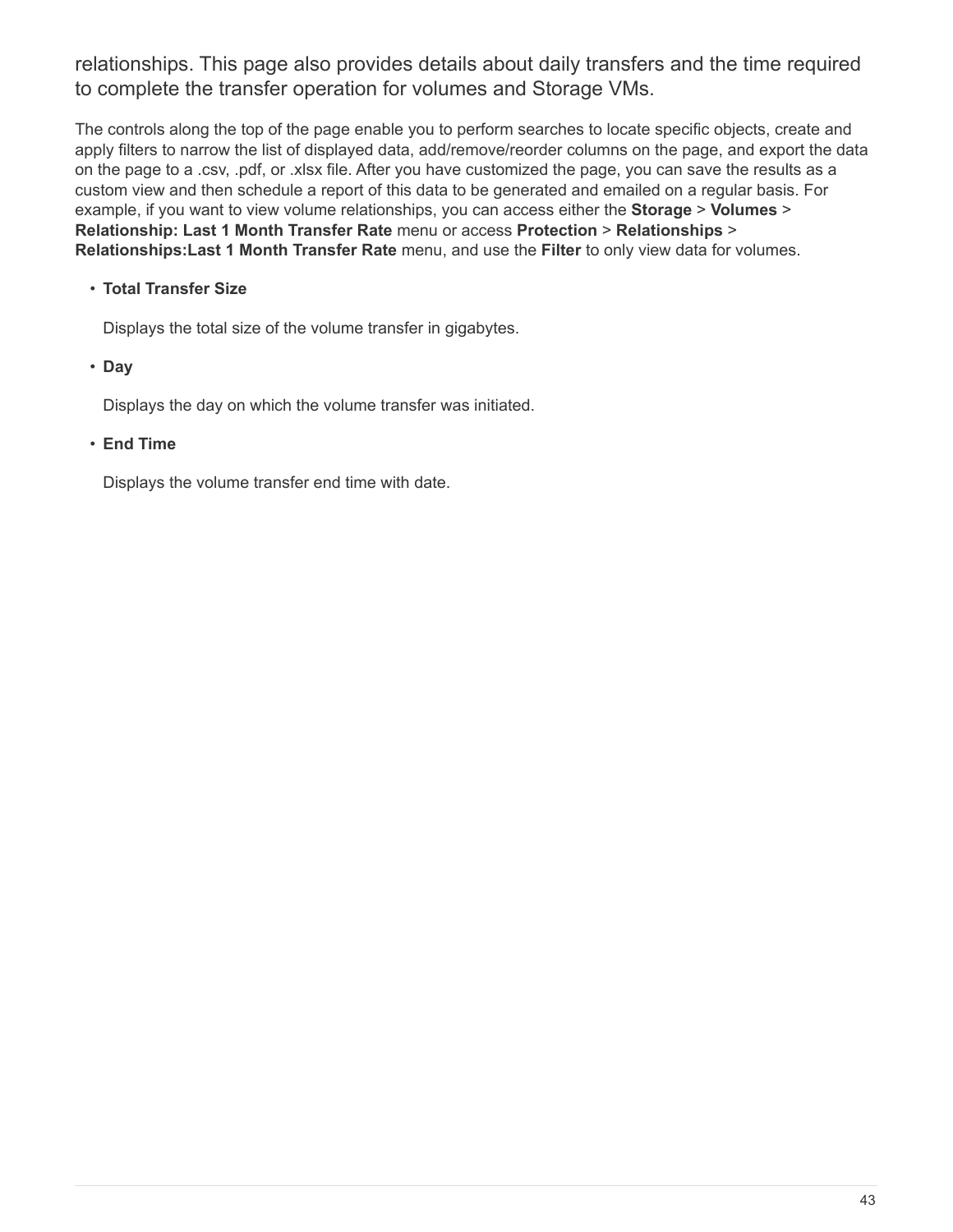relationships. This page also provides details about daily transfers and the time required to complete the transfer operation for volumes and Storage VMs.

The controls along the top of the page enable you to perform searches to locate specific objects, create and apply filters to narrow the list of displayed data, add/remove/reorder columns on the page, and export the data on the page to a .csv, .pdf, or .xlsx file. After you have customized the page, you can save the results as a custom view and then schedule a report of this data to be generated and emailed on a regular basis. For example, if you want to view volume relationships, you can access either the **Storage** > **Volumes** > **Relationship: Last 1 Month Transfer Rate** menu or access **Protection** > **Relationships** > **Relationships:Last 1 Month Transfer Rate** menu, and use the **Filter** to only view data for volumes.

## • **Total Transfer Size**

Displays the total size of the volume transfer in gigabytes.

## • **Day**

Displays the day on which the volume transfer was initiated.

#### • **End Time**

Displays the volume transfer end time with date.